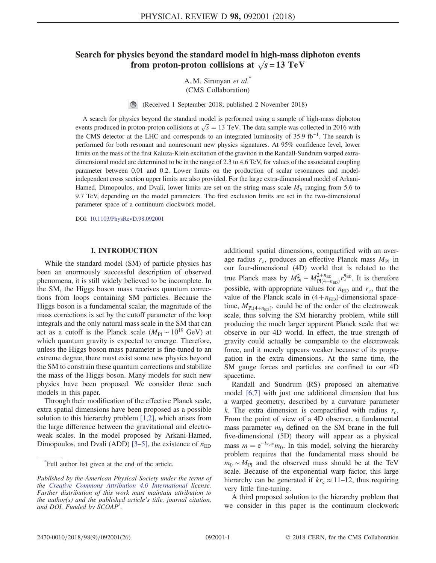# Search for physics beyond the standard model in high-mass diphoton events from proton-proton collisions at  $\sqrt{s} = 13 \text{ TeV}$

A. M. Sirunyan et al.<sup>\*</sup> (CMS Collaboration)

 $\bigcirc$ (Received 1 September 2018; published 2 November 2018)

A search for physics beyond the standard model is performed using a sample of high-mass diphoton events produced in proton-proton collisions at  $\sqrt{s} = 13$  TeV. The data sample was collected in 2016 with the CMS detector at the LHC and corresponds to an integrated luminosity of 35.9 fb<sup>−</sup><sup>1</sup>. The search is performed for both resonant and nonresonant new physics signatures. At 95% confidence level, lower limits on the mass of the first Kaluza-Klein excitation of the graviton in the Randall-Sundrum warped extradimensional model are determined to be in the range of 2.3 to 4.6 TeV, for values of the associated coupling parameter between 0.01 and 0.2. Lower limits on the production of scalar resonances and modelindependent cross section upper limits are also provided. For the large extra-dimensional model of Arkani-Hamed, Dimopoulos, and Dvali, lower limits are set on the string mass scale  $M<sub>S</sub>$  ranging from 5.6 to 9.7 TeV, depending on the model parameters. The first exclusion limits are set in the two-dimensional parameter space of a continuum clockwork model.

DOI: [10.1103/PhysRevD.98.092001](https://doi.org/10.1103/PhysRevD.98.092001)

#### I. INTRODUCTION

While the standard model (SM) of particle physics has been an enormously successful description of observed phenomena, it is still widely believed to be incomplete. In the SM, the Higgs boson mass receives quantum corrections from loops containing SM particles. Because the Higgs boson is a fundamental scalar, the magnitude of the mass corrections is set by the cutoff parameter of the loop integrals and the only natural mass scale in the SM that can act as a cutoff is the Planck scale ( $M_{\text{Pl}} \sim 10^{19}$  GeV) at which quantum gravity is expected to emerge. Therefore, unless the Higgs boson mass parameter is fine-tuned to an extreme degree, there must exist some new physics beyond the SM to constrain these quantum corrections and stabilize the mass of the Higgs boson. Many models for such new physics have been proposed. We consider three such models in this paper.

Through their modification of the effective Planck scale, extra spatial dimensions have been proposed as a possible solution to this hierarchy problem [\[1,2\],](#page-12-0) which arises from the large difference between the gravitational and electroweak scales. In the model proposed by Arkani-Hamed, Dimopoulos, and Dvali (ADD) [\[3](#page-12-1)–5], the existence of  $n_{\text{ED}}$  additional spatial dimensions, compactified with an average radius  $r_c$ , produces an effective Planck mass  $M_{\text{Pl}}$  in our four-dimensional (4D) world that is related to the true Planck mass by  $M_{\text{Pl}}^2 \sim M_{\text{Pl}(4+n_{\text{ED}})}^2 r_{\text{c}}^{n_{\text{ED}}}$ . It is therefore possible, with appropriate values for  $n_{\text{ED}}$  and  $r_c$ , that the value of the Planck scale in  $(4+n<sub>ED</sub>)$ -dimensional spacetime,  $M_{\text{Pl}(4+n_{\text{FD}})}$ , could be of the order of the electroweak scale, thus solving the SM hierarchy problem, while still producing the much larger apparent Planck scale that we observe in our 4D world. In effect, the true strength of gravity could actually be comparable to the electroweak force, and it merely appears weaker because of its propagation in the extra dimensions. At the same time, the SM gauge forces and particles are confined to our 4D spacetime.

Randall and Sundrum (RS) proposed an alternative model [\[6,7\]](#page-12-2) with just one additional dimension that has a warped geometry, described by a curvature parameter k. The extra dimension is compactified with radius  $r_c$ . From the point of view of a 4D observer, a fundamental mass parameter  $m_0$  defined on the SM brane in the full five-dimensional (5D) theory will appear as a physical mass  $m = e^{-kr_c\pi}m_0$ . In this model, solving the hierarchy problem requires that the fundamental mass should be  $m_0 \sim M_{\text{Pl}}$  and the observed mass should be at the TeV scale. Because of the exponential warp factor, this large hierarchy can be generated if  $kr_c \approx 11-12$ , thus requiring very little fine-tuning.

A third proposed solution to the hierarchy problem that we consider in this paper is the continuum clockwork

<sup>\*</sup> Full author list given at the end of the article.

Published by the American Physical Society under the terms of the [Creative Commons Attribution 4.0 International](https://creativecommons.org/licenses/by/4.0/) license. Further distribution of this work must maintain attribution to the author(s) and the published article's title, journal citation, and DOI. Funded by SCOAP<sup>3</sup>.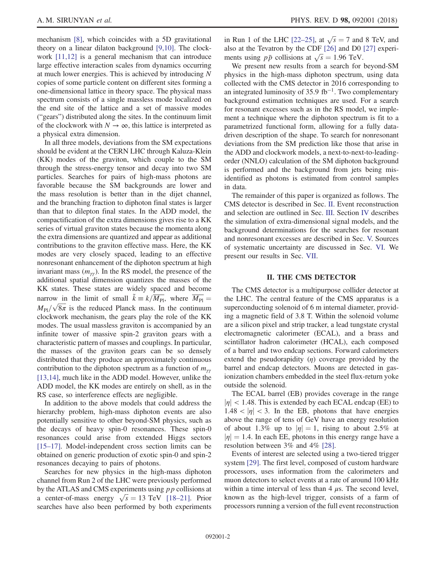mechanism [\[8\],](#page-12-3) which coincides with a 5D gravitational theory on a linear dilaton background [\[9,10\]](#page-12-4). The clockwork [\[11,12\]](#page-12-5) is a general mechanism that can introduce large effective interaction scales from dynamics occurring at much lower energies. This is achieved by introducing  $N$ copies of some particle content on different sites forming a one-dimensional lattice in theory space. The physical mass spectrum consists of a single massless mode localized on the end site of the lattice and a set of massive modes ("gears") distributed along the sites. In the continuum limit of the clockwork with  $N \to \infty$ , this lattice is interpreted as a physical extra dimension.

In all three models, deviations from the SM expectations should be evident at the CERN LHC through Kaluza-Klein (KK) modes of the graviton, which couple to the SM through the stress-energy tensor and decay into two SM particles. Searches for pairs of high-mass photons are favorable because the SM backgrounds are lower and the mass resolution is better than in the dijet channel, and the branching fraction to diphoton final states is larger than that to dilepton final states. In the ADD model, the compactification of the extra dimensions gives rise to a KK series of virtual graviton states because the momenta along the extra dimensions are quantized and appear as additional contributions to the graviton effective mass. Here, the KK modes are very closely spaced, leading to an effective nonresonant enhancement of the diphoton spectrum at high invariant mass  $(m_{\gamma\gamma})$ . In the RS model, the presence of the additional spatial dimension quantizes the masses of the KK states. These states are widely spaced and become narrow in the limit of small  $\tilde{k} \equiv k/\overline{M_{\text{Pl}}}$ , where  $\overline{M_{\text{Pl}}}$  =  $M_{\text{Pl}}/\sqrt{8\pi}$  is the reduced Planck mass. In the continuum clockwork mechanism, the gears play the role of the KK modes. The usual massless graviton is accompanied by an infinite tower of massive spin-2 graviton gears with a characteristic pattern of masses and couplings. In particular, the masses of the graviton gears can be so densely distributed that they produce an approximately continuous contribution to the diphoton spectrum as a function of  $m_{\gamma\gamma}$ [\[13,14\]](#page-12-6), much like in the ADD model. However, unlike the ADD model, the KK modes are entirely on shell, as in the RS case, so interference effects are negligible.

In addition to the above models that could address the hierarchy problem, high-mass diphoton events are also potentially sensitive to other beyond-SM physics, such as the decays of heavy spin-0 resonances. These spin-0 resonances could arise from extended Higgs sectors [\[15](#page-12-7)–17]. Model-independent cross section limits can be obtained on generic production of exotic spin-0 and spin-2 resonances decaying to pairs of photons.

Searches for new physics in the high-mass diphoton channel from Run 2 of the LHC were previously performed by the ATLAS and CMS experiments using  $pp$  collisions at a center-of-mass energy  $\sqrt{s} = 13 \text{ TeV}$  [18–[21\].](#page-13-0) Prior searches have also been performed by both experiments

in Run 1 of the LHC [\[22](#page-13-1)–25], at  $\sqrt{s} = 7$  and 8 TeV, and also at the Tevatron by the CDF [\[26\]](#page-13-2) and D0 [\[27\]](#page-13-3) experiments using  $p\bar{p}$  collisions at  $\sqrt{s} = 1.96$  TeV.

We present new results from a search for beyond-SM physics in the high-mass diphoton spectrum, using data collected with the CMS detector in 2016 corresponding to an integrated luminosity of 35.9 fb<sup>-1</sup>. Two complementary background estimation techniques are used. For a search for resonant excesses such as in the RS model, we implement a technique where the diphoton spectrum is fit to a parametrized functional form, allowing for a fully datadriven description of the shape. To search for nonresonant deviations from the SM prediction like those that arise in the ADD and clockwork models, a next-to-next-to-leadingorder (NNLO) calculation of the SM diphoton background is performed and the background from jets being misidentified as photons is estimated from control samples in data.

The remainder of this paper is organized as follows. The CMS detector is described in Sec. [II.](#page-1-0) Event reconstruction and selection are outlined in Sec. [III.](#page-2-0) Section [IV](#page-3-0) describes the simulation of extra-dimensional signal models, and the background determinations for the searches for resonant and nonresonant excesses are described in Sec. [V.](#page-4-0) Sources of systematic uncertainty are discussed in Sec. [VI.](#page-6-0) We present our results in Sec. [VII](#page-6-1).

### II. THE CMS DETECTOR

<span id="page-1-0"></span>The CMS detector is a multipurpose collider detector at the LHC. The central feature of the CMS apparatus is a superconducting solenoid of 6 m internal diameter, providing a magnetic field of 3.8 T. Within the solenoid volume are a silicon pixel and strip tracker, a lead tungstate crystal electromagnetic calorimeter (ECAL), and a brass and scintillator hadron calorimeter (HCAL), each composed of a barrel and two endcap sections. Forward calorimeters extend the pseudorapidity  $(\eta)$  coverage provided by the barrel and endcap detectors. Muons are detected in gasionization chambers embedded in the steel flux-return yoke outside the solenoid.

The ECAL barrel (EB) provides coverage in the range  $|\eta|$  < 1.48. This is extended by each ECAL endcap (EE) to  $1.48 < |\eta| < 3$ . In the EB, photons that have energies above the range of tens of GeV have an energy resolution of about 1.3% up to  $|\eta| = 1$ , rising to about 2.5% at  $|\eta| = 1.4$ . In each EE, photons in this energy range have a resolution between 3% and 4% [\[28\]](#page-13-4).

Events of interest are selected using a two-tiered trigger system [\[29\].](#page-13-5) The first level, composed of custom hardware processors, uses information from the calorimeters and muon detectors to select events at a rate of around 100 kHz within a time interval of less than  $4 \mu s$ . The second level, known as the high-level trigger, consists of a farm of processors running a version of the full event reconstruction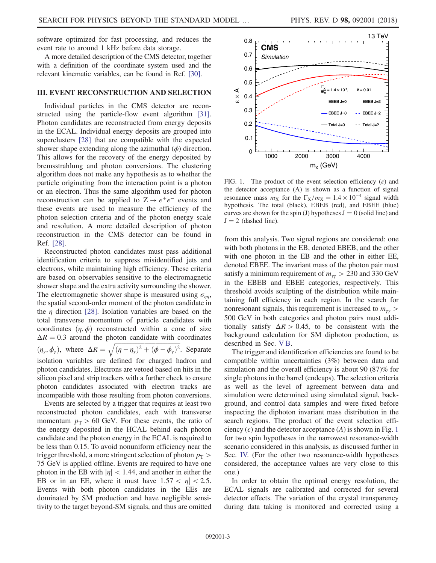software optimized for fast processing, and reduces the event rate to around 1 kHz before data storage.

A more detailed description of the CMS detector, together with a definition of the coordinate system used and the relevant kinematic variables, can be found in Ref. [\[30\]](#page-13-6).

### <span id="page-2-0"></span>III. EVENT RECONSTRUCTION AND SELECTION

Individual particles in the CMS detector are reconstructed using the particle-flow event algorithm [\[31\]](#page-13-7). Photon candidates are reconstructed from energy deposits in the ECAL. Individual energy deposits are grouped into superclusters [\[28\]](#page-13-4) that are compatible with the expected shower shape extending along the azimuthal  $(\phi)$  direction. This allows for the recovery of the energy deposited by bremsstrahlung and photon conversions. The clustering algorithm does not make any hypothesis as to whether the particle originating from the interaction point is a photon or an electron. Thus the same algorithm used for photon reconstruction can be applied to  $Z \rightarrow e^+e^-$  events and these events are used to measure the efficiency of the photon selection criteria and of the photon energy scale and resolution. A more detailed description of photon reconstruction in the CMS detector can be found in Ref. [\[28\].](#page-13-4)

Reconstructed photon candidates must pass additional identification criteria to suppress misidentified jets and electrons, while maintaining high efficiency. These criteria are based on observables sensitive to the electromagnetic shower shape and the extra activity surrounding the shower. The electromagnetic shower shape is measured using  $\sigma_{nn}$ , the spatial second-order moment of the photon candidate in the  $\eta$  direction [\[28\]](#page-13-4). Isolation variables are based on the total transverse momentum of particle candidates with coordinates  $(\eta, \phi)$  reconstructed within a cone of size  $\Delta R = 0.3$  around the photon candidate with coordinates  $(\eta_\gamma, \phi_\gamma)$ , where  $\Delta R = \sqrt{(\eta - \eta_\gamma)^2 + (\phi - \phi_\gamma)^2}$ . Separate isolation variables are defined for charged hadron and photon candidates. Electrons are vetoed based on hits in the silicon pixel and strip trackers with a further check to ensure photon candidates associated with electron tracks are incompatible with those resulting from photon conversions.

Events are selected by a trigger that requires at least two reconstructed photon candidates, each with transverse momentum  $p_T > 60$  GeV. For these events, the ratio of the energy deposited in the HCAL behind each photon candidate and the photon energy in the ECAL is required to be less than 0.15. To avoid nonuniform efficiency near the trigger threshold, a more stringent selection of photon  $p<sub>T</sub>$ 75 GeV is applied offline. Events are required to have one photon in the EB with  $|\eta|$  < 1.44, and another in either the EB or in an EE, where it must have  $1.57 < |\eta| < 2.5$ . Events with both photon candidates in the EEs are dominated by SM production and have negligible sensitivity to the target beyond-SM signals, and thus are omitted

<span id="page-2-1"></span>

FIG. 1. The product of the event selection efficiency  $(\varepsilon)$  and the detector acceptance (A) is shown as a function of signal resonance mass  $m_X$  for the  $\Gamma_X/m_X = 1.4 \times 10^{-4}$  signal width hypothesis. The total (black), EBEB (red), and EBEE (blue) curves are shown for the spin (J) hypotheses  $J = 0$  (solid line) and  $J = 2$  (dashed line).

from this analysis. Two signal regions are considered: one with both photons in the EB, denoted EBEB, and the other with one photon in the EB and the other in either EE, denoted EBEE. The invariant mass of the photon pair must satisfy a minimum requirement of  $m_{\gamma\gamma} > 230$  and 330 GeV in the EBEB and EBEE categories, respectively. This threshold avoids sculpting of the distribution while maintaining full efficiency in each region. In the search for nonresonant signals, this requirement is increased to  $m_{\gamma\gamma}$ 500 GeV in both categories and photon pairs must additionally satisfy  $\Delta R > 0.45$ , to be consistent with the background calculation for SM diphoton production, as described in Sec. [V B](#page-5-0).

The trigger and identification efficiencies are found to be compatible within uncertainties (3%) between data and simulation and the overall efficiency is about 90 (87)% for single photons in the barrel (endcaps). The selection criteria as well as the level of agreement between data and simulation were determined using simulated signal, background, and control data samples and were fixed before inspecting the diphoton invariant mass distribution in the search regions. The product of the event selection efficiency  $(\varepsilon)$  and the detector acceptance  $(A)$  is shown in Fig. [1](#page-2-1) for two spin hypotheses in the narrowest resonance-width scenario considered in this analysis, as discussed further in Sec. [IV.](#page-3-0) (For the other two resonance-width hypotheses considered, the acceptance values are very close to this one.)

In order to obtain the optimal energy resolution, the ECAL signals are calibrated and corrected for several detector effects. The variation of the crystal transparency during data taking is monitored and corrected using a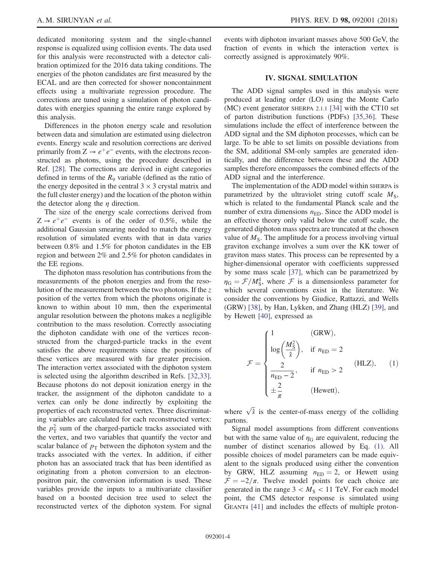dedicated monitoring system and the single-channel response is equalized using collision events. The data used for this analysis were reconstructed with a detector calibration optimized for the 2016 data taking conditions. The energies of the photon candidates are first measured by the ECAL and are then corrected for shower noncontainment effects using a multivariate regression procedure. The corrections are tuned using a simulation of photon candidates with energies spanning the entire range explored by this analysis.

Differences in the photon energy scale and resolution between data and simulation are estimated using dielectron events. Energy scale and resolution corrections are derived primarily from  $Z \to e^+e^-$  events, with the electrons reconstructed as photons, using the procedure described in Ref. [\[28\].](#page-13-4) The corrections are derived in eight categories defined in terms of the  $R<sub>9</sub>$  variable (defined as the ratio of the energy deposited in the central  $3 \times 3$  crystal matrix and the full cluster energy) and the location of the photon within the detector along the  $\eta$  direction.

The size of the energy scale corrections derived from  $Z \rightarrow e^+e^-$  events is of the order of 0.5%, while the additional Gaussian smearing needed to match the energy resolution of simulated events with that in data varies between 0.8% and 1.5% for photon candidates in the EB region and between 2% and 2.5% for photon candidates in the EE regions.

The diphoton mass resolution has contributions from the measurements of the photon energies and from the resolution of the measurement between the two photons. If the z position of the vertex from which the photons originate is known to within about 10 mm, then the experimental angular resolution between the photons makes a negligible contribution to the mass resolution. Correctly associating the diphoton candidate with one of the vertices reconstructed from the charged-particle tracks in the event satisfies the above requirements since the positions of these vertices are measured with far greater precision. The interaction vertex associated with the diphoton system is selected using the algorithm described in Refs. [\[32,33\]](#page-13-8). Because photons do not deposit ionization energy in the tracker, the assignment of the diphoton candidate to a vertex can only be done indirectly by exploiting the properties of each reconstructed vertex. Three discriminating variables are calculated for each reconstructed vertex: the  $p_T^2$  sum of the charged-particle tracks associated with the vertex, and two variables that quantify the vector and scalar balance of  $p<sub>T</sub>$  between the diphoton system and the tracks associated with the vertex. In addition, if either photon has an associated track that has been identified as originating from a photon conversion to an electronpositron pair, the conversion information is used. These variables provide the inputs to a multivariate classifier based on a boosted decision tree used to select the reconstructed vertex of the diphoton system. For signal events with diphoton invariant masses above 500 GeV, the fraction of events in which the interaction vertex is correctly assigned is approximately 90%.

# IV. SIGNAL SIMULATION

<span id="page-3-0"></span>The ADD signal samples used in this analysis were produced at leading order (LO) using the Monte Carlo (MC) event generator SHERPA 2.1.1 [\[34\]](#page-13-9) with the CT10 set of parton distribution functions (PDFs) [\[35,36\].](#page-13-10) These simulations include the effect of interference between the ADD signal and the SM diphoton processes, which can be large. To be able to set limits on possible deviations from the SM, additional SM-only samples are generated identically, and the difference between these and the ADD samples therefore encompasses the combined effects of the ADD signal and the interference.

The implementation of the ADD model within SHERPA is parametrized by the ultraviolet string cutoff scale  $M_s$ , which is related to the fundamental Planck scale and the number of extra dimensions  $n_{\rm ED}$ . Since the ADD model is an effective theory only valid below the cutoff scale, the generated diphoton mass spectra are truncated at the chosen value of  $M<sub>S</sub>$ . The amplitude for a process involving virtual graviton exchange involves a sum over the KK tower of graviton mass states. This process can be represented by a higher-dimensional operator with coefficients suppressed by some mass scale [\[37\],](#page-13-11) which can be parametrized by  $\eta_G = \mathcal{F}/M_S^4$ , where  $\mathcal F$  is a dimensionless parameter for which several conventions exist in the literature. We consider the conventions by Giudice, Rattazzi, and Wells (GRW) [\[38\],](#page-13-12) by Han, Lykken, and Zhang (HLZ) [\[39\]](#page-13-13), and by Hewett [\[40\],](#page-13-14) expressed as

<span id="page-3-1"></span>
$$
\mathcal{F} = \begin{cases}\n1 & (\text{GRW}), \\
\log\left(\frac{M_S^2}{\hat{s}}\right), & \text{if } n_{\text{ED}} = 2 \\
\frac{2}{n_{\text{ED}} - 2}, & \text{if } n_{\text{ED}} > 2 \\
\pm \frac{2}{\pi} & (\text{Hewett}),\n\end{cases}
$$
\n(1)

where  $\sqrt{\hat{s}}$  is the center-of-mass energy of the colliding partons.

Signal model assumptions from different conventions but with the same value of  $\eta$ <sup>G</sup> are equivalent, reducing the number of distinct scenarios allowed by Eq. [\(1\).](#page-3-1) All possible choices of model parameters can be made equivalent to the signals produced using either the convention by GRW, HLZ assuming  $n_{ED} = 2$ , or Hewett using  $\mathcal{F} = -2/\pi$ . Twelve model points for each choice are generated in the range  $3 < M<sub>S</sub> < 11$  TeV. For each model point, the CMS detector response is simulated using GEANT4 [\[41\]](#page-13-15) and includes the effects of multiple proton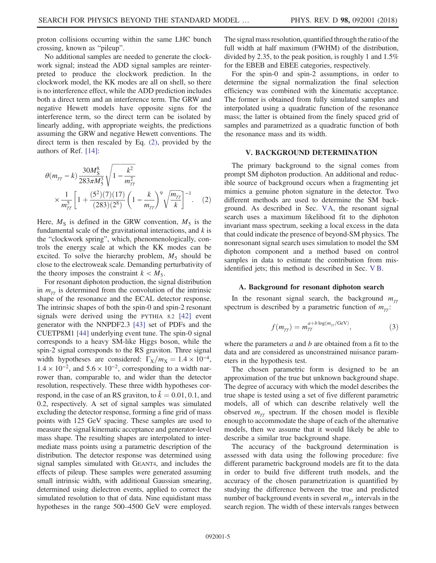proton collisions occurring within the same LHC bunch crossing, known as "pileup".

No additional samples are needed to generate the clockwork signal; instead the ADD signal samples are reinterpreted to produce the clockwork prediction. In the clockwork model, the KK modes are all on shell, so there is no interference effect, while the ADD prediction includes both a direct term and an interference term. The GRW and negative Hewett models have opposite signs for the interference term, so the direct term can be isolated by linearly adding, with appropriate weights, the predictions assuming the GRW and negative Hewett conventions. The direct term is then rescaled by Eq. [\(2\),](#page-4-1) provided by the authors of Ref. [\[14\]](#page-12-8):

<span id="page-4-1"></span>
$$
\theta(m_{\gamma\gamma} - k) \frac{30M_{\rm S}^8}{283\pi M_{\rm S}^3} \sqrt{1 - \frac{k^2}{m_{\gamma\gamma}^2}} \times \frac{1}{m_{\gamma\gamma}^5} \left[ 1 + \frac{(5^2)(7)(17)}{(283)(2^8)} \left( 1 - \frac{k}{m_{\gamma\gamma}} \right)^9 \sqrt{\frac{m_{\gamma\gamma}}{k}} \right]^{-1} . \tag{2}
$$

Here,  $M<sub>S</sub>$  is defined in the GRW convention,  $M<sub>5</sub>$  is the fundamental scale of the gravitational interactions, and  $k$  is the "clockwork spring", which, phenomenologically, controls the energy scale at which the KK modes can be excited. To solve the hierarchy problem,  $M_5$  should be close to the electroweak scale. Demanding perturbativity of the theory imposes the constraint  $k < M_5$ .

For resonant diphoton production, the signal distribution in  $m_{\gamma\gamma}$  is determined from the convolution of the intrinsic shape of the resonance and the ECAL detector response. The intrinsic shapes of both the spin-0 and spin-2 resonant signals were derived using the PYTHIA 8.2 [\[42\]](#page-13-16) event generator with the NNPDF2.3 [\[43\]](#page-13-17) set of PDFs and the CUETP8M1 [\[44\]](#page-13-18) underlying event tune. The spin-0 signal corresponds to a heavy SM-like Higgs boson, while the spin-2 signal corresponds to the RS graviton. Three signal width hypotheses are considered:  $\Gamma_X/m_X = 1.4 \times 10^{-4}$ ,  $1.4 \times 10^{-2}$ , and  $5.6 \times 10^{-2}$ , corresponding to a width narrower than, comparable to, and wider than the detector resolution, respectively. These three width hypotheses correspond, in the case of an RS graviton, to  $\tilde{k} = 0.01, 0.1$ , and 0.2, respectively. A set of signal samples was simulated excluding the detector response, forming a fine grid of mass points with 125 GeV spacing. These samples are used to measure the signal kinematic acceptance and generator-level mass shape. The resulting shapes are interpolated to intermediate mass points using a parametric description of the distribution. The detector response was determined using signal samples simulated with GEANT4, and includes the effects of pileup. These samples were generated assuming small intrinsic width, with additional Gaussian smearing, determined using dielectron events, applied to correct the simulated resolution to that of data. Nine equidistant mass hypotheses in the range 500–4500 GeV were employed. The signal mass resolution, quantified through the ratio of the full width at half maximum (FWHM) of the distribution, divided by 2.35, to the peak position, is roughly 1 and 1.5% for the EBEB and EBEE categories, respectively.

For the spin-0 and spin-2 assumptions, in order to determine the signal normalization the final selection efficiency was combined with the kinematic acceptance. The former is obtained from fully simulated samples and interpolated using a quadratic function of the resonance mass; the latter is obtained from the finely spaced grid of samples and parametrized as a quadratic function of both the resonance mass and its width.

# V. BACKGROUND DETERMINATION

<span id="page-4-0"></span>The primary background to the signal comes from prompt SM diphoton production. An additional and reducible source of background occurs when a fragmenting jet mimics a genuine photon signature in the detector. Two different methods are used to determine the SM background. As described in Sec. [VA,](#page-4-2) the resonant signal search uses a maximum likelihood fit to the diphoton invariant mass spectrum, seeking a local excess in the data that could indicate the presence of beyond-SM physics. The nonresonant signal search uses simulation to model the SM diphoton component and a method based on control samples in data to estimate the contribution from misidentified jets; this method is described in Sec. [V B](#page-5-0).

### <span id="page-4-2"></span>A. Background for resonant diphoton search

<span id="page-4-3"></span>In the resonant signal search, the background  $m_{\gamma\gamma}$ spectrum is described by a parametric function of  $m_{\gamma\gamma}$ :

$$
f(m_{\gamma\gamma}) = m_{\gamma\gamma}^{a+b\log(m_{\gamma\gamma}/\text{GeV})},\tag{3}
$$

where the parameters  $a$  and  $b$  are obtained from a fit to the data and are considered as unconstrained nuisance parameters in the hypothesis test.

The chosen parametric form is designed to be an approximation of the true but unknown background shape. The degree of accuracy with which the model describes the true shape is tested using a set of five different parametric models, all of which can describe relatively well the observed  $m_{\gamma\gamma}$  spectrum. If the chosen model is flexible enough to accommodate the shape of each of the alternative models, then we assume that it would likely be able to describe a similar true background shape.

The accuracy of the background determination is assessed with data using the following procedure: five different parametric background models are fit to the data in order to build five different truth models, and the accuracy of the chosen parametrization is quantified by studying the difference between the true and predicted number of background events in several  $m_{\gamma\gamma}$  intervals in the search region. The width of these intervals ranges between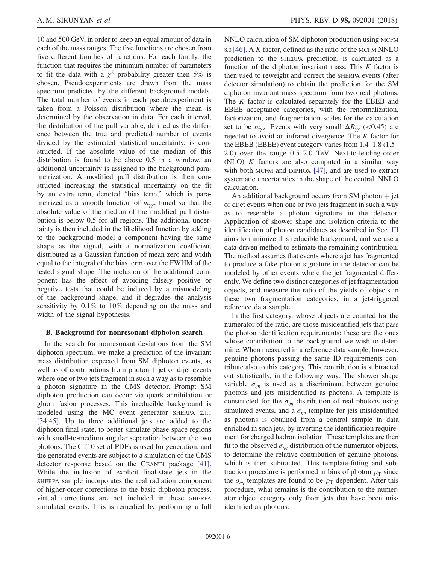10 and 500 GeV, in order to keep an equal amount of data in each of the mass ranges. The five functions are chosen from five different families of functions. For each family, the function that requires the minimum number of parameters to fit the data with a  $\chi^2$  probability greater then 5% is chosen. Pseudoexperiments are drawn from the mass spectrum predicted by the different background models. The total number of events in each pseudoexperiment is taken from a Poisson distribution where the mean is determined by the observation in data. For each interval, the distribution of the pull variable, defined as the difference between the true and predicted number of events divided by the estimated statistical uncertainty, is constructed. If the absolute value of the median of this distribution is found to be above 0.5 in a window, an additional uncertainty is assigned to the background parametrization. A modified pull distribution is then constructed increasing the statistical uncertainty on the fit by an extra term, denoted "bias term," which is parametrized as a smooth function of  $m_{\gamma\gamma}$ , tuned so that the absolute value of the median of the modified pull distribution is below 0.5 for all regions. The additional uncertainty is then included in the likelihood function by adding to the background model a component having the same shape as the signal, with a normalization coefficient distributed as a Gaussian function of mean zero and width equal to the integral of the bias term over the FWHM of the tested signal shape. The inclusion of the additional component has the effect of avoiding falsely positive or negative tests that could be induced by a mismodeling of the background shape, and it degrades the analysis sensitivity by 0.1% to 10% depending on the mass and width of the signal hypothesis.

## <span id="page-5-0"></span>B. Background for nonresonant diphoton search

In the search for nonresonant deviations from the SM diphoton spectrum, we make a prediction of the invariant mass distribution expected from SM diphoton events, as well as of contributions from photon  $+$  jet or dijet events where one or two jets fragment in such a way as to resemble a photon signature in the CMS detector. Prompt SM diphoton production can occur via quark annihilation or gluon fusion processes. This irreducible background is modeled using the MC event generator SHERPA 2.1.1 [\[34,45\]](#page-13-9). Up to three additional jets are added to the diphoton final state, to better simulate phase space regions with small-to-medium angular separation between the two photons. The CT10 set of PDFs is used for generation, and the generated events are subject to a simulation of the CMS detector response based on the GEANT4 package [\[41\]](#page-13-15). While the inclusion of explicit final-state jets in the SHERPA sample incorporates the real radiation component of higher-order corrections to the basic diphoton process, virtual corrections are not included in these SHERPA simulated events. This is remedied by performing a full NNLO calculation of SM diphoton production using MCFM 8.0 [\[46\].](#page-13-19) A K factor, defined as the ratio of the MCFM NNLO prediction to the SHERPA prediction, is calculated as a function of the diphoton invariant mass. This  $K$  factor is then used to reweight and correct the SHERPA events (after detector simulation) to obtain the prediction for the SM diphoton invariant mass spectrum from two real photons. The K factor is calculated separately for the EBEB and EBEE acceptance categories, with the renormalization, factorization, and fragmentation scales for the calculation set to be  $m_{\gamma\gamma}$ . Events with very small  $\Delta R_{\gamma\gamma}$  (<0.45) are rejected to avoid an infrared divergence. The K factor for the EBEB (EBEE) event category varies from 1.4–1.8 (1.5– 2.0) over the range 0.5–2.0 TeV. Next-to-leading-order  $(NLO)$  K factors are also computed in a similar way with both MCFM and DIPHOX [\[47\],](#page-13-20) and are used to extract systematic uncertainties in the shape of the central, NNLO calculation.

An additional background occurs from SM photon  $+$  jet or dijet events when one or two jets fragment in such a way as to resemble a photon signature in the detector. Application of shower shape and isolation criteria to the identification of photon candidates as described in Sec. [III](#page-2-0) aims to minimize this reducible background, and we use a data-driven method to estimate the remaining contribution. The method assumes that events where a jet has fragmented to produce a fake photon signature in the detector can be modeled by other events where the jet fragmented differently. We define two distinct categories of jet fragmentation objects, and measure the ratio of the yields of objects in these two fragmentation categories, in a jet-triggered reference data sample.

In the first category, whose objects are counted for the numerator of the ratio, are those misidentified jets that pass the photon identification requirements; these are the ones whose contribution to the background we wish to determine. When measured in a reference data sample, however, genuine photons passing the same ID requirements contribute also to this category. This contribution is subtracted out statistically, in the following way. The shower shape variable  $\sigma_{\eta\eta}$  is used as a discriminant between genuine photons and jets misidentified as photons. A template is constructed for the  $\sigma_{\eta\eta}$  distribution of real photons using simulated events, and a  $\sigma_{nn}$  template for jets misidentified as photons is obtained from a control sample in data enriched in such jets, by inverting the identification requirement for charged hadron isolation. These templates are then fit to the observed  $\sigma_{nn}$  distribution of the numerator objects, to determine the relative contribution of genuine photons, which is then subtracted. This template-fitting and subtraction procedure is performed in bins of photon  $p<sub>T</sub>$  since the  $\sigma_{\eta\eta}$  templates are found to be  $p_{\text{T}}$  dependent. After this procedure, what remains is the contribution to the numerator object category only from jets that have been misidentified as photons.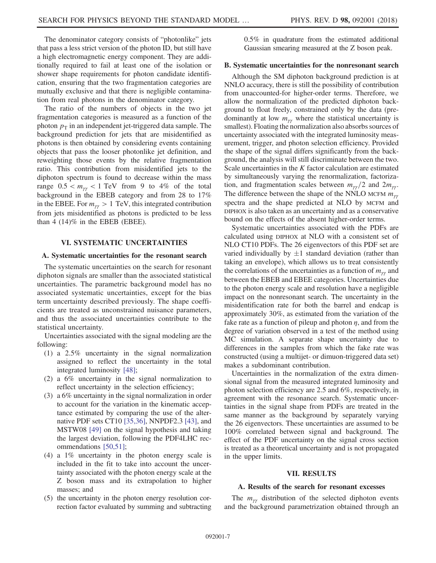The denominator category consists of "photonlike" jets that pass a less strict version of the photon ID, but still have a high electromagnetic energy component. They are additionally required to fail at least one of the isolation or shower shape requirements for photon candidate identification, ensuring that the two fragmentation categories are mutually exclusive and that there is negligible contamination from real photons in the denominator category.

The ratio of the numbers of objects in the two jet fragmentation categories is measured as a function of the photon  $p<sub>T</sub>$  in an independent jet-triggered data sample. The background prediction for jets that are misidentified as photons is then obtained by considering events containing objects that pass the looser photonlike jet definition, and reweighting those events by the relative fragmentation ratio. This contribution from misidentified jets to the diphoton spectrum is found to decrease within the mass range  $0.5 < m_{\gamma\gamma} < 1$  TeV from 9 to 4% of the total background in the EBEB category and from 28 to 17% in the EBEE. For  $m_{\gamma\gamma} > 1$  TeV, this integrated contribution from jets misidentified as photons is predicted to be less than 4 (14)% in the EBEB (EBEE).

# VI. SYSTEMATIC UNCERTAINTIES

#### <span id="page-6-0"></span>A. Systematic uncertainties for the resonant search

The systematic uncertainties on the search for resonant diphoton signals are smaller than the associated statistical uncertainties. The parametric background model has no associated systematic uncertainties, except for the bias term uncertainty described previously. The shape coefficients are treated as unconstrained nuisance parameters, and thus the associated uncertainties contribute to the statistical uncertainty.

Uncertainties associated with the signal modeling are the following:

- (1) a 2.5% uncertainty in the signal normalization assigned to reflect the uncertainty in the total integrated luminosity [\[48\]](#page-13-21);
- (2) a 6% uncertainty in the signal normalization to reflect uncertainty in the selection efficiency;
- (3) a 6% uncertainty in the signal normalization in order to account for the variation in the kinematic acceptance estimated by comparing the use of the alternative PDF sets CT10 [\[35,36\]](#page-13-10), NNPDF2.3 [\[43\],](#page-13-17) and MSTW08 [\[49\]](#page-13-22) on the signal hypothesis and taking the largest deviation, following the PDF4LHC recommendations [\[50,51\]](#page-13-23);
- (4) a 1% uncertainty in the photon energy scale is included in the fit to take into account the uncertainty associated with the photon energy scale at the Z boson mass and its extrapolation to higher masses; and
- (5) the uncertainty in the photon energy resolution correction factor evaluated by summing and subtracting

0.5% in quadrature from the estimated additional Gaussian smearing measured at the Z boson peak.

### <span id="page-6-2"></span>B. Systematic uncertainties for the nonresonant search

Although the SM diphoton background prediction is at NNLO accuracy, there is still the possibility of contribution from unaccounted-for higher-order terms. Therefore, we allow the normalization of the predicted diphoton background to float freely, constrained only by the data (predominantly at low  $m_{\gamma\gamma}$  where the statistical uncertainty is smallest). Floating the normalization also absorbs sources of uncertainty associated with the integrated luminosity measurement, trigger, and photon selection efficiency. Provided the shape of the signal differs significantly from the background, the analysis will still discriminate between the two. Scale uncertainties in the K factor calculation are estimated by simultaneously varying the renormalization, factorization, and fragmentation scales between  $m_{\gamma\gamma}/2$  and  $2m_{\gamma\gamma}$ . The difference between the shape of the NNLO MCFM  $m_{\gamma\gamma}$ spectra and the shape predicted at NLO by MCFM and DIPHOX is also taken as an uncertainty and as a conservative bound on the effects of the absent higher-order terms.

Systematic uncertainties associated with the PDFs are calculated using DIPHOX at NLO with a consistent set of NLO CT10 PDFs. The 26 eigenvectors of this PDF set are varied individually by  $\pm 1$  standard deviation (rather than taking an envelope), which allows us to treat consistently the correlations of the uncertainties as a function of  $m_{\gamma\gamma}$  and between the EBEB and EBEE categories. Uncertainties due to the photon energy scale and resolution have a negligible impact on the nonresonant search. The uncertainty in the misidentification rate for both the barrel and endcap is approximately 30%, as estimated from the variation of the fake rate as a function of pileup and photon  $\eta$ , and from the degree of variation observed in a test of the method using MC simulation. A separate shape uncertainty due to differences in the samples from which the fake rate was constructed (using a multijet- or dimuon-triggered data set) makes a subdominant contribution.

Uncertainties in the normalization of the extra dimensional signal from the measured integrated luminosity and photon selection efficiency are 2.5 and 6%, respectively, in agreement with the resonance search. Systematic uncertainties in the signal shape from PDFs are treated in the same manner as the background by separately varying the 26 eigenvectors. These uncertainties are assumed to be 100% correlated between signal and background. The effect of the PDF uncertainty on the signal cross section is treated as a theoretical uncertainty and is not propagated in the upper limits.

### VII. RESULTS

### <span id="page-6-1"></span>A. Results of the search for resonant excesses

The  $m_{\gamma\gamma}$  distribution of the selected diphoton events and the background parametrization obtained through an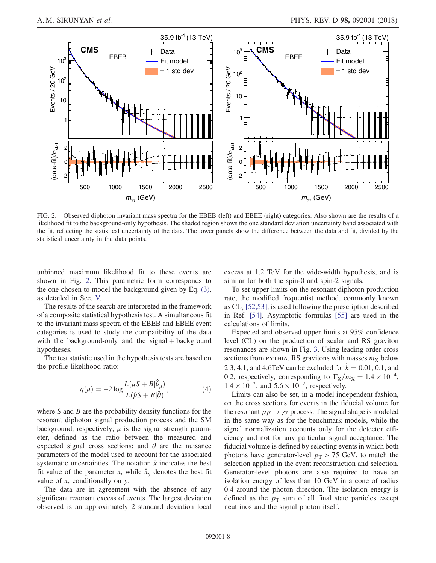<span id="page-7-0"></span>

FIG. 2. Observed diphoton invariant mass spectra for the EBEB (left) and EBEE (right) categories. Also shown are the results of a likelihood fit to the background-only hypothesis. The shaded region shows the one standard deviation uncertainty band associated with the fit, reflecting the statistical uncertainty of the data. The lower panels show the difference between the data and fit, divided by the statistical uncertainty in the data points.

unbinned maximum likelihood fit to these events are shown in Fig. [2.](#page-7-0) This parametric form corresponds to the one chosen to model the background given by Eq. [\(3\)](#page-4-3), as detailed in Sec. [V.](#page-4-0)

The results of the search are interpreted in the framework of a composite statistical hypothesis test. A simultaneous fit to the invariant mass spectra of the EBEB and EBEE event categories is used to study the compatibility of the data with the background-only and the signal  $+$  background hypotheses.

The test statistic used in the hypothesis tests are based on the profile likelihood ratio:

$$
q(\mu) = -2\log \frac{L(\mu S + B|\hat{\theta}_{\mu})}{L(\hat{\mu}S + B|\hat{\theta})},
$$
\n(4)

where  $S$  and  $B$  are the probability density functions for the resonant diphoton signal production process and the SM background, respectively;  $\mu$  is the signal strength parameter, defined as the ratio between the measured and expected signal cross sections; and  $\theta$  are the nuisance parameters of the model used to account for the associated systematic uncertainties. The notation  $\hat{x}$  indicates the best fit value of the parameter x, while  $\hat{x}_y$  denotes the best fit value of  $x$ , conditionally on  $y$ .

The data are in agreement with the absence of any significant resonant excess of events. The largest deviation observed is an approximately 2 standard deviation local excess at 1.2 TeV for the wide-width hypothesis, and is similar for both the spin-0 and spin-2 signals.

To set upper limits on the resonant diphoton production rate, the modified frequentist method, commonly known as  $CL<sub>s</sub>$  [\[52,53\]](#page-13-24), is used following the prescription described in Ref. [\[54\].](#page-13-25) Asymptotic formulas [\[55\]](#page-14-0) are used in the calculations of limits.

Expected and observed upper limits at 95% confidence level (CL) on the production of scalar and RS graviton resonances are shown in Fig. [3](#page-8-0). Using leading order cross sections from PYTHIA, RS gravitons with masses  $m<sub>X</sub>$  below 2.3, 4.1, and 4.6TeV can be excluded for  $\tilde{k} = 0.01, 0.1$ , and 0.2, respectively, corresponding to  $\Gamma_X/m_X = 1.4 \times 10^{-4}$ ,  $1.4 \times 10^{-2}$ , and  $5.6 \times 10^{-2}$ , respectively.

Limits can also be set, in a model independent fashion, on the cross sections for events in the fiducial volume for the resonant  $p p \rightarrow \gamma \gamma$  process. The signal shape is modeled in the same way as for the benchmark models, while the signal normalization accounts only for the detector efficiency and not for any particular signal acceptance. The fiducial volume is defined by selecting events in which both photons have generator-level  $p_T > 75$  GeV, to match the selection applied in the event reconstruction and selection. Generator-level photons are also required to have an isolation energy of less than 10 GeV in a cone of radius 0.4 around the photon direction. The isolation energy is defined as the  $p<sub>T</sub>$  sum of all final state particles except neutrinos and the signal photon itself.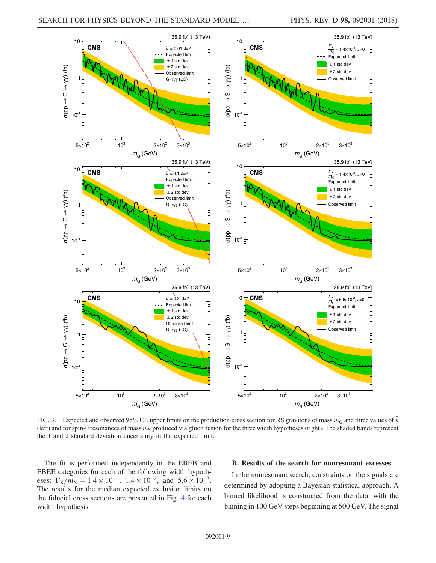<span id="page-8-0"></span>

FIG. 3. Expected and observed 95% CL upper limits on the production cross section for RS gravitons of mass  $m_G$  and three values of  $\tilde{k}$ (left) and for spin-0 resonances of mass  $m<sub>S</sub>$  produced via gluon fusion for the three width hypotheses (right). The shaded bands represent the 1 and 2 standard deviation uncertainty in the expected limit.

The fit is performed independently in the EBEB and EBEE categories for each of the following width hypotheses:  $\Gamma_X/m_X = 1.4 \times 10^{-4}$ ,  $1.4 \times 10^{-2}$ , and  $5.6 \times 10^{-2}$ . The results for the median expected exclusion limits on the fiducial cross sections are presented in Fig. [4](#page-9-0) for each width hypothesis.

# B. Results of the search for nonresonant excesses

In the nonresonant search, constraints on the signals are determined by adopting a Bayesian statistical approach. A binned likelihood is constructed from the data, with the binning in 100 GeV steps beginning at 500 GeV. The signal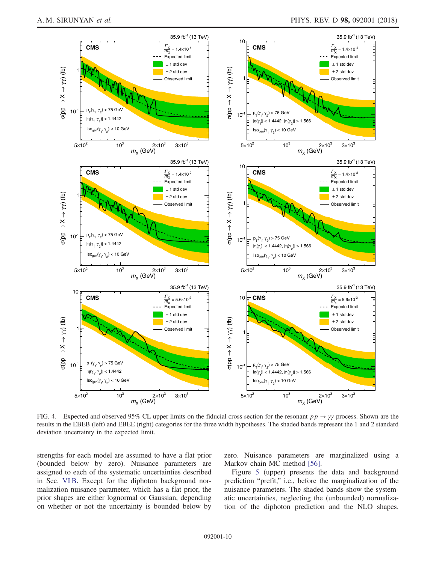<span id="page-9-0"></span>

FIG. 4. Expected and observed 95% CL upper limits on the fiducial cross section for the resonant  $pp \rightarrow \gamma \gamma$  process. Shown are the results in the EBEB (left) and EBEE (right) categories for the three width hypotheses. The shaded bands represent the 1 and 2 standard deviation uncertainty in the expected limit.

strengths for each model are assumed to have a flat prior (bounded below by zero). Nuisance parameters are assigned to each of the systematic uncertainties described in Sec. [VI B.](#page-6-2) Except for the diphoton background normalization nuisance parameter, which has a flat prior, the prior shapes are either lognormal or Gaussian, depending on whether or not the uncertainty is bounded below by zero. Nuisance parameters are marginalized using a Markov chain MC method [\[56\].](#page-14-1)

Figure [5](#page-10-0) (upper) presents the data and background prediction "prefit," i.e., before the marginalization of the nuisance parameters. The shaded bands show the systematic uncertainties, neglecting the (unbounded) normalization of the diphoton prediction and the NLO shapes.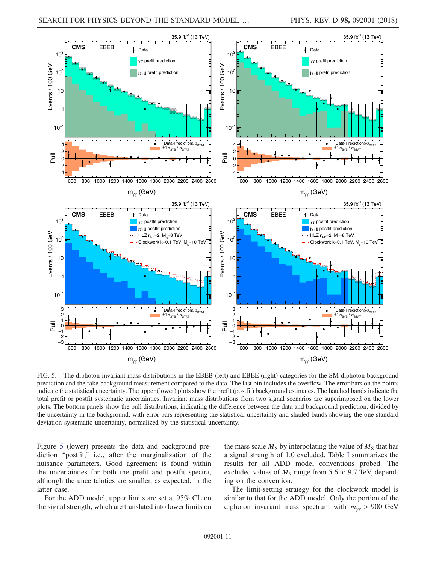<span id="page-10-0"></span>

FIG. 5. The diphoton invariant mass distributions in the EBEB (left) and EBEE (right) categories for the SM diphoton background prediction and the fake background measurement compared to the data. The last bin includes the overflow. The error bars on the points indicate the statistical uncertainty. The upper (lower) plots show the prefit (postfit) background estimates. The hatched bands indicate the total prefit or postfit systematic uncertainties. Invariant mass distributions from two signal scenarios are superimposed on the lower plots. The bottom panels show the pull distributions, indicating the difference between the data and background prediction, divided by the uncertainty in the background, with error bars representing the statistical uncertainty and shaded bands showing the one standard deviation systematic uncertainty, normalized by the statistical uncertainty.

Figure [5](#page-10-0) (lower) presents the data and background prediction "postfit," i.e., after the marginalization of the nuisance parameters. Good agreement is found within the uncertainties for both the prefit and postfit spectra, although the uncertainties are smaller, as expected, in the latter case.

For the ADD model, upper limits are set at 95% CL on the signal strength, which are translated into lower limits on the mass scale  $M<sub>S</sub>$  by interpolating the value of  $M<sub>S</sub>$  that has a signal strength of 1.0 excluded. Table [I](#page-11-0) summarizes the results for all ADD model conventions probed. The excluded values of  $M<sub>S</sub>$  range from 5.6 to 9.7 TeV, depending on the convention.

The limit-setting strategy for the clockwork model is similar to that for the ADD model. Only the portion of the diphoton invariant mass spectrum with  $m_{\gamma\gamma} > 900 \text{ GeV}$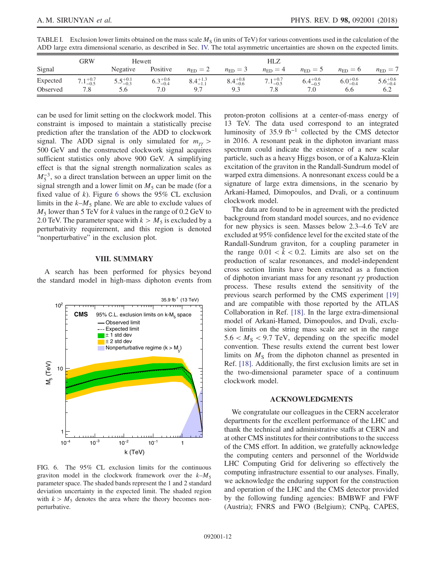<span id="page-11-0"></span>TABLE I. Exclusion lower limits obtained on the mass scale  $M<sub>S</sub>$  (in units of TeV) for various conventions used in the calculation of the ADD large extra dimensional scenario, as described in Sec. [IV.](#page-3-0) The total asymmetric uncertainties are shown on the expected limits.

|          | GRW<br>Hewett       |                           |                     | <b>HL2</b>          |                          |                                             |                                    |                       |                     |
|----------|---------------------|---------------------------|---------------------|---------------------|--------------------------|---------------------------------------------|------------------------------------|-----------------------|---------------------|
| Signal   |                     | Negative                  | Positive            | $n_{\rm ED} = 2$    | $n_{\rm ED} = 3$         | $n_{\rm ED} = 4$                            | $n_{\rm ED}$<br>$=$ $\overline{ }$ | $n_{\rm ED}$<br>$= 6$ | $n_{\rm ED}=7$      |
| Expected | $7.1^{+0.7}_{-0.5}$ | $5, 5+0.1$<br>$3.5 - 0.3$ | $6.3^{+0.6}_{-0.4}$ | $8.4^{+1.3}_{-1.1}$ | $A + 0.8$<br>$0.4 - 0.6$ | $1 + 0.7$<br>$^{\prime \, \cdot \, 1}$ –0.5 | $6.4^{+0.6}_{-0.5}$                | $6.0^{+0.6}_{-0.4}$   | $5.6^{+0.6}_{-0.4}$ |
| Observed | 7.8                 | D.O                       | 7.0                 |                     | 9.3                      | 7.8                                         | 7.0                                | 6.6                   | 6.2                 |

can be used for limit setting on the clockwork model. This constraint is imposed to maintain a statistically precise prediction after the translation of the ADD to clockwork signal. The ADD signal is only simulated for  $m_{\gamma\gamma}$  > 500 GeV and the constructed clockwork signal acquires sufficient statistics only above 900 GeV. A simplifying effect is that the signal strength normalization scales as  $M_5^{-3}$ , so a direct translation between an upper limit on the signal strength and a lower limit on  $M_5$  can be made (for a fixed value of  $k$ ). Figure [6](#page-11-1) shows the 95% CL exclusion limits in the  $k-M_5$  plane. We are able to exclude values of  $M_5$  lower than 5 TeV for k values in the range of 0.2 GeV to 2.0 TeV. The parameter space with  $k > M_5$  is excluded by a perturbativity requirement, and this region is denoted "nonperturbative" in the exclusion plot.

#### VIII. SUMMARY

A search has been performed for physics beyond the standard model in high-mass diphoton events from

<span id="page-11-1"></span>

FIG. 6. The 95% CL exclusion limits for the continuous graviton model in the clockwork framework over the  $k-M_5$ parameter space. The shaded bands represent the 1 and 2 standard deviation uncertainty in the expected limit. The shaded region with  $k > M_5$  denotes the area where the theory becomes nonperturbative.

proton-proton collisions at a center-of-mass energy of 13 TeV. The data used correspond to an integrated luminosity of 35.9 fb<sup>−</sup><sup>1</sup> collected by the CMS detector in 2016. A resonant peak in the diphoton invariant mass spectrum could indicate the existence of a new scalar particle, such as a heavy Higgs boson, or of a Kaluza-Klein excitation of the graviton in the Randall-Sundrum model of warped extra dimensions. A nonresonant excess could be a signature of large extra dimensions, in the scenario by Arkani-Hamed, Dimopoulos, and Dvali, or a continuum clockwork model.

The data are found to be in agreement with the predicted background from standard model sources, and no evidence for new physics is seen. Masses below 2.3–4.6 TeV are excluded at 95% confidence level for the excited state of the Randall-Sundrum graviton, for a coupling parameter in the range  $0.01 < k < 0.2$ . Limits are also set on the production of scalar resonances, and model-independent cross section limits have been extracted as a function of diphoton invariant mass for any resonant  $\gamma\gamma$  production process. These results extend the sensitivity of the previous search performed by the CMS experiment [\[19\]](#page-13-26) and are compatible with those reported by the ATLAS Collaboration in Ref. [\[18\]](#page-13-0). In the large extra-dimensional model of Arkani-Hamed, Dimopoulos, and Dvali, exclusion limits on the string mass scale are set in the range  $5.6 < M<sub>S</sub> < 9.7$  TeV, depending on the specific model convention. These results extend the current best lower limits on  $M<sub>S</sub>$  from the diphoton channel as presented in Ref. [\[18\]](#page-13-0). Additionally, the first exclusion limits are set in the two-dimensional parameter space of a continuum clockwork model.

### ACKNOWLEDGMENTS

We congratulate our colleagues in the CERN accelerator departments for the excellent performance of the LHC and thank the technical and administrative staffs at CERN and at other CMS institutes for their contributions to the success of the CMS effort. In addition, we gratefully acknowledge the computing centers and personnel of the Worldwide LHC Computing Grid for delivering so effectively the computing infrastructure essential to our analyses. Finally, we acknowledge the enduring support for the construction and operation of the LHC and the CMS detector provided by the following funding agencies: BMBWF and FWF (Austria); FNRS and FWO (Belgium); CNPq, CAPES,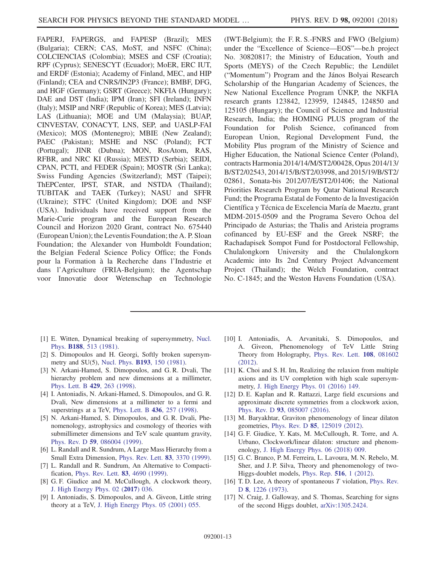FAPERJ, FAPERGS, and FAPESP (Brazil); MES (Bulgaria); CERN; CAS, MoST, and NSFC (China); COLCIENCIAS (Colombia); MSES and CSF (Croatia); RPF (Cyprus); SENESCYT (Ecuador); MoER, ERC IUT, and ERDF (Estonia); Academy of Finland, MEC, and HIP (Finland); CEA and CNRS/IN2P3 (France); BMBF, DFG, and HGF (Germany); GSRT (Greece); NKFIA (Hungary); DAE and DST (India); IPM (Iran); SFI (Ireland); INFN (Italy); MSIP and NRF (Republic of Korea); MES (Latvia); LAS (Lithuania); MOE and UM (Malaysia); BUAP, CINVESTAV, CONACYT, LNS, SEP, and UASLP-FAI (Mexico); MOS (Montenegro); MBIE (New Zealand); PAEC (Pakistan); MSHE and NSC (Poland); FCT (Portugal); JINR (Dubna); MON, RosAtom, RAS, RFBR, and NRC KI (Russia); MESTD (Serbia); SEIDI, CPAN, PCTI, and FEDER (Spain); MOSTR (Sri Lanka); Swiss Funding Agencies (Switzerland); MST (Taipei); ThEPCenter, IPST, STAR, and NSTDA (Thailand); TUBITAK and TAEK (Turkey); NASU and SFFR (Ukraine); STFC (United Kingdom); DOE and NSF (USA). Individuals have received support from the Marie-Curie program and the European Research Council and Horizon 2020 Grant, contract No. 675440 (European Union); the Leventis Foundation; the A. P. Sloan Foundation; the Alexander von Humboldt Foundation; the Belgian Federal Science Policy Office; the Fonds pour la Formation à la Recherche dans l'Industrie et dans l'Agriculture (FRIA-Belgium); the Agentschap voor Innovatie door Wetenschap en Technologie (IWT-Belgium); the F. R. S.-FNRS and FWO (Belgium) under the "Excellence of Science—EOS"—be.h project No. 30820817; the Ministry of Education, Youth and Sports (MEYS) of the Czech Republic; the Lendület ("Momentum") Program and the János Bolyai Research Scholarship of the Hungarian Academy of Sciences, the New National Excellence Program ÚNKP, the NKFIA research grants 123842, 123959, 124845, 124850 and 125105 (Hungary); the Council of Science and Industrial Research, India; the HOMING PLUS program of the Foundation for Polish Science, cofinanced from European Union, Regional Development Fund, the Mobility Plus program of the Ministry of Science and Higher Education, the National Science Center (Poland), contracts Harmonia 2014/14/M/ST2/00428, Opus 2014/13/ B/ST2/02543, 2014/15/B/ST2/03998, and 2015/19/B/ST2/ 02861, Sonata-bis 2012/07/E/ST2/01406; the National Priorities Research Program by Qatar National Research Fund; the Programa Estatal de Fomento de la Investigación Científica y Técnica de Excelencia María de Maeztu, grant MDM-2015-0509 and the Programa Severo Ochoa del Principado de Asturias; the Thalis and Aristeia programs cofinanced by EU-ESF and the Greek NSRF; the Rachadapisek Sompot Fund for Postdoctoral Fellowship, Chulalongkorn University and the Chulalongkorn Academic into Its 2nd Century Project Advancement Project (Thailand); the Welch Foundation, contract No. C-1845; and the Weston Havens Foundation (USA).

- <span id="page-12-0"></span>[1] E. Witten, Dynamical breaking of supersymmetry, [Nucl.](https://doi.org/10.1016/0550-3213(81)90006-7) Phys. B188[, 513 \(1981\).](https://doi.org/10.1016/0550-3213(81)90006-7)
- [2] S. Dimopoulos and H. Georgi, Softly broken supersymmetry and SU(5), Nucl. Phys. B193[, 150 \(1981\).](https://doi.org/10.1016/0550-3213(81)90522-8)
- <span id="page-12-1"></span>[3] N. Arkani-Hamed, S. Dimopoulos, and G. R. Dvali, The hierarchy problem and new dimensions at a millimeter, [Phys. Lett. B](https://doi.org/10.1016/S0370-2693(98)00466-3) 429, 263 (1998).
- [4] I. Antoniadis, N. Arkani-Hamed, S. Dimopoulos, and G. R. Dvali, New dimensions at a millimeter to a fermi and superstrings at a TeV, [Phys. Lett. B](https://doi.org/10.1016/S0370-2693(98)00860-0) 436, 257 (1998).
- [5] N. Arkani-Hamed, S. Dimopoulos, and G. R. Dvali, Phenomenology, astrophysics and cosmology of theories with submillimeter dimensions and TeV scale quantum gravity, Phys. Rev. D 59[, 086004 \(1999\)](https://doi.org/10.1103/PhysRevD.59.086004).
- <span id="page-12-2"></span>[6] L. Randall and R. Sundrum, A Large Mass Hierarchy from a Small Extra Dimension, [Phys. Rev. Lett.](https://doi.org/10.1103/PhysRevLett.83.3370) 83, 3370 (1999).
- [7] L. Randall and R. Sundrum, An Alternative to Compactification, [Phys. Rev. Lett.](https://doi.org/10.1103/PhysRevLett.83.4690) 83, 4690 (1999).
- <span id="page-12-3"></span>[8] G. F. Giudice and M. McCullough, A clockwork theory, [J. High Energy Phys. 02 \(](https://doi.org/10.1007/JHEP02(2017)036)2017) 036.
- <span id="page-12-4"></span>[9] I. Antoniadis, S. Dimopoulos, and A. Giveon, Little string theory at a TeV, [J. High Energy Phys. 05 \(2001\) 055.](https://doi.org/10.1088/1126-6708/2001/05/055)
- [10] I. Antoniadis, A. Arvanitaki, S. Dimopoulos, and A. Giveon, Phenomenology of TeV Little String Theory from Holography, [Phys. Rev. Lett.](https://doi.org/10.1103/PhysRevLett.108.081602) 108, 081602 [\(2012\).](https://doi.org/10.1103/PhysRevLett.108.081602)
- <span id="page-12-5"></span>[11] K. Choi and S. H. Im, Realizing the relaxion from multiple axions and its UV completion with high scale supersymmetry, [J. High Energy Phys. 01 \(2016\) 149.](https://doi.org/10.1007/JHEP01(2016)149)
- [12] D. E. Kaplan and R. Rattazzi, Large field excursions and approximate discrete symmetries from a clockwork axion, Phys. Rev. D 93[, 085007 \(2016\)](https://doi.org/10.1103/PhysRevD.93.085007).
- <span id="page-12-6"></span>[13] M. Baryakhtar, Graviton phenomenology of linear dilaton geometries, Phys. Rev. D 85[, 125019 \(2012\)](https://doi.org/10.1103/PhysRevD.85.125019).
- <span id="page-12-8"></span>[14] G. F. Giudice, Y. Kats, M. McCullough, R. Torre, and A. Urbano, Clockwork/linear dilaton: structure and phenomenology, [J. High Energy Phys. 06 \(2018\) 009.](https://doi.org/10.1007/JHEP06(2018)009)
- <span id="page-12-7"></span>[15] G. C. Branco, P. M. Ferreira, L. Lavoura, M. N. Rebelo, M. Sher, and J. P. Silva, Theory and phenomenology of two-Higgs-doublet models, [Phys. Rep.](https://doi.org/10.1016/j.physrep.2012.02.002) 516, 1 (2012).
- [16] T.D. Lee, A theory of spontaneous T violation, [Phys. Rev.](https://doi.org/10.1103/PhysRevD.8.1226) D 8[, 1226 \(1973\).](https://doi.org/10.1103/PhysRevD.8.1226)
- [17] N. Craig, J. Galloway, and S. Thomas, Searching for signs of the second Higgs doublet, [arXiv:1305.2424.](http://arXiv.org/abs/1305.2424)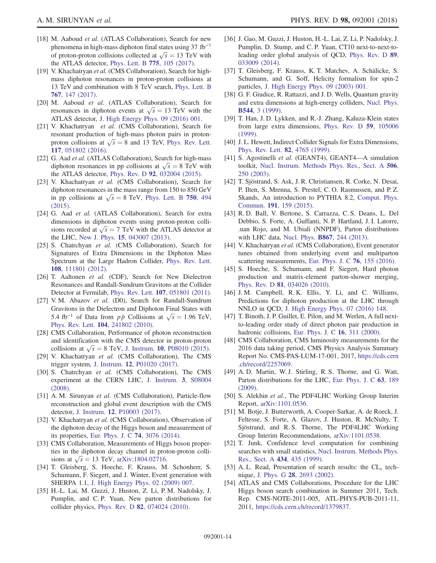- <span id="page-13-0"></span>[18] M. Aaboud et al. (ATLAS Collaboration), Search for new phenomena in high-mass diphoton final states using 37  $fb^{-1}$ of proton-proton collisions collected at  $\sqrt{s} = 13$  TeV with the ATLAS detector, [Phys. Lett. B](https://doi.org/10.1016/j.physletb.2017.10.039) 775, 105 (2017).
- <span id="page-13-26"></span>[19] V. Khachatryan et al. (CMS Collaboration), Search for highmass diphoton resonances in proton-proton collisions at 13 TeV and combination with 8 TeV search, [Phys. Lett. B](https://doi.org/10.1016/j.physletb.2017.01.027) 767[, 147 \(2017\)](https://doi.org/10.1016/j.physletb.2017.01.027).
- [20] M. Aaboud et al. (ATLAS Collaboration), Search for resonances in diphoton events at  $\sqrt{s} = 13$  TeV with the ATLAS detector, [J. High Energy Phys. 09 \(2016\) 001.](https://doi.org/10.1007/JHEP09(2016)001)
- [21] V. Khachatryan et al. (CMS Collaboration), Search for resonant production of high-mass photon pairs in protonproton collisions at  $\sqrt{s} = 8$  and 13 TeV, [Phys. Rev. Lett.](https://doi.org/10.1103/PhysRevLett.117.051802) 117[, 051802 \(2016\).](https://doi.org/10.1103/PhysRevLett.117.051802)
- <span id="page-13-1"></span>[22] G. Aad et al. (ATLAS Collaboration), Search for high-mass diphoton resonances in pp collisions at  $\sqrt{s} = 8$  TeV with the ATLAS detector, Phys. Rev. D 92[, 032004 \(2015\).](https://doi.org/10.1103/PhysRevD.92.032004)
- [23] V. Khachatryan et al. (CMS Collaboration), Search for diphoton resonances in the mass range from 150 to 850 GeV in pp collisions at  $\sqrt{s} = 8$  TeV, [Phys. Lett. B](https://doi.org/10.1016/j.physletb.2015.09.062) 750, 494 [\(2015\).](https://doi.org/10.1016/j.physletb.2015.09.062)
- [24] G. Aad et al. (ATLAS Collaboration), Search for extra dimensions in diphoton events using proton-proton collisions recorded at  $\sqrt{s} = 7$  TeV with the ATLAS detector at the LHC, New J. Phys. 15[, 043007 \(2013\).](https://doi.org/10.1088/1367-2630/15/4/043007)
- [25] S. Chatrchyan et al. (CMS Collaboration), Search for Signatures of Extra Dimensions in the Diphoton Mass Spectrum at the Large Hadron Collider, [Phys. Rev. Lett.](https://doi.org/10.1103/PhysRevLett.108.111801) 108[, 111801 \(2012\).](https://doi.org/10.1103/PhysRevLett.108.111801)
- <span id="page-13-2"></span>[26] T. Aaltonen et al. (CDF), Search for New Dielectron Resonances and Randall-Sundrum Gravitons at the Collider Detector at Fermilab, Phys. Rev. Lett. 107[, 051801 \(2011\).](https://doi.org/10.1103/PhysRevLett.107.051801)
- <span id="page-13-3"></span>[27] V. M. Abazov et al. (D0), Search for Randall-Sundrum Gravitons in the Dielectron and Diphoton Final States with 5.4 fb<sup>-1</sup> of Data from  $p\bar{p}$  Collisions at  $\sqrt{s} = 1.96$  TeV, Phys. Rev. Lett. 104[, 241802 \(2010\).](https://doi.org/10.1103/PhysRevLett.104.241802)
- <span id="page-13-4"></span>[28] CMS Collaboration, Performance of photon reconstruction and identification with the CMS detector in proton-proton collisions at  $\sqrt{s} = 8$  TeV, J. Instrum. 10[, P08010 \(2015\)](https://doi.org/10.1088/1748-0221/10/08/P08010).
- <span id="page-13-5"></span>[29] V. Khachatryan et al. (CMS Collaboration), The CMS trigger system, J. Instrum. 12[, P01020 \(2017\).](https://doi.org/10.1088/1748-0221/12/01/P01020)
- <span id="page-13-6"></span>[30] S. Chatrchyan et al. (CMS Collaboration), The CMS experiment at the CERN LHC, [J. Instrum.](https://doi.org/10.1088/1748-0221/3/08/S08004) 3, S08004 [\(2008\).](https://doi.org/10.1088/1748-0221/3/08/S08004)
- <span id="page-13-7"></span>[31] A. M. Sirunyan et al. (CMS Collaboration), Particle-flow reconstruction and global event description with the CMS detector, J. Instrum. 12[, P10003 \(2017\)](https://doi.org/10.1088/1748-0221/12/10/P10003).
- <span id="page-13-8"></span>[32] V. Khachatryan et al. (CMS Collaboration), Observation of the diphoton decay of the Higgs boson and measurement of its properties, [Eur. Phys. J. C](https://doi.org/10.1140/epjc/s10052-014-3076-z) 74, 3076 (2014).
- [33] CMS Collaboration, Measurements of Higgs boson properties in the diphoton decay channel in proton-proton collisions at  $\sqrt{s} = 13$  TeV, [arXiv:1804.02716.](http://arXiv.org/abs/1804.02716)
- <span id="page-13-9"></span>[34] T. Gleisberg, S. Hoeche, F. Krauss, M. Schonherr, S. Schumann, F. Siegert, and J. Winter, Event generation with SHERPA 1.1, [J. High Energy Phys. 02 \(2009\) 007.](https://doi.org/10.1088/1126-6708/2009/02/007)
- <span id="page-13-10"></span>[35] H.-L. Lai, M. Guzzi, J. Huston, Z. Li, P. M. Nadolsky, J. Pumplin, and C. P. Yuan, New parton distributions for collider physics, Phys. Rev. D 82[, 074024 \(2010\)](https://doi.org/10.1103/PhysRevD.82.074024).
- [36] J. Gao, M. Guzzi, J. Huston, H.-L. Lai, Z. Li, P. Nadolsky, J. Pumplin, D. Stump, and C. P. Yuan, CT10 next-to-next-toleading order global analysis of QCD, [Phys. Rev. D](https://doi.org/10.1103/PhysRevD.89.033009) 89, [033009 \(2014\).](https://doi.org/10.1103/PhysRevD.89.033009)
- <span id="page-13-11"></span>[37] T. Gleisberg, F. Krauss, K. T. Matchev, A. Schälicke, S. Schumann, and G. Soff, Helicity formalism for spin-2 particles, [J. High Energy Phys. 09 \(2003\) 001.](https://doi.org/10.1088/1126-6708/2003/09/001)
- <span id="page-13-12"></span>[38] G. F. Giudice, R. Rattazzi, and J. D. Wells, Quantum gravity and extra dimensions at high-energy colliders, [Nucl. Phys.](https://doi.org/10.1016/S0550-3213(99)00044-9) B544[, 3 \(1999\)](https://doi.org/10.1016/S0550-3213(99)00044-9).
- <span id="page-13-13"></span>[39] T. Han, J. D. Lykken, and R.-J. Zhang, Kaluza-Klein states from large extra dimensions, [Phys. Rev. D](https://doi.org/10.1103/PhysRevD.59.105006) 59, 105006 [\(1999\).](https://doi.org/10.1103/PhysRevD.59.105006)
- <span id="page-13-14"></span>[40] J. L. Hewett, Indirect Collider Signals for Extra Dimensions, [Phys. Rev. Lett.](https://doi.org/10.1103/PhysRevLett.82.4765) 82, 4765 (1999).
- <span id="page-13-15"></span>[41] S. Agostinelli et al. (GEANT4), GEANT4-A simulation toolkit, [Nucl. Instrum. Methods Phys. Res., Sect. A](https://doi.org/10.1016/S0168-9002(03)01368-8) 506, [250 \(2003\)](https://doi.org/10.1016/S0168-9002(03)01368-8).
- <span id="page-13-16"></span>[42] T. Sjöstrand, S. Ask, J. R. Christiansen, R. Corke, N. Desai, P. Ilten, S. Mrenna, S. Prestel, C. O. Rasmussen, and P. Z. Skands, An introduction to PYTHIA 8.2, [Comput. Phys.](https://doi.org/10.1016/j.cpc.2015.01.024) Commun. 191[, 159 \(2015\)](https://doi.org/10.1016/j.cpc.2015.01.024).
- <span id="page-13-17"></span>[43] R. D. Ball, V. Bertone, S. Carrazza, C. S. Deans, L. Del Debbio, S. Forte, A. Guffanti, N. P. Hartland, J. I. Latorre, .uan Rojo, and M. Ubiali (NNPDF), Parton distributions with LHC data, Nucl. Phys. B867[, 244 \(2013\).](https://doi.org/10.1016/j.nuclphysb.2012.10.003)
- <span id="page-13-18"></span>[44] V. Khachatryan et al. (CMS Collaboration), Event generator tunes obtained from underlying event and multiparton scattering measurements, [Eur. Phys. J. C](https://doi.org/10.1140/epjc/s10052-016-3988-x) 76, 155 (2016).
- [45] S. Hoeche, S. Schumann, and F. Siegert, Hard photon production and matrix-element parton-shower merging, Phys. Rev. D 81[, 034026 \(2010\)](https://doi.org/10.1103/PhysRevD.81.034026).
- <span id="page-13-19"></span>[46] J. M. Campbell, R. K. Ellis, Y. Li, and C. Williams, Predictions for diphoton production at the LHC through NNLO in QCD, [J. High Energy Phys. 07 \(2016\) 148.](https://doi.org/10.1007/JHEP07(2016)148)
- <span id="page-13-20"></span>[47] T. Binoth, J. P. Guillet, E. Pilon, and M. Werlen, A full nextto-leading order study of direct photon pair production in hadronic collisions, [Eur. Phys. J. C](https://doi.org/10.1007/s100520050024) 16, 311 (2000).
- <span id="page-13-21"></span>[48] CMS Collaboration, CMS luminosity measurements for the 2016 data taking period, CMS Physics Analysis Summary Report No. CMS-PAS-LUM-17-001, 2017, [https://cds.cern](https://cds.cern.ch/record/2257069) [.ch/record/2257069](https://cds.cern.ch/record/2257069).
- <span id="page-13-22"></span>[49] A. D. Martin, W. J. Stirling, R. S. Thorne, and G. Watt, Parton distributions for the LHC, [Eur. Phys. J. C](https://doi.org/10.1140/epjc/s10052-009-1072-5) 63, 189 [\(2009\).](https://doi.org/10.1140/epjc/s10052-009-1072-5)
- <span id="page-13-23"></span>[50] S. Alekhin et al., The PDF4LHC Working Group Interim Report, [arXiv:1101.0536.](http://arXiv.org/abs/1101.0536)
- [51] M. Botje, J. Butterworth, A. Cooper-Sarkar, A. de Roeck, J. Feltesse, S. Forte, A. Glazov, J. Huston, R. McNulty, T. Sjöstrand, and R. S. Thorne, The PDF4LHC Working Group Interim Recommendations, [arXiv:1101.0538.](http://arXiv.org/abs/1101.0538)
- <span id="page-13-24"></span>[52] T. Junk, Confidence level computation for combining searches with small statistics, [Nucl. Instrum. Methods Phys.](https://doi.org/10.1016/S0168-9002(99)00498-2) [Res., Sect. A](https://doi.org/10.1016/S0168-9002(99)00498-2) 434, 435 (1999).
- <span id="page-13-25"></span>[53] A. L. Read, Presentation of search results: the  $CL<sub>s</sub>$  technique, J. Phys. G 28[, 2693 \(2002\).](https://doi.org/10.1088/0954-3899/28/10/313)
- [54] ATLAS and CMS Collaborations, Procedure for the LHC Higgs boson search combination in Summer 2011, Tech. Rep. CMS-NOTE-2011-005, ATL-PHYS-PUB-2011-11, 2011, <https://cds.cern.ch/record/1379837>.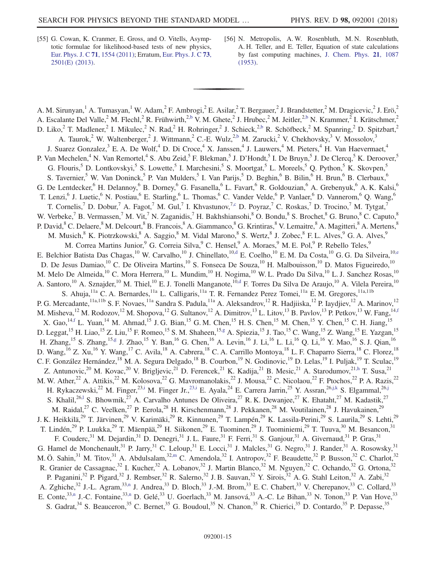- <span id="page-14-0"></span>[55] G. Cowan, K. Cranmer, E. Gross, and O. Vitells, Asymptotic formulae for likelihood-based tests of new physics, [Eur. Phys. J. C](https://doi.org/10.1140/epjc/s10052-011-1554-0) 71, 1554 (2011); Erratum, [Eur. Phys. J. C](https://doi.org/10.1140/epjc/s10052-013-2501-z) 73, [2501\(E\) \(2013\)](https://doi.org/10.1140/epjc/s10052-013-2501-z).
- <span id="page-14-1"></span>[56] N. Metropolis, A. W. Rosenbluth, M. N. Rosenbluth, A. H. Teller, and E. Teller, Equation of state calculations by fast computing machines, [J. Chem. Phys.](https://doi.org/10.1063/1.1699114) 21, 1087 [\(1953\).](https://doi.org/10.1063/1.1699114)

<span id="page-14-12"></span><span id="page-14-11"></span><span id="page-14-10"></span><span id="page-14-9"></span><span id="page-14-8"></span><span id="page-14-7"></span><span id="page-14-6"></span><span id="page-14-5"></span><span id="page-14-4"></span><span id="page-14-3"></span><span id="page-14-2"></span>A. M. Sirunyan,<sup>1</sup> A. Tumasyan,<sup>1</sup> W. Adam,<sup>2</sup> F. Ambrogi,<sup>2</sup> E. Asilar,<sup>2</sup> T. Bergauer,<sup>2</sup> J. Brandstetter,<sup>2</sup> M. Dragicevic,<sup>2</sup> J. Erö,<sup>2</sup> A. Escalante Del Valle,<sup>2</sup> M. Flechl,<sup>2</sup> R. Frühwirth,<sup>[2,b](#page-23-0)</sup> V. M. Ghete,<sup>2</sup> J. Hrubec,<sup>2</sup> M. Jeitler,<sup>2[,b](#page-23-0)</sup> N. Krammer,<sup>2</sup> I. Krätschmer,<sup>2</sup> D. Liko,<sup>2</sup> T. Madlener,<sup>2</sup> I. Mikulec,<sup>2</sup> N. Rad,<sup>2</sup> H. Rohringer,<sup>2</sup> J. Schieck,<sup>[2,b](#page-23-0)</sup> R. Schöfbeck,<sup>2</sup> M. Spanring,<sup>2</sup> D. Spitzbart,<sup>2</sup> A. Taurok,<sup>2</sup> W. Waltenberger,<sup>2</sup> J. Wittmann,<sup>2</sup> C.-E. Wulz,<sup>[2,b](#page-23-0)</sup> M. Zarucki,<sup>2</sup> V. Chekhovsky,<sup>3</sup> V. Mossolov,<sup>3</sup> J. Suarez Gonzalez,<sup>3</sup> E. A. De Wolf,<sup>4</sup> D. Di Croce,<sup>4</sup> X. Janssen,<sup>4</sup> J. Lauwers,<sup>4</sup> M. Pieters,<sup>4</sup> H. Van Haevermaet,<sup>4</sup> P. Van Mechelen,<sup>4</sup> N. Van Remortel,<sup>4</sup> S. Abu Zeid,<sup>5</sup> F. Blekman,<sup>5</sup> J. D'Hondt,<sup>5</sup> I. De Bruyn,<sup>5</sup> J. De Clercq,<sup>5</sup> K. Deroover,<sup>5</sup> G. Flouris,<sup>5</sup> D. Lontkovskyi,<sup>5</sup> S. Lowette,<sup>5</sup> I. Marchesini,<sup>5</sup> S. Moortgat,<sup>5</sup> L. Moreels,<sup>5</sup> Q. Python,<sup>5</sup> K. Skovpen,<sup>5</sup> S. Tavernier,<sup>5</sup> W. Van Doninck,<sup>5</sup> P. Van Mulders,<sup>5</sup> I. Van Parijs,<sup>5</sup> D. Beghin,<sup>6</sup> B. Bilin,<sup>6</sup> H. Brun,<sup>6</sup> B. Clerbaux,<sup>6</sup> G. De Lentdecker,  $6$  H. Delannoy,  $6$  B. Dorney,  $6$  G. Fasanella,  $6$  L. Favart,  $6$  R. Goldouzian,  $6$  A. Grebenyuk,  $6$  A. K. Kalsi,  $6$ T. Lenzi,<sup>6</sup> J. Luetic,<sup>6</sup> N. Postiau,<sup>6</sup> E. Starling,<sup>6</sup> L. Thomas,<sup>6</sup> C. Vander Velde,<sup>6</sup> P. Vanlaer,<sup>6</sup> D. Vannerom,<sup>6</sup> Q. Wang,<sup>6</sup> T. Cornelis,<sup>7</sup> D. Dobur,<sup>7</sup> A. Fagot,<sup>7</sup> M. Gul,<sup>7</sup> I. Khvastunov,<sup>7[,c](#page-23-1)</sup> D. Poyraz,<sup>7</sup> C. Roskas,<sup>7</sup> D. Trocino,<sup>7</sup> M. Tytgat,<sup>7</sup> W. Verbeke,<sup>7</sup> B. Vermassen,<sup>7</sup> M. Vit,<sup>7</sup> N. Zaganidis,<sup>7</sup> H. Bakhshiansohi,<sup>8</sup> O. Bondu,<sup>8</sup> S. Brochet,<sup>8</sup> G. Bruno,<sup>8</sup> C. Caputo,<sup>8</sup> P. David, <sup>8</sup> C. Delaere, <sup>8</sup> M. Delcourt, <sup>8</sup> B. Francois, <sup>8</sup> A. Giammanco, <sup>8</sup> G. Krintiras, <sup>8</sup> V. Lemaitre, <sup>8</sup> A. Magitteri, <sup>8</sup> A. Mertens, <sup>8</sup> M. Musich,<sup>8</sup> K. Piotrzkowski,<sup>8</sup> A. Saggio,<sup>8</sup> M. Vidal Marono,<sup>8</sup> S. Wertz,<sup>8</sup> J. Zobec,<sup>8</sup> F. L. Alves,<sup>9</sup> G. A. Alves,<sup>9</sup> M. Correa Martins Junior, <sup>9</sup> G. Correia Silva, <sup>9</sup> C. Hensel, <sup>9</sup> A. Moraes, <sup>9</sup> M. E. Pol, <sup>9</sup> P. Rebello Teles, <sup>9</sup> E. Belchior Batista Das Chagas,<sup>10</sup> W. Carvalho,<sup>10</sup> J. Chinellato,<sup>10[,d](#page-23-2)</sup> E. Coelho,<sup>10</sup> E. M. Da Costa,<sup>10</sup> G. G. Da Silveira,<sup>1[0,e](#page-23-3)</sup> D. De Jesus Damiao,<sup>10</sup> C. De Oliveira Martins,<sup>10</sup> S. Fonseca De Souza,<sup>10</sup> H. Malbouisson,<sup>10</sup> D. Matos Figueiredo,<sup>10</sup> M. Melo De Almeida,<sup>10</sup> C. Mora Herrera,<sup>10</sup> L. Mundim,<sup>10</sup> H. Nogima,<sup>10</sup> W. L. Prado Da Silva,<sup>10</sup> L. J. Sanchez Rosas,<sup>10</sup> A. Santoro,<sup>10</sup> A. Sznajder,<sup>10</sup> M. Thiel,<sup>10</sup> E. J. Tonelli Manganote,<sup>1[0,d](#page-23-2)</sup> F. Torres Da Silva De Araujo,<sup>10</sup> A. Vilela Pereira,<sup>10</sup> S. Ahuja, <sup>11a</sup> C. A. Bernardes, <sup>11a</sup> L. Calligaris, <sup>11a</sup> T. R. Fernandez Perez Tomei, <sup>11a</sup> E. M. Gregores, <sup>11a,11b</sup> P. G. Mercadante, <sup>11a,11b</sup> S. F. Novaes, <sup>11a</sup> Sandra S. Padula, <sup>11a</sup> A. Aleksandrov, <sup>12</sup> R. Hadjiiska, <sup>12</sup> P. Iaydjiev, <sup>12</sup> A. Marinov, <sup>12</sup> M. Misheva, <sup>12</sup> M. Rodozov, <sup>12</sup> M. Shopova, <sup>12</sup> G. Sultanov, <sup>12</sup> A. Dimitrov, <sup>13</sup> L. Litov, <sup>13</sup> B. Pavlov, <sup>13</sup> P. Petkov, <sup>13</sup> W. Fang, <sup>14, f</sup> X. Gao,<sup>14[,f](#page-23-4)</sup> L. Yuan,<sup>14</sup> M. Ahmad,<sup>15</sup> J. G. Bian,<sup>15</sup> G. M. Chen,<sup>15</sup> H. S. Chen,<sup>15</sup> M. Chen,<sup>15</sup> Y. Chen,<sup>15</sup> C. H. Jiang,<sup>15</sup> D. Leggat,<sup>15</sup> H. Liao,<sup>15</sup> Z. Liu,<sup>15</sup> F. Romeo,<sup>15</sup> S. M. Shaheen,<sup>15[,g](#page-23-5)</sup> A. Spiezia,<sup>15</sup> J. Tao,<sup>15</sup> C. Wang,<sup>15</sup> Z. Wang,<sup>15</sup> E. Yazgan,<sup>15</sup> H. Zhang,<sup>15</sup> S. Zhang,<sup>1[5,g](#page-23-5)</sup> J. Zhao,<sup>15</sup> Y. Ban,<sup>16</sup> G. Chen,<sup>16</sup> A. Levin,<sup>16</sup> J. Li,<sup>16</sup> L. Li,<sup>16</sup> Q. Li,<sup>16</sup> Y. Mao,<sup>16</sup> S. J. Qian,<sup>16</sup> D. Wang, <sup>16</sup> Z. Xu, <sup>16</sup> Y. Wang, <sup>17</sup> C. Avila, <sup>18</sup> A. Cabrera, <sup>18</sup> C. A. Carrillo Montoya, <sup>18</sup> L. F. Chaparro Sierra, <sup>18</sup> C. Florez, <sup>18</sup> C. F. González Hernández,<sup>18</sup> M. A. Segura Delgado,<sup>18</sup> B. Courbon,<sup>19</sup> N. Godinovic,<sup>19</sup> D. Lelas,<sup>19</sup> I. Puljak,<sup>19</sup> T. Sculac,<sup>19</sup> Z. Antunovic,<sup>20</sup> M. Kovac,<sup>20</sup> V. Brigljevic,<sup>21</sup> D. Ferencek,<sup>21</sup> K. Kadija,<sup>21</sup> B. Mesic,<sup>21</sup> A. Starodumov,<sup>21[,h](#page-23-6)</sup> T. Susa,<sup>21</sup> M. W. Ather,<sup>22</sup> A. Attikis,<sup>22</sup> M. Kolosova,<sup>22</sup> G. Mavromanolakis,<sup>22</sup> J. Mousa,<sup>22</sup> C. Nicolaou,<sup>22</sup> F. Ptochos,<sup>22</sup> P. A. Razis,<sup>22</sup> H. Rykaczewski,<sup>22</sup> M. Finger,<sup>2[3,i](#page-24-0)</sup> M. Finger Jr.,<sup>23,i</sup> E. Ayala,<sup>24</sup> E. Carrera Jarrin,<sup>25</sup> Y. Assran,<sup>26[,j,k](#page-24-1)</sup> S. Elgammal,<sup>26[,j](#page-24-1)</sup> S. Khalil,<sup>2[6,l](#page-24-2)</sup> S. Bhowmik,<sup>27</sup> A. Carvalho Antunes De Oliveira,<sup>27</sup> R. K. Dewanjee,<sup>27</sup> K. Ehataht,<sup>27</sup> M. Kadastik,<sup>27</sup> M. Raidal,<sup>27</sup> C. Veelken,<sup>27</sup> P. Eerola,<sup>28</sup> H. Kirschenmann,<sup>28</sup> J. Pekkanen,<sup>28</sup> M. Voutilainen,<sup>28</sup> J. Havukainen,<sup>29</sup> J. K. Heikkilä,<sup>29</sup> T. Järvinen,<sup>29</sup> V. Karimäki,<sup>29</sup> R. Kinnunen,<sup>29</sup> T. Lampén,<sup>29</sup> K. Lassila-Perini,<sup>29</sup> S. Laurila,<sup>29</sup> S. Lehti,<sup>29</sup> T. Lindén,<sup>29</sup> P. Luukka,<sup>29</sup> T. Mäenpää,<sup>29</sup> H. Siikonen,<sup>29</sup> E. Tuominen,<sup>29</sup> J. Tuominiemi,<sup>29</sup> T. Tuuva,<sup>30</sup> M. Besancon,<sup>31</sup> F. Couderc,<sup>31</sup> M. Dejardin,<sup>31</sup> D. Denegri,<sup>31</sup> J. L. Faure,<sup>31</sup> F. Ferri,<sup>31</sup> S. Ganjour,<sup>31</sup> A. Givernaud,<sup>31</sup> P. Gras,<sup>31</sup> G. Hamel de Monchenault,<sup>31</sup> P. Jarry,<sup>31</sup> C. Leloup,<sup>31</sup> E. Locci,<sup>31</sup> J. Malcles,<sup>31</sup> G. Negro,<sup>31</sup> J. Rander,<sup>31</sup> A. Rosowsky,<sup>31</sup> M. Ö. Sahin,<sup>31</sup> M. Titov,<sup>31</sup> A. Abdulsalam,<sup>3[2,m](#page-24-3)</sup> C. Amendola,<sup>32</sup> I. Antropov,<sup>32</sup> F. Beaudette,<sup>32</sup> P. Busson,<sup>32</sup> C. Charlot,<sup>32</sup> R. Granier de Cassagnac,<sup>32</sup> I. Kucher,<sup>32</sup> A. Lobanov,<sup>32</sup> J. Martin Blanco,<sup>32</sup> M. Nguyen,<sup>32</sup> C. Ochando,<sup>32</sup> G. Ortona,<sup>32</sup> P. Paganini,<sup>32</sup> P. Pigard,<sup>32</sup> J. Rembser,<sup>32</sup> R. Salerno,<sup>32</sup> J. B. Sauvan,<sup>32</sup> Y. Sirois,<sup>32</sup> A. G. Stahl Leiton,<sup>32</sup> A. Zabi,<sup>32</sup> A. Zghiche,<sup>32</sup> J.-L. Agram,<sup>3[3,n](#page-24-4)</sup> J. Andrea,<sup>33</sup> D. Bloch,<sup>33</sup> J.-M. Brom,<sup>33</sup> E.C. Chabert,<sup>33</sup> V. Cherepanov,<sup>33</sup> C. Collard,<sup>33</sup> E. Conte,  $33, n$  J.-C. Fontaine,  $33, n$  D. Gelé,  $33$  U. Goerlach,  $33$  M. Jansová,  $33$  A.-C. Le Bihan,  $33$  N. Tonon,  $33$  P. Van Hove,  $33$ S. Gadrat,<sup>34</sup> S. Beauceron,<sup>35</sup> C. Bernet,<sup>35</sup> G. Boudoul,<sup>35</sup> N. Chanon,<sup>35</sup> R. Chierici,<sup>35</sup> D. Contardo,<sup>35</sup> P. Depasse,<sup>35</sup>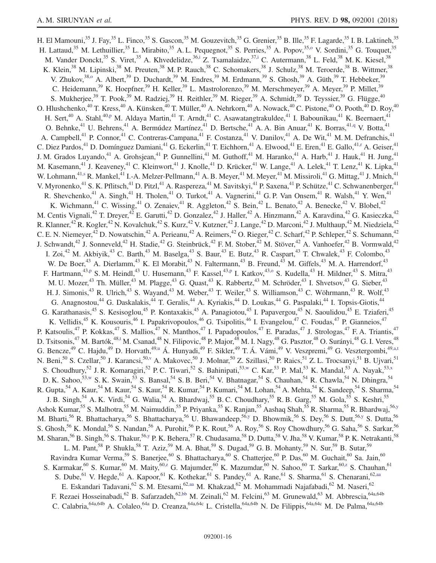<span id="page-15-12"></span><span id="page-15-11"></span><span id="page-15-10"></span><span id="page-15-9"></span><span id="page-15-8"></span><span id="page-15-7"></span><span id="page-15-6"></span><span id="page-15-5"></span><span id="page-15-4"></span><span id="page-15-3"></span><span id="page-15-2"></span><span id="page-15-1"></span><span id="page-15-0"></span>H. El Mamouni,<sup>35</sup> J. Fay,<sup>35</sup> L. Finco,<sup>35</sup> S. Gascon,<sup>35</sup> M. Gouzevitch,<sup>35</sup> G. Grenier,<sup>35</sup> B. Ille,<sup>35</sup> F. Lagarde,<sup>35</sup> I. B. Laktineh,<sup>35</sup> H. Lattaud,<sup>35</sup> M. Lethuillier,<sup>35</sup> L. Mirabito,<sup>35</sup> A. L. Pequegnot,<sup>35</sup> S. Perries,<sup>35</sup> A. Popov,<sup>35,0</sup> V. Sordini,<sup>35</sup> G. Touquet,<sup>35</sup> M. Vander Donckt,<sup>35</sup> S. Viret,<sup>35</sup> A. Khvedelidze,<sup>36[,i](#page-24-0)</sup> Z. Tsamalaidze,<sup>37,i</sup> C. Autermann,<sup>38</sup> L. Feld,<sup>38</sup> M. K. Kiesel,<sup>38</sup> K. Klein,<sup>38</sup> M. Lipinski,<sup>38</sup> M. Preuten,<sup>38</sup> M. P. Rauch,<sup>38</sup> C. Schomakers,<sup>38</sup> J. Schulz,<sup>38</sup> M. Teroerde,<sup>38</sup> B. Wittmer,<sup>38</sup> V. Zhukov, 38,0 A. Albert, <sup>39</sup> D. Duchardt, <sup>39</sup> M. Endres, <sup>39</sup> M. Erdmann, <sup>39</sup> S. Ghosh, <sup>39</sup> A. Güth, <sup>39</sup> T. Hebbeker, <sup>39</sup> C. Heidemann,<sup>39</sup> K. Hoepfner,<sup>39</sup> H. Keller,<sup>39</sup> L. Mastrolorenzo,<sup>39</sup> M. Merschmeyer,<sup>39</sup> A. Meyer,<sup>39</sup> P. Millet,<sup>39</sup> S. Mukherjee,  $39$  T. Pook,  $39$  M. Radziej,  $39$  H. Reithler,  $39$  M. Rieger,  $39$  A. Schmidt,  $39$  D. Teyssier,  $39$  G. Flügge,  $40$ O. Hlushchenko,<sup>40</sup> T. Kress,<sup>40</sup> A. Künsken,<sup>40</sup> T. Müller,<sup>40</sup> A. Nehrkorn,<sup>40</sup> A. Nowack,<sup>40</sup> C. Pistone,<sup>40</sup> O. Pooth,<sup>40</sup> D. Roy,<sup>40</sup> H. Sert,<sup>40</sup> A. Stahl,<sup>4[0,p](#page-24-6)</sup> M. Aldaya Martin,<sup>41</sup> T. Arndt,<sup>41</sup> C. Asawatangtrakuldee,<sup>41</sup> I. Babounikau,<sup>41</sup> K. Beernaert,<sup>41</sup> O. Behnke,<sup>41</sup> U. Behrens,<sup>41</sup> A. Bermúdez Martínez,<sup>41</sup> D. Bertsche,<sup>41</sup> A. A. Bin Anuar,<sup>41</sup> K. Borras,<sup>41[,q](#page-24-7)</sup> V. Botta,<sup>41</sup> A. Campbell,<sup>41</sup> P. Connor,<sup>41</sup> C. Contreras-Campana,<sup>41</sup> F. Costanza,<sup>41</sup> V. Danilov,<sup>41</sup> A. De Wit,<sup>41</sup> M. M. Defranchis,<sup>41</sup> C. Diez Pardos,<sup>41</sup> D. Domínguez Damiani,<sup>41</sup> G. Eckerlin,<sup>41</sup> T. Eichhorn,<sup>41</sup> A. Elwood,<sup>41</sup> E. Eren,<sup>41</sup> E. Gallo,<sup>4[1,r](#page-24-8)</sup> A. Geiser,<sup>41</sup> J. M. Grados Luyando,<sup>41</sup> A. Grohsjean,<sup>41</sup> P. Gunnellini,<sup>41</sup> M. Guthoff,<sup>41</sup> M. Haranko,<sup>41</sup> A. Harb,<sup>41</sup> J. Hauk,<sup>41</sup> H. Jung,<sup>41</sup> M. Kasemann,<sup>41</sup> J. Keaveney,<sup>41</sup> C. Kleinwort,<sup>41</sup> J. Knolle,<sup>41</sup> D. Krücker,<sup>41</sup> W. Lange,<sup>41</sup> A. Lelek,<sup>41</sup> T. Lenz,<sup>41</sup> K. Lipka,<sup>41</sup> W. Lohmann,<sup>41[,s](#page-24-9)</sup> R. Mankel,<sup>41</sup> I.-A. Melzer-Pellmann,<sup>41</sup> A. B. Meyer,<sup>41</sup> M. Meyer,<sup>41</sup> M. Missiroli,<sup>41</sup> G. Mittag,<sup>41</sup> J. Mnich,<sup>41</sup> V. Myronenko,<sup>41</sup> S. K. Pflitsch,<sup>41</sup> D. Pitzl,<sup>41</sup> A. Raspereza,<sup>41</sup> M. Savitskyi,<sup>41</sup> P. Saxena,<sup>41</sup> P. Schütze,<sup>41</sup> C. Schwanenberger,<sup>41</sup> R. Shevchenko,<sup>41</sup> A. Singh,<sup>41</sup> H. Tholen,<sup>41</sup> O. Turkot,<sup>41</sup> A. Vagnerini,<sup>41</sup> G. P. Van Onsem,<sup>41</sup> R. Walsh,<sup>41</sup> Y. Wen,<sup>41</sup> K. Wichmann,<sup>41</sup> C. Wissing,<sup>41</sup> O. Zenaiev,<sup>41</sup> R. Aggleton,<sup>42</sup> S. Bein,<sup>42</sup> L. Benato,<sup>42</sup> A. Benecke,<sup>42</sup> V. Blobel,<sup>42</sup> M. Centis Vignali,<sup>42</sup> T. Dreyer,<sup>42</sup> E. Garutti,<sup>42</sup> D. Gonzalez,<sup>42</sup> J. Haller,<sup>42</sup> A. Hinzmann,<sup>42</sup> A. Karavdina,<sup>42</sup> G. Kasieczka,<sup>42</sup> R. Klanner,<sup>42</sup> R. Kogler,<sup>42</sup> N. Kovalchuk,<sup>42</sup> S. Kurz,<sup>42</sup> V. Kutzner,<sup>42</sup> J. Lange,<sup>42</sup> D. Marconi,<sup>42</sup> J. Multhaup,<sup>42</sup> M. Niedziela,<sup>42</sup> C. E. N. Niemeyer,<sup>42</sup> D. Nowatschin,<sup>42</sup> A. Perieanu,<sup>42</sup> A. Reimers,<sup>42</sup> O. Rieger,<sup>42</sup> C. Scharf,<sup>42</sup> P. Schleper,<sup>42</sup> S. Schumann,<sup>42</sup> J. Schwandt,<sup>42</sup> J. Sonneveld,<sup>42</sup> H. Stadie,<sup>42</sup> G. Steinbrück,<sup>42</sup> F. M. Stober,<sup>42</sup> M. Stöver,<sup>42</sup> A. Vanhoefer,<sup>42</sup> B. Vormwald,<sup>42</sup> I. Zoi,<sup>42</sup> M. Akbiyik,<sup>43</sup> C. Barth,<sup>43</sup> M. Baselga,<sup>43</sup> S. Baur,<sup>43</sup> E. Butz,<sup>43</sup> R. Caspart,<sup>43</sup> T. Chwalek,<sup>43</sup> F. Colombo,<sup>43</sup> W. De Boer,<sup>43</sup> A. Dierlamm,<sup>43</sup> K. El Morabit,<sup>43</sup> N. Faltermann,<sup>43</sup> B. Freund,<sup>43</sup> M. Giffels,<sup>43</sup> M. A. Harrendorf,<sup>43</sup> F. Hartmann,<sup>4[3,p](#page-24-6)</sup> S. M. Heindl,<sup>43</sup> U. Husemann,<sup>43</sup> F. Kassel,<sup>43[,p](#page-24-6)</sup> I. Katkov,<sup>43[,o](#page-24-5)</sup> S. Kudella,<sup>43</sup> H. Mildner,<sup>43</sup> S. Mitra,<sup>43</sup> M. U. Mozer,<sup>43</sup> Th. Müller,<sup>43</sup> M. Plagge,<sup>43</sup> G. Quast,<sup>43</sup> K. Rabbertz,<sup>43</sup> M. Schröder,<sup>43</sup> I. Shvetsov,<sup>43</sup> G. Sieber,<sup>43</sup> H. J. Simonis,<sup>43</sup> R. Ulrich,<sup>43</sup> S. Wayand,<sup>43</sup> M. Weber,<sup>43</sup> T. Weiler,<sup>43</sup> S. Williamson,<sup>43</sup> C. Wöhrmann,<sup>43</sup> R. Wolf,<sup>43</sup> G. Anagnostou,<sup>44</sup> G. Daskalakis,<sup>44</sup> T. Geralis,<sup>44</sup> A. Kyriakis,<sup>44</sup> D. Loukas,<sup>44</sup> G. Paspalaki,<sup>44</sup> I. Topsis-Giotis,<sup>44</sup> G. Karathanasis,<sup>45</sup> S. Kesisoglou,<sup>45</sup> P. Kontaxakis,<sup>45</sup> A. Panagiotou,<sup>45</sup> I. Papavergou,<sup>45</sup> N. Saoulidou,<sup>45</sup> E. Tziaferi,<sup>45</sup> K. Vellidis,<sup>45</sup> K. Kousouris,<sup>46</sup> I. Papakrivopoulos,<sup>46</sup> G. Tsipolitis,<sup>46</sup> I. Evangelou,<sup>47</sup> C. Foudas,<sup>47</sup> P. Gianneios,<sup>47</sup> P. Katsoulis,<sup>47</sup> P. Kokkas,<sup>47</sup> S. Mallios,<sup>47</sup> N. Manthos,<sup>47</sup> I. Papadopoulos,<sup>47</sup> E. Paradas,<sup>47</sup> J. Strologas,<sup>47</sup> F. A. Triantis,<sup>47</sup> D. Tsitsonis,<sup>47</sup> M. Bartók,<sup>4[8,t](#page-24-10)</sup> M. Csanad,<sup>48</sup> N. Filipovic,<sup>48</sup> P. Major,<sup>48</sup> M. I. Nagy,<sup>48</sup> G. Pasztor,<sup>48</sup> O. Surányi,<sup>48</sup> G. I. Veres,<sup>48</sup> G. Bencze,<sup>49</sup> C. Hajdu,<sup>49</sup> D. Horvath,<sup>49[,u](#page-24-11)</sup> Á. Hunyadi,<sup>49</sup> F. Sikler,<sup>49</sup> T. Á. Vámi,<sup>49</sup> V. Veszpremi,<sup>49</sup> G. Vesztergombi,<sup>4[9,a,t](#page-23-7)</sup> N. Beni,<sup>50</sup> S. Czellar,<sup>50</sup> J. Karancsi,<sup>50[,v](#page-24-12)</sup> A. Makovec,<sup>50</sup> J. Molnar,<sup>50</sup> Z. Szillasi,<sup>50</sup> P. Raics,<sup>51</sup> Z. L. Trocsanyi,<sup>51</sup> B. Ujvari,<sup>51</sup> S. Choudhury,<sup>52</sup> J. R. Komaragiri,<sup>52</sup> P. C. Tiwari,<sup>52</sup> S. Bahinipati,<sup>5[3,w](#page-24-13)</sup> C. Kar,<sup>53</sup> P. Mal,<sup>53</sup> K. Mandal,<sup>53</sup> A. Nayak,<sup>5[3,x](#page-24-14)</sup> D. K. Sahoo,<sup>5[3,w](#page-24-13)</sup> S. K. Swain,<sup>53</sup> S. Bansal,<sup>54</sup> S. B. Beri,<sup>54</sup> V. Bhatnagar,<sup>54</sup> S. Chauhan,<sup>54</sup> R. Chawla,<sup>54</sup> N. Dhingra,<sup>54</sup> R. Gupta,<sup>54</sup> A. Kaur,<sup>54</sup> M. Kaur,<sup>54</sup> S. Kaur,<sup>54</sup> R. Kumar,<sup>54</sup> P. Kumari,<sup>54</sup> M. Lohan,<sup>54</sup> A. Mehta,<sup>54</sup> K. Sandeep,<sup>54</sup> S. Sharma,<sup>54</sup> J. B. Singh,<sup>54</sup> A. K. Virdi,<sup>54</sup> G. Walia,<sup>54</sup> A. Bhardwaj,<sup>55</sup> B. C. Choudhary,<sup>55</sup> R. B. Garg,<sup>55</sup> M. Gola,<sup>55</sup> S. Keshri,<sup>55</sup> Ashok Kumar,<sup>55</sup> S. Malhotra,<sup>55</sup> M. Naimuddin,<sup>55</sup> P. Priyanka,<sup>55</sup> K. Ranjan,<sup>55</sup> Aashaq Shah,<sup>55</sup> R. Sharma,<sup>55</sup> R. Bhardwaj,<sup>56[,y](#page-24-15)</sup> M. Bharti,<sup>56</sup> R. Bhattacharya,<sup>56</sup> S. Bhattacharya,<sup>56</sup> U. Bhawandeep,<sup>5[6,y](#page-24-15)</sup> D. Bhowmik,<sup>56</sup> S. Dey,<sup>56</sup> S. Dutt,<sup>56[,y](#page-24-15)</sup> S. Dutta,<sup>56</sup> S. Ghosh,<sup>56</sup> K. Mondal,<sup>56</sup> S. Nandan,<sup>56</sup> A. Purohit,<sup>56</sup> P. K. Rout,<sup>56</sup> A. Roy,<sup>56</sup> S. Roy Chowdhury,<sup>56</sup> G. Saha,<sup>56</sup> S. Sarkar,<sup>56</sup> M. Sharan,<sup>56</sup> B. Singh,<sup>56</sup> S. Thakur,<sup>5[6,y](#page-24-15)</sup> P. K. Behera,<sup>57</sup> R. Chudasama,<sup>58</sup> D. Dutta,<sup>58</sup> V. Jha,<sup>58</sup> V. Kumar,<sup>58</sup> P. K. Netrakanti,<sup>58</sup> L. M. Pant,<sup>58</sup> P. Shukla,<sup>58</sup> T. Aziz,<sup>59</sup> M. A. Bhat,<sup>59</sup> S. Dugad,<sup>59</sup> G. B. Mohanty,<sup>59</sup> N. Sur,<sup>59</sup> B. Sutar,<sup>59</sup> Ravindra Kumar Verma,<sup>59</sup> S. Banerjee,<sup>60</sup> S. Bhattacharya,<sup>60</sup> S. Chatterjee,<sup>60</sup> P. Das,<sup>60</sup> M. Guchait,<sup>60</sup> Sa. Jain,<sup>60</sup> S. Karmakar,<sup>60</sup> S. Kumar,<sup>60</sup> M. Maity,<sup>6[0,z](#page-24-16)</sup> G. Majumder,<sup>60</sup> K. Mazumdar,<sup>60</sup> N. Sahoo,<sup>60</sup> T. Sarkar,<sup>60,z</sup> S. Chauhan,<sup>61</sup> S. Dube,<sup>61</sup> V. Hegde,<sup>61</sup> A. Kapoor,<sup>61</sup> K. Kothekar,<sup>61</sup> S. Pandey,<sup>61</sup> A. Rane,<sup>61</sup> S. Sharma,<sup>61</sup> S. Chenarani,<sup>62[,aa](#page-24-17)</sup> E. Eskandari Tadavani, <sup>62</sup> S. M. Etesami, <sup>6[2,aa](#page-24-17)</sup> M. Khakzad, <sup>62</sup> M. Mohammadi Najafabadi, <sup>62</sup> M. Naseri, <sup>62</sup> F. Rezaei Hosseinabadi, <sup>62</sup> B. Safarzadeh, <sup>62[,bb](#page-24-18)</sup> M. Zeinali, <sup>62</sup> M. Felcini, <sup>63</sup> M. Grunewald, <sup>63</sup> M. Abbrescia, <sup>64a, 64b</sup> C. Calabria, <sup>64a,64b</sup> A. Colaleo, <sup>64a</sup> D. Creanza, <sup>64a,64c</sup> L. Cristella, <sup>64a,64b</sup> N. De Filippis, <sup>64a,64c</sup> M. De Palma, <sup>64a,64b</sup>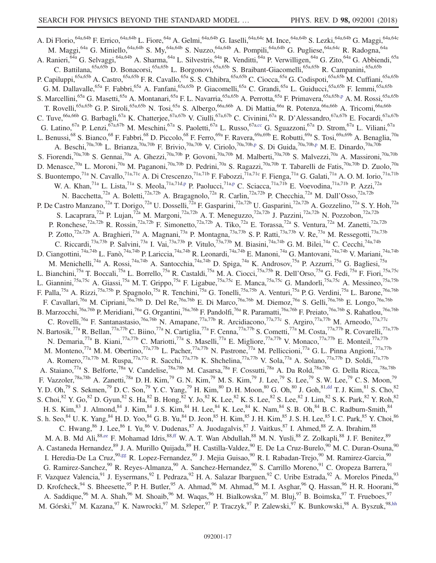<span id="page-16-4"></span><span id="page-16-3"></span><span id="page-16-2"></span><span id="page-16-1"></span><span id="page-16-0"></span>A. Di Florio,<sup>64a,64b</sup> F. Errico,<sup>64a,64b</sup> L. Fiore,<sup>64a</sup> A. Gelmi,<sup>64a,64b</sup> G. Iaselli,<sup>64a,64c</sup> M. Ince,<sup>64a,64b</sup> S. Lezki,<sup>64a,64b</sup> G. Maggi,<sup>64a,64c</sup> M. Maggi,<sup>64a</sup> G. Miniello,<sup>64a,64b</sup> S. My,<sup>64a,64b</sup> S. Nuzzo,<sup>64a,64b</sup> A. Pompili,<sup>64a,64b</sup> G. Pugliese,<sup>64a,64c</sup> R. Radogna,<sup>64a</sup> A. Ranieri,  $^{64a}$  G. Selvaggi,  $^{64a}$  A. Sharma,  $^{64a}$  L. Silvestris,  $^{64a}$  R. Venditti,  $^{64a}$  P. Verwilligen,  $^{64a}$  G. Zito,  $^{64a}$  G. Abbiendi,  $^{65a}$ C. Battilana, <sup>65a,65b</sup> D. Bonacorsi, <sup>65a,65b</sup> L. Borgonovi, <sup>65a,65b</sup> S. Braibant-Giacomelli, <sup>65a,65b</sup> R. Campanini, <sup>65a,65b</sup> P. Capiluppi,<sup>65a,65b</sup> A. Castro,<sup>65a,65b</sup> F. R. Cavallo,<sup>65a</sup> S. S. Chhibra,<sup>65a,65b</sup> C. Ciocca,<sup>65a</sup> G. Codispoti,<sup>65a,65b</sup> M. Cuffiani,<sup>65a,65b</sup> G. M. Dallavalle, <sup>65a</sup> F. Fabbri, <sup>65a</sup> A. Fanfani, <sup>65a,65b</sup> P. Giacomelli, <sup>65a</sup> C. Grandi, <sup>65a</sup> L. Guiducci, <sup>65a,65b</sup> F. Iemmi, <sup>65a,65b</sup> S. Marcellini,<sup>65a</sup> G. Masetti,<sup>65a</sup> A. Montanari,<sup>65a</sup> F. L. Navarria,<sup>65a,65b</sup> A. Perrotta,<sup>65a</sup> F. Primavera,<sup>65a,65b[,p](#page-24-6)</sup> A. M. Rossi,<sup>65a,65b</sup> T. Rovelli,<sup>65a,65b</sup> G. P. Siroli,<sup>65a,65b</sup> N. Tosi,<sup>65a</sup> S. Albergo,<sup>66a,66b</sup> A. Di Mattia,<sup>66a</sup> R. Potenza,<sup>66a,66b</sup> A. Tricomi,<sup>66a,66b</sup> C. Tuve,<sup>66a,66b</sup> G. Barbagli,<sup>67a</sup> K. Chatterjee,<sup>67a,67b</sup> V. Ciulli,<sup>67a,67b</sup> C C. Tuve,<sup>66a,66b</sup> G. Barbagli,<sup>67a</sup> K. Chatterjee,<sup>67a,67b</sup> V. Ciulli,<sup>67a,67b</sup> C. Civinini,<sup>67a</sup> R. D'Alessandro,<sup>67a,67b</sup> E. Focardi,<sup>67a,67b</sup> G. Latino,<sup>67a</sup> P. Lenzi,<sup>67a,67b</sup> M. Meschini,<sup>67a</sup> S. Paoletti,<sup>67a</sup> L. Russo,<sup>67[a,cc](#page-24-19)</sup> G. Sguazzoni,<sup>67a</sup> D. Strom,<sup>67a</sup> L. Viliani,<sup>67a</sup> L. Benussi,<sup>68</sup> S. Bianco,<sup>68</sup> F. Fabbri,<sup>68</sup> D. Piccolo,<sup>68</sup> F. Ferro,<sup>69a</sup> F. Ravera,<sup>69a,69b</sup> E. Robutti,<sup>69a</sup> S. Tosi,<sup>69a,69b</sup> A. Benaglia,<sup>70a</sup> A. Beschi,<sup>70a,70b</sup> L. Brianza,<sup>70a,70b</sup> F. Brivio,<sup>70a,70b</sup> V. Ciriolo,<sup>70a,70b[,p](#page-24-6)</sup> S. Di Guida,<sup>70a,70b,p</sup> M. E. Dinardo,<sup>70a,70b</sup> S. Fiorendi,<sup>70a,70b</sup> S. Gennai,<sup>70a</sup> A. Ghezzi,<sup>70a,70b</sup> P. Govoni,<sup>70a,70b</sup> M. Malberti,<sup>70a,70b</sup> S. Malvezzi,<sup>70a</sup> A. Massironi,<sup>70a,70b</sup> D. Menasce,<sup>70a</sup> L. Moroni,<sup>70a</sup> M. Paganoni,<sup>70a,70b</sup> D. Pedrini,<sup>70a</sup> S. Ragazzi,<sup>70a,70b</sup> T. Tabarelli de Fatis,<sup>70a,70b</sup> D. Zuolo,<sup>70a</sup> S. Buontempo,<sup>71a</sup> N. Cavallo,<sup>71a,71c</sup> A. Di Crescenzo,<sup>71a,71b</sup> F. Fabozzi,<sup>71a,71c</sup> F. Fienga,<sup>71a</sup> G. Galati,<sup>71a</sup> A. O. M. Iorio,<sup>71a,71b</sup> W. A. Khan,<sup>71a</sup> L. Lista,<sup>71a</sup> S. Meola,<sup>71a,71[d,p](#page-24-6)</sup> P. Paolucci,<sup>71[a,p](#page-24-6)</sup> C. Sciacca,<sup>71a,71b</sup> E. Voevodina,<sup>71a,71b</sup> P. Azzi,<sup>72a</sup> N. Bacchetta,<sup>72a</sup> A. Boletti,<sup>72a,72b</sup> A. Bragagnolo,<sup>72a</sup> R. Carlin,<sup>72a,72b</sup> P. Checchia,<sup>72a</sup> M. Dall'Osso,<sup>72a,72b</sup> P. De Castro Manzano,<sup>72a</sup> T. Dorigo,<sup>72a</sup> U. Dosselli,<sup>72a</sup> F. Gasparini,<sup>72a,72b</sup> U. Gasparini,<sup>72a,72b</sup> A. Gozzelino,<sup>72a</sup> S. Y. Hoh,<sup>72a</sup> S. Lacaprara,<sup>72a</sup> P. Lujan,<sup>72a</sup> M. Margoni,<sup>72a,72b</sup> A. T. Meneguzzo,<sup>72a,72b</sup> J. Pazzini,<sup>72a,72b</sup> N. Pozzobon,<sup>72a,72b</sup> P. Ronchese,<sup>72a,72b</sup> R. Rossin,<sup>72a,72b</sup> F. Simonetto,<sup>72a,72b</sup> A. Tiko,<sup>72a</sup> E. Torassa,<sup>72a</sup> S. Ventura,<sup>72a</sup> M. Zanetti,<sup>72a,72b</sup> P. Zotto,<sup>72a,72b</sup> A. Braghieri,<sup>73a</sup> A. Magnani,<sup>73a</sup> P. Montagna,<sup>73a,73b</sup> S. P. Ratti,<sup>73a,73b</sup> V. Re,<sup>73a</sup> M. Ressegotti,<sup>73a,73b</sup> C. Riccardi,<sup>73a,73b</sup> P. Salvini,<sup>73a</sup> I. Vai,<sup>73a,73b</sup> P. Vitulo,<sup>73a,73b</sup> M. Biasini,<sup>74a,74b</sup> G. M. Bilei,<sup>74a</sup> C. Cecchi,<sup>74a,74b</sup> D. Ciangottini,<sup>74a,74b</sup> L. Fanò,<sup>74a,74b</sup> P. Lariccia,<sup>74a,74b</sup> R. Leonardi,<sup>74a,74b</sup> E. Manoni,<sup>74a</sup> G. Mantovani,<sup>74a,74b</sup> V. Mariani,<sup>74a,74b</sup> M. Menichelli,<sup>74a</sup> A. Rossi,<sup>74a,74b</sup> A. Santocchia,<sup>74a,74b</sup> D. Spiga,<sup>74a</sup> K. Androsov,<sup>75a</sup> P. Azzurri,<sup>75a</sup> G. Bagliesi,<sup>75a</sup> L. Bianchini,<sup>75a</sup> T. Boccali,<sup>75a</sup> L. Borrello,<sup>75a</sup> R. Castaldi,<sup>75a</sup> M. A. Ciocci,<sup>75a,75b</sup> R. Dell'Orso,<sup>75a</sup> G. Fedi,<sup>75a</sup> F. Fiori,<sup>75a,75c</sup> L. Giannini,<sup>75a,75c</sup> A. Giassi,<sup>75a</sup> M. T. Grippo,<sup>75a</sup> F. Ligabue,<sup>75a,75c</sup> E. Manca,<sup>75a,75c</sup> G. Mandorli,<sup>75a,75c</sup> A. Messineo,<sup>75a,75b</sup> F. Palla,<sup>75a</sup> A. Rizzi,<sup>75a,75b</sup> P. Spagnolo,<sup>75a</sup> R. Tenchini,<sup>75a</sup> G. Tonelli,<sup>75a,75b</sup> A. Venturi,<sup>75a</sup> P. G. Verdini,<sup>75a</sup> L. Barone,<sup>76a,76b</sup> F. Cavallari,<sup>76a</sup> M. Cipriani,<sup>76a,76b</sup> D. Del Re,<sup>76a,76b</sup> E. Di Marco,<sup>76a,76b</sup> M. Diemoz,<sup>76a</sup> S. Gelli,<sup>76a,76b</sup> E. Longo,<sup>76a,76b</sup> B. Marzocchi,<sup>76a,76b</sup> P. Meridiani,<sup>76a</sup> G. Organtini,<sup>76a,76b</sup> F. Pandolfi,<sup>76a</sup> R. Paramatti,<sup>76a,76b</sup> F. Preiato,<sup>76a,76b</sup> S. Rahatlou,<sup>76a,76b</sup> C. Rovelli,<sup>76a</sup> F. Santanastasio,<sup>76a,76b</sup> N. Amapane,<sup>77a,77b</sup> R. Arcidiacono,<sup>77a,77c</sup> S. Argiro,<sup>77a,77b</sup> M. Arneodo,<sup>77a,77c</sup> N. Bartosik,<sup>77a</sup> R. Bellan,<sup>77a,77b</sup> C. Biino,<sup>77a</sup> N. Cartiglia,<sup>77a</sup> F. Cenna,<sup>77a,77b</sup> S. Cometti,<sup>77a</sup> M. Costa,<sup>77a,77b</sup> R. Covarelli,<sup>77a,77b</sup> N. Demaria,<sup>77a</sup> B. Kiani,<sup>77a,77b</sup> C. Mariotti,<sup>77a</sup> S. Maselli,<sup>77a</sup> E. Migliore,<sup>77a,77b</sup> V. Monaco,<sup>77a,77b</sup> E. Monteil,<sup>77a,77b</sup> F. M. Monteno,<sup>77a</sup> M. M. Obertino,<sup>77a,77b</sup> L. Pacher,<sup>77a,77b</sup> N. Pastrone,<sup>77a</sup> M. Pelliccioni,<sup>77a</sup> G. L. Pinna Angioni,<sup>77a,77b</sup> A. Romero,<sup>77a,77b</sup> M. Ruspa,<sup>77a,77c</sup> R. Sacchi,<sup>77a,77b</sup> K. Shchelina,<sup>77a,77b</sup> V. Sola,<sup>77a</sup> A. Solano,<sup>77a,77b</sup> D. Soldi,<sup>77a,77b</sup> A. Staiano,<sup>77a</sup> S. Belforte,<sup>78a</sup> V. Candelise,<sup>78a,78b</sup> M. Casarsa,<sup>78a</sup> F. Cossutti,<sup>78a</sup> A. Da Rold,<sup>78a,78b</sup> G. Della Ricca,<sup>78a,78b</sup> F. Vazzoler,<sup>78a,78b</sup> A. Zanetti,<sup>78a</sup> D. H. Kim,<sup>79</sup> G. N. Kim,<sup>79</sup> M. S. Kim,<sup>79</sup> J. Lee,<sup>79</sup> S. Lee,<sup>79</sup> S. W. Lee,<sup>79</sup> C. S. Moon,<sup>79</sup> Y. D. Oh,<sup>79</sup> S. Sekmen,<sup>79</sup> D. C. Son,<sup>79</sup> Y. C. Yang,<sup>79</sup> H. Kim,<sup>80</sup> D. H. Moon,<sup>80</sup> G. Oh,<sup>80</sup> J. Goh,<sup>81[,dd](#page-24-20)</sup> T. J. Kim,<sup>81</sup> S. Cho,<sup>82</sup> S. Choi,  $82$  Y. Go,  $82$  D. Gyun,  $82$  S. Ha,  $82$  B. Hong,  $82$  Y. Jo,  $82$  K. Lee,  $82$  K. S. Lee,  $82$  S. Lee,  $82$  J. Lim,  $82$  S. K. Park,  $82$  Y. Roh,  $82$ H. S. Kim,  $83$  J. Almond,  $84$  J. Kim,  $84$  J. S. Kim,  $84$  H. Lee,  $84$  K. Lee,  $84$  K. Nam,  $84$  S. B. Oh,  $84$  B. C. Radburn-Smith,  $84$ S. h. Seo, <sup>84</sup> U. K. Yang, <sup>84</sup> H. D. Yoo, <sup>84</sup> G. B. Yu, <sup>84</sup> D. Jeon, <sup>85</sup> H. Kim, <sup>85</sup> J. H. Kim, <sup>85</sup> J. S. H. Lee, <sup>85</sup> I. C. Park, <sup>85</sup> Y. Choi, <sup>86</sup> C. Hwang,  $86$  J. Lee,  $86$  I. Yu,  $86$  V. Dudenas,  $87$  A. Juodagalvis,  $87$  J. Vaitkus,  $87$  I. Ahmed,  $88$  Z. A. Ibrahim,  $88$ M. A. B. Md Ali,<sup>88[,ee](#page-24-21)</sup> F. Mohamad Idris,<sup>8[8,ff](#page-24-22)</sup> W. A. T. Wan Abdullah,<sup>88</sup> M. N. Yusli,<sup>88</sup> Z. Zolkapli,<sup>88</sup> J. F. Benitez,<sup>89</sup> A. Castaneda Hernandez,<sup>89</sup> J. A. Murillo Quijada,<sup>89</sup> H. Castilla-Valdez,<sup>90</sup> E. De La Cruz-Burelo,<sup>90</sup> M. C. Duran-Osuna,<sup>90</sup> I. Heredia-De La Cruz, <sup>90[,gg](#page-24-23)</sup> R. Lopez-Fernandez, <sup>90</sup> J. Mejia Guisao, <sup>90</sup> R. I. Rabadan-Trejo, <sup>90</sup> M. Ramirez-Garcia, <sup>90</sup> G. Ramirez-Sanchez,<sup>90</sup> R. Reyes-Almanza,<sup>90</sup> A. Sanchez-Hernandez,<sup>90</sup> S. Carrillo Moreno,<sup>91</sup> C. Oropeza Barrera,<sup>91</sup> F. Vazquez Valencia,<sup>91</sup> J. Eysermans,<sup>92</sup> I. Pedraza,<sup>92</sup> H. A. Salazar Ibarguen,<sup>92</sup> C. Uribe Estrada,<sup>92</sup> A. Morelos Pineda,<sup>93</sup> D. Krofcheck, <sup>94</sup> S. Bheesette, <sup>95</sup> P. H. Butler, <sup>95</sup> A. Ahmad, <sup>96</sup> M. Ahmad, <sup>96</sup> M. I. Asghar, <sup>96</sup> Q. Hassan, <sup>96</sup> H. R. Hoorani, <sup>96</sup> A. Saddique,<sup>96</sup> M. A. Shah,<sup>96</sup> M. Shoaib,<sup>96</sup> M. Waqas,<sup>96</sup> H. Bialkowska,<sup>97</sup> M. Bluj,<sup>97</sup> B. Boimska,<sup>97</sup> T. Frueboes,<sup>97</sup> M. Górski,<sup>97</sup> M. Kazana,<sup>97</sup> K. Nawrocki,<sup>97</sup> M. Szleper,<sup>97</sup> P. Traczyk,<sup>97</sup> P. Zalewski,<sup>97</sup> K. Bunkowski,<sup>98</sup> A. Byszuk,<sup>98[,hh](#page-24-24)</sup>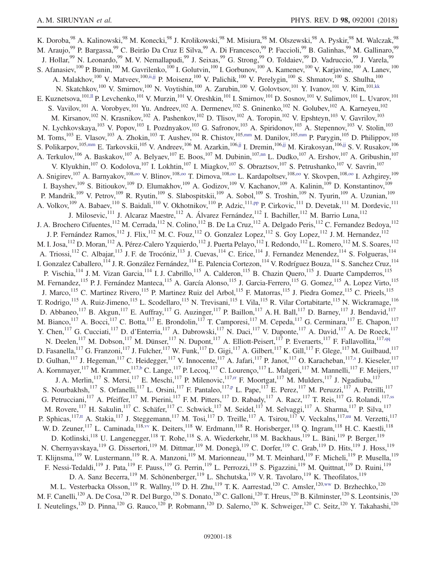<span id="page-17-12"></span><span id="page-17-11"></span><span id="page-17-10"></span><span id="page-17-9"></span><span id="page-17-8"></span><span id="page-17-7"></span><span id="page-17-6"></span><span id="page-17-5"></span><span id="page-17-4"></span><span id="page-17-3"></span><span id="page-17-2"></span><span id="page-17-1"></span><span id="page-17-0"></span>K. Doroba,<sup>98</sup> A. Kalinowski,<sup>98</sup> M. Konecki,<sup>98</sup> J. Krolikowski,<sup>98</sup> M. Misiura,<sup>98</sup> M. Olszewski,<sup>98</sup> A. Pyskir,<sup>98</sup> M. Walczak,<sup>98</sup> M. Araujo,<sup>99</sup> P. Bargassa,<sup>99</sup> C. Beirão Da Cruz E Silva,<sup>99</sup> A. Di Francesco,<sup>99</sup> P. Faccioli,<sup>99</sup> B. Galinhas,<sup>99</sup> M. Gallinaro,<sup>99</sup> J. Hollar,<sup>99</sup> N. Leonardo,<sup>99</sup> M. V. Nemallapudi,<sup>99</sup> J. Seixas,<sup>99</sup> G. Strong,<sup>99</sup> O. Toldaiev,<sup>99</sup> D. Vadruccio,<sup>99</sup> J. Varela,<sup>99</sup> S. Afanasiev,<sup>100</sup> P. Bunin,<sup>100</sup> M. Gavrilenko,<sup>100</sup> I. Golutvin,<sup>100</sup> I. Gorbunov,<sup>100</sup> A. Kamenev,<sup>100</sup> V. Karjavine,<sup>100</sup> A. Lanev,<sup>100</sup> A. Malakhov,<sup>100</sup> V. Matveev,<sup>10[0,ii,jj](#page-24-25)</sup> P. Moisenz,<sup>100</sup> V. Palichik,<sup>100</sup> V. Perelygin,<sup>100</sup> S. Shmatov,<sup>100</sup> S. Shulha,<sup>100</sup> N. Skatchkov,<sup>100</sup> V. Smirnov,<sup>100</sup> N. Voytishin,<sup>100</sup> A. Zarubin,<sup>100</sup> V. Golovtsov,<sup>101</sup> Y. Ivanov,<sup>101</sup> V. Kim,<sup>101[,kk](#page-24-26)</sup> E. Kuznetsova, <sup>10[1,ll](#page-24-27)</sup> P. Levchenko, <sup>101</sup> V. Murzin, <sup>101</sup> V. Oreshkin, <sup>101</sup> I. Smirnov, <sup>101</sup> D. Sosnov, <sup>101</sup> V. Sulimov, <sup>101</sup> L. Uvarov, <sup>101</sup> S. Vavilov,<sup>101</sup> A. Vorobyev,<sup>101</sup> Yu. Andreev,<sup>102</sup> A. Dermenev,<sup>102</sup> S. Gninenko,<sup>102</sup> N. Golubev,<sup>102</sup> A. Karneyeu,<sup>102</sup> M. Kirsanov,<sup>102</sup> N. Krasnikov,<sup>102</sup> A. Pashenkov,<sup>102</sup> D. Tlisov,<sup>102</sup> A. Toropin,<sup>102</sup> V. Epshteyn,<sup>103</sup> V. Gavrilov,<sup>103</sup> N. Lychkovskaya,<sup>103</sup> V. Popov,<sup>103</sup> I. Pozdnyakov,<sup>103</sup> G. Safronov,<sup>103</sup> A. Spiridonov,<sup>103</sup> A. Stepennov,<sup>103</sup> V. Stolin,<sup>103</sup> M. Toms,<sup>103</sup> E. Vlasov,<sup>103</sup> A. Zhokin,<sup>103</sup> T. Aushev,<sup>104</sup> R. Chistov,<sup>10[5,mm](#page-24-28)</sup> M. Danilov,<sup>105,mm</sup> P. Parygin,<sup>105</sup> D. Philippov,<sup>105</sup> S. Polikarpov, <sup>10[5,mm](#page-24-28)</sup> E. Tarkovskii, <sup>105</sup> V. Andreev, <sup>106</sup> M. Azarkin, <sup>10[6,jj](#page-24-29)</sup> I. Dremin, <sup>106[,jj](#page-24-29)</sup> M. Kirakosyan, <sup>106,jj</sup> S. V. Rusakov, <sup>106</sup> A. Terkulov,<sup>106</sup> A. Baskakov,<sup>107</sup> A. Belyaev,<sup>107</sup> E. Boos,<sup>107</sup> M. Dubinin,<sup>10[7,nn](#page-24-30)</sup> L. Dudko,<sup>107</sup> A. Ershov,<sup>107</sup> A. Gribushin,<sup>107</sup> V. Klyukhin,<sup>107</sup> O. Kodolova,<sup>107</sup> I. Lokhtin,<sup>107</sup> I. Miagkov,<sup>107</sup> S. Obraztsov,<sup>107</sup> S. Petrushanko,<sup>107</sup> V. Savrin,<sup>107</sup> A. Snigirev,<sup>107</sup> A. Barnyakov,<sup>108,00</sup> V. Blinov,<sup>108,00</sup> T. Dimova,<sup>108,00</sup> L. Kardapoltsev,<sup>108,00</sup> Y. Skovpen,<sup>108,00</sup> I. Azhgirey,<sup>109</sup> I. Bayshev,<sup>109</sup> S. Bitioukov,<sup>109</sup> D. Elumakhov,<sup>109</sup> A. Godizov,<sup>109</sup> V. Kachanov,<sup>109</sup> A. Kalinin,<sup>109</sup> D. Konstantinov,<sup>109</sup> P. Mandrik,<sup>109</sup> V. Petrov,<sup>109</sup> R. Ryutin,<sup>109</sup> S. Slabospitskii,<sup>109</sup> A. Sobol,<sup>109</sup> S. Troshin,<sup>109</sup> N. Tyurin,<sup>109</sup> A. Uzunian,<sup>109</sup> A. Volkov,<sup>109</sup> A. Babaev,<sup>110</sup> S. Baidali,<sup>110</sup> V. Okhotnikov,<sup>110</sup> P. Adzic,<sup>111[,pp](#page-24-32)</sup> P. Cirkovic,<sup>111</sup> D. Devetak,<sup>111</sup> M. Dordevic,<sup>111</sup> J. Milosevic,<sup>111</sup> J. Alcaraz Maestre,<sup>112</sup> A. Álvarez Fernández,<sup>112</sup> I. Bachiller,<sup>112</sup> M. Barrio Luna,<sup>112</sup> J. A. Brochero Cifuentes,<sup>112</sup> M. Cerrada,<sup>112</sup> N. Colino,<sup>112</sup> B. De La Cruz,<sup>112</sup> A. Delgado Peris,<sup>112</sup> C. Fernandez Bedoya,<sup>112</sup> J. P. Fernández Ramos,<sup>112</sup> J. Flix,<sup>112</sup> M. C. Fouz,<sup>112</sup> O. Gonzalez Lopez,<sup>112</sup> S. Goy Lopez,<sup>112</sup> J. M. Hernandez,<sup>112</sup> M. I. Josa, <sup>112</sup> D. Moran, <sup>112</sup> A. Pérez-Calero Yzquierdo, <sup>112</sup> J. Puerta Pelayo, <sup>112</sup> I. Redondo, <sup>112</sup> L. Romero, <sup>112</sup> M. S. Soares, <sup>112</sup> A. Triossi,<sup>112</sup> C. Albajar,<sup>113</sup> J. F. de Trocóniz,<sup>113</sup> J. Cuevas,<sup>114</sup> C. Erice,<sup>114</sup> J. Fernandez Menendez,<sup>114</sup> S. Folgueras,<sup>114</sup> I. Gonzalez Caballero,<sup>114</sup> J. R. González Fernández,<sup>114</sup> E. Palencia Cortezon,<sup>114</sup> V. Rodríguez Bouza,<sup>114</sup> S. Sanchez Cruz,<sup>114</sup> P. Vischia,<sup>114</sup> J. M. Vizan Garcia,<sup>114</sup> I. J. Cabrillo,<sup>115</sup> A. Calderon,<sup>115</sup> B. Chazin Quero,<sup>115</sup> J. Duarte Campderros,<sup>115</sup> M. Fernandez,<sup>115</sup> P. J. Fernández Manteca,<sup>115</sup> A. García Alonso,<sup>115</sup> J. Garcia-Ferrero,<sup>115</sup> G. Gomez,<sup>115</sup> A. Lopez Virto,<sup>115</sup> J. Marco,<sup>115</sup> C. Martinez Rivero,<sup>115</sup> P. Martinez Ruiz del Arbol,<sup>115</sup> F. Matorras,<sup>115</sup> J. Piedra Gomez,<sup>115</sup> C. Prieels,<sup>115</sup> T. Rodrigo, <sup>115</sup> A. Ruiz-Jimeno, <sup>115</sup> L. Scodellaro, <sup>115</sup> N. Trevisani, <sup>115</sup> I. Vila, <sup>115</sup> R. Vilar Cortabitarte, <sup>115</sup> N. Wickramage, <sup>116</sup> D. Abbaneo,<sup>117</sup> B. Akgun,<sup>117</sup> E. Auffray,<sup>117</sup> G. Auzinger,<sup>117</sup> P. Baillon,<sup>117</sup> A. H. Ball,<sup>117</sup> D. Barney,<sup>117</sup> J. Bendavid,<sup>117</sup> M. Bianco,<sup>117</sup> A. Bocci,<sup>117</sup> C. Botta,<sup>117</sup> E. Brondolin,<sup>117</sup> T. Camporesi,<sup>117</sup> M. Cepeda,<sup>117</sup> G. Cerminara,<sup>117</sup> E. Chapon,<sup>117</sup> Y. Chen, <sup>117</sup> G. Cucciati, <sup>117</sup> D. d'Enterria, <sup>117</sup> A. Dabrowski, <sup>117</sup> N. Daci, <sup>117</sup> V. Daponte, <sup>117</sup> A. David, <sup>117</sup> A. De Roeck, <sup>117</sup> N. Deelen,<sup>117</sup> M. Dobson,<sup>117</sup> M. Dünser,<sup>117</sup> N. Dupont,<sup>117</sup> A. Elliott-Peisert,<sup>117</sup> P. Everaerts,<sup>117</sup> F. Fallavollita,<sup>11[7,qq](#page-24-33)</sup> D. Fasanella,<sup>117</sup> G. Franzoni,<sup>117</sup> J. Fulcher,<sup>117</sup> W. Funk,<sup>117</sup> D. Gigi,<sup>117</sup> A. Gilbert,<sup>117</sup> K. Gill,<sup>117</sup> F. Glege,<sup>117</sup> M. Guilbaud,<sup>117</sup> D. Gulhan, 117 J. Hegeman, 117 C. Heidegger, 117 V. Innocente, 117 A. Jafari, 117 P. Janot, 117 O. Karacheban, 117, S. J. Kieseler, 117 A. Kornmayer,<sup>117</sup> M. Krammer,<sup>117[,b](#page-23-0)</sup> C. Lange,<sup>117</sup> P. Lecoq,<sup>117</sup> C. Lourenço,<sup>117</sup> L. Malgeri,<sup>117</sup> M. Mannelli,<sup>117</sup> F. Meijers,<sup>117</sup> J. A. Merlin,<sup>117</sup> S. Mersi,<sup>117</sup> E. Meschi,<sup>117</sup> P. Milenovic,<sup>117[,rr](#page-24-34)</sup> F. Moortgat,<sup>117</sup> M. Mulders,<sup>117</sup> J. Ngadiuba,<sup>117</sup> S. Nourbakhsh,<sup>117</sup> S. Orfanelli,<sup>117</sup> L. Orsini,<sup>117</sup> F. Pantaleo,<sup>11[7,p](#page-24-6)</sup> L. Pape,<sup>117</sup> E. Perez,<sup>117</sup> M. Peruzzi,<sup>117</sup> A. Petrilli,<sup>117</sup> G. Petrucciani,<sup>117</sup> A. Pfeiffer,<sup>117</sup> M. Pierini,<sup>117</sup> F. M. Pitters,<sup>117</sup> D. Rabady,<sup>117</sup> A. Racz,<sup>117</sup> T. Reis,<sup>117</sup> G. Rolandi,<sup>11[7,ss](#page-24-35)</sup> M. Rovere,<sup>117</sup> H. Sakulin,<sup>117</sup> C. Schäfer,<sup>117</sup> C. Schwick,<sup>117</sup> M. Seidel,<sup>117</sup> M. Selvaggi,<sup>117</sup> A. Sharma,<sup>117</sup> P. Silva,<sup>117</sup> P. Sphicas,<sup>117[,tt](#page-24-36)</sup> A. Stakia,<sup>117</sup> J. Steggemann,<sup>117</sup> M. Tosi,<sup>117</sup> D. Treille,<sup>117</sup> A. Tsirou,<sup>117</sup> V. Veckalns,<sup>11[7,uu](#page-24-37)</sup> M. Verzetti,<sup>117</sup> W. D. Zeuner, <sup>117</sup> L. Caminada, <sup>118, vv</sup> K. Deiters, <sup>118</sup> W. Erdmann, <sup>118</sup> R. Horisberger, <sup>118</sup> Q. Ingram, <sup>118</sup> H. C. Kaestli, <sup>118</sup> D. Kotlinski,<sup>118</sup> U. Langenegger,<sup>118</sup> T. Rohe,<sup>118</sup> S. A. Wiederkehr,<sup>118</sup> M. Backhaus,<sup>119</sup> L. Bäni,<sup>119</sup> P. Berger,<sup>119</sup> N. Chernyavskaya, <sup>119</sup> G. Dissertori, <sup>119</sup> M. Dittmar, <sup>119</sup> M. Donegà, <sup>119</sup> C. Dorfer, <sup>119</sup> C. Grab, <sup>119</sup> D. Hits, <sup>119</sup> J. Hoss, <sup>119</sup> T. Klijnsma,<sup>119</sup> W. Lustermann,<sup>119</sup> R. A. Manzoni,<sup>119</sup> M. Marionneau,<sup>119</sup> M. T. Meinhard,<sup>119</sup> F. Micheli,<sup>119</sup> P. Musella,<sup>119</sup> F. Nessi-Tedaldi,<sup>119</sup> J. Pata,<sup>119</sup> F. Pauss,<sup>119</sup> G. Perrin,<sup>119</sup> L. Perrozzi,<sup>119</sup> S. Pigazzini,<sup>119</sup> M. Quittnat,<sup>119</sup> D. Ruini,<sup>119</sup> D. A. Sanz Becerra,  $^{119}$  M. Schönenberger,  $^{119}$  L. Shchutska,  $^{119}$  V. R. Tavolaro,  $^{119}$  K. Theofilatos,  $^{119}$ M. L. Vesterbacka Olsson, 119 R. Wallny, 119 D. H. Zhu, 119 T. K. Aarrestad, <sup>120</sup> C. Amsler, <sup>120[,ww](#page-24-39)</sup> D. Brzhechko, <sup>120</sup> M. F. Canelli,<sup>120</sup> A. De Cosa,<sup>120</sup> R. Del Burgo,<sup>120</sup> S. Donato,<sup>120</sup> C. Galloni,<sup>120</sup> T. Hreus,<sup>120</sup> B. Kilminster,<sup>120</sup> S. Leontsinis,<sup>120</sup> I. Neutelings,<sup>120</sup> D. Pinna,<sup>120</sup> G. Rauco,<sup>120</sup> P. Robmann,<sup>120</sup> D. Salerno,<sup>120</sup> K. Schweiger,<sup>120</sup> C. Seitz,<sup>120</sup> Y. Takahashi,<sup>120</sup>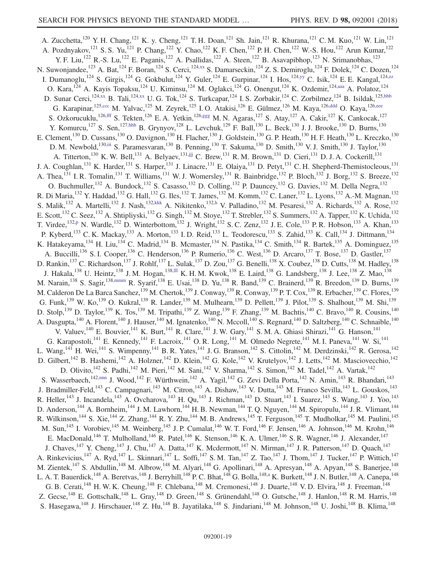<span id="page-18-11"></span><span id="page-18-10"></span><span id="page-18-9"></span><span id="page-18-8"></span><span id="page-18-7"></span><span id="page-18-6"></span><span id="page-18-5"></span><span id="page-18-4"></span><span id="page-18-3"></span><span id="page-18-2"></span><span id="page-18-1"></span><span id="page-18-0"></span>A. Zucchetta,<sup>120</sup> Y. H. Chang,<sup>121</sup> K. y. Cheng,<sup>121</sup> T. H. Doan,<sup>121</sup> Sh. Jain,<sup>121</sup> R. Khurana,<sup>121</sup> C. M. Kuo,<sup>121</sup> W. Lin,<sup>121</sup> A. Pozdnyakov,<sup>121</sup> S. S. Yu,<sup>121</sup> P. Chang,<sup>122</sup> Y. Chao,<sup>122</sup> K. F. Chen,<sup>122</sup> P. H. Chen,<sup>122</sup> W.-S. Hou,<sup>122</sup> Arun Kumar,<sup>122</sup> Y. F. Liu,<sup>122</sup> R.-S. Lu,<sup>122</sup> E. Paganis,<sup>122</sup> A. Psallidas,<sup>122</sup> A. Steen,<sup>122</sup> B. Asavapibhop,<sup>123</sup> N. Srimanobhas,<sup>123</sup> N. Suwonjandee,<sup>123</sup> A. Bat,<sup>124</sup> F. Boran,<sup>124</sup> S. Cerci,<sup>124[,xx](#page-24-40)</sup> S. Damarseckin,<sup>124</sup> Z. S. Demiroglu,<sup>124</sup> F. Dolek,<sup>124</sup> C. Dozen,<sup>124</sup> I. Dumanoglu,<sup>124</sup> S. Girgis,<sup>124</sup> G. Gokbulut,<sup>124</sup> Y. Guler,<sup>124</sup> E. Gurpinar,<sup>124</sup> I. Hos,<sup>12[4,yy](#page-24-41)</sup> C. Isik,<sup>124</sup> E. E. Kangal,<sup>124[,zz](#page-24-42)</sup> O. Kara, <sup>124</sup> A. Kayis Topaksu, <sup>124</sup> U. Kiminsu, <sup>124</sup> M. Oglakci, <sup>124</sup> G. Onengut, <sup>124</sup> K. Ozdemir, <sup>124, aaa</sup> A. Polatoz, <sup>124</sup> D. Sunar Cerci,<sup>12[4,xx](#page-24-40)</sup> B. Tali,<sup>124,xx</sup> U. G. Tok,<sup>124</sup> S. Turkcapar,<sup>124</sup> I. S. Zorbakir,<sup>124</sup> C. Zorbilmez,<sup>124</sup> B. Isildak,<sup>125[,bbb](#page-24-44)</sup> G. Karapinar, <sup>12[5,ccc](#page-24-45)</sup> M. Yalvac, <sup>125</sup> M. Zeyrek, <sup>125</sup> I. O. Atakisi, <sup>126</sup> E. Gülmez, <sup>126</sup> M. Kaya, <sup>126[,ddd](#page-24-46)</sup> O. Kaya, <sup>126[,eee](#page-24-47)</sup> S. Ozkorucuklu, $126,$ fff S. Tekten, $126$  E. A. Yetkin, $126,$ ggg M. N. Agaras, $127$  S. Atay, $127$  A. Cakir, $127$  K. Cankocak, $127$ Y. Komurcu,<sup>127</sup> S. Sen,<sup>12[7,hhh](#page-24-50)</sup> B. Grynyov,<sup>128</sup> L. Levchuk,<sup>129</sup> F. Ball,<sup>130</sup> L. Beck,<sup>130</sup> J. J. Brooke,<sup>130</sup> D. Burns,<sup>130</sup> E. Clement,<sup>130</sup> D. Cussans,<sup>130</sup> O. Davignon,<sup>130</sup> H. Flacher,<sup>130</sup> J. Goldstein,<sup>130</sup> G. P. Heath,<sup>130</sup> H. F. Heath,<sup>130</sup> L. Kreczko,<sup>130</sup> D. M. Newbold,<sup>130[,iii](#page-24-51)</sup> S. Paramesvaran,<sup>130</sup> B. Penning,<sup>130</sup> T. Sakuma,<sup>130</sup> D. Smith,<sup>130</sup> V. J. Smith,<sup>130</sup> J. Taylor,<sup>130</sup> A. Titterton,<sup>130</sup> K. W. Bell,<sup>131</sup> A. Belyaev,<sup>131[,jjj](#page-24-52)</sup> C. Brew,<sup>131</sup> R. M. Brown,<sup>131</sup> D. Cieri,<sup>131</sup> D. J. A. Cockerill,<sup>131</sup> J. A. Coughlan,<sup>131</sup> K. Harder,<sup>131</sup> S. Harper,<sup>131</sup> J. Linacre,<sup>131</sup> E. Olaiya,<sup>131</sup> D. Petyt,<sup>131</sup> C. H. Shepherd-Themistocleous,<sup>131</sup> A. Thea,<sup>131</sup> I. R. Tomalin,<sup>131</sup> T. Williams,<sup>131</sup> W. J. Womersley,<sup>131</sup> R. Bainbridge,<sup>132</sup> P. Bloch,<sup>132</sup> J. Borg,<sup>132</sup> S. Breeze,<sup>132</sup> O. Buchmuller,<sup>132</sup> A. Bundock,<sup>132</sup> S. Casasso,<sup>132</sup> D. Colling,<sup>132</sup> P. Dauncey,<sup>132</sup> G. Davies,<sup>132</sup> M. Della Negra,<sup>132</sup> R. Di Maria, <sup>132</sup> Y. Haddad, <sup>132</sup> G. Hall, <sup>132</sup> G. Iles, <sup>132</sup> T. James, <sup>132</sup> M. Komm, <sup>132</sup> C. Laner, <sup>132</sup> L. Lyons, <sup>132</sup> A.-M. Magnan, <sup>132</sup> S. Malik,<sup>132</sup> A. Martelli,<sup>132</sup> J. Nash,<sup>13[2,kkk](#page-24-53)</sup> A. Nikitenko,<sup>13[2,h](#page-23-6)</sup> V. Palladino,<sup>132</sup> M. Pesaresi,<sup>132</sup> A. Richards,<sup>132</sup> A. Rose,<sup>132</sup> E. Scott,<sup>132</sup> C. Seez,<sup>132</sup> A. Shtipliyski,<sup>132</sup> G. Singh,<sup>132</sup> M. Stoye,<sup>132</sup> T. Strebler,<sup>132</sup> S. Summers,<sup>132</sup> A. Tapper,<sup>132</sup> K. Uchida,<sup>132</sup> T. Virdee,<sup>132[,p](#page-24-6)</sup> N. Wardle,<sup>132</sup> D. Winterbottom,<sup>132</sup> J. Wright,<sup>132</sup> S.C. Zenz,<sup>132</sup> J.E. Cole,<sup>133</sup> P.R. Hobson,<sup>133</sup> A. Khan,<sup>133</sup> P. Kyberd,<sup>133</sup> C. K. Mackay,<sup>133</sup> A. Morton,<sup>133</sup> I. D. Reid,<sup>133</sup> L. Teodorescu,<sup>133</sup> S. Zahid,<sup>133</sup> K. Call,<sup>134</sup> J. Dittmann,<sup>134</sup> K. Hatakeyama,<sup>134</sup> H. Liu,<sup>134</sup> C. Madrid,<sup>134</sup> B. Mcmaster,<sup>134</sup> N. Pastika,<sup>134</sup> C. Smith,<sup>134</sup> R. Bartek,<sup>135</sup> A. Dominguez,<sup>135</sup> A. Buccilli,<sup>136</sup> S. I. Cooper,<sup>136</sup> C. Henderson,<sup>136</sup> P. Rumerio,<sup>136</sup> C. West,<sup>136</sup> D. Arcaro,<sup>137</sup> T. Bose,<sup>137</sup> D. Gastler,<sup>137</sup> D. Rankin,<sup>137</sup> C. Richardson,<sup>137</sup> J. Rohlf,<sup>137</sup> L. Sulak,<sup>137</sup> D. Zou,<sup>137</sup> G. Benelli,<sup>138</sup> X. Coubez,<sup>138</sup> D. Cutts,<sup>138</sup> M. Hadley,<sup>138</sup> J. Hakala,<sup>138</sup> U. Heintz,<sup>138</sup> J. M. Hogan,<sup>13[8,lll](#page-24-54)</sup> K. H. M. Kwok,<sup>138</sup> E. Laird,<sup>138</sup> G. Landsberg,<sup>138</sup> J. Lee,<sup>138</sup> Z. Mao,<sup>138</sup> M. Narain,<sup>138</sup> S. Sagir,<sup>138[,mmm](#page-24-55)</sup> R. Syarif,<sup>138</sup> E. Usai,<sup>138</sup> D. Yu,<sup>138</sup> R. Band,<sup>139</sup> C. Brainerd,<sup>139</sup> R. Breedon,<sup>139</sup> D. Burns,<sup>139</sup> M. Calderon De La Barca Sanchez,<sup>139</sup> M. Chertok,<sup>139</sup> J. Conway,<sup>139</sup> R. Conway,<sup>139</sup> P. T. Cox,<sup>139</sup> R. Erbacher,<sup>139</sup> C. Flores,<sup>139</sup> G. Funk,  $^{139}$  W. Ko,  $^{139}$  O. Kukral,  $^{139}$  R. Lander,  $^{139}$  M. Mulhearn,  $^{139}$  D. Pellett,  $^{139}$  J. Pilot,  $^{139}$  S. Shalhout,  $^{139}$  M. Shi,  $^{139}$ D. Stolp,<sup>139</sup> D. Taylor,<sup>139</sup> K. Tos,<sup>139</sup> M. Tripathi,<sup>139</sup> Z. Wang,<sup>139</sup> F. Zhang,<sup>139</sup> M. Bachtis,<sup>140</sup> C. Bravo,<sup>140</sup> R. Cousins,<sup>140</sup> A. Dasgupta,<sup>140</sup> A. Florent,<sup>140</sup> J. Hauser,<sup>140</sup> M. Ignatenko,<sup>140</sup> N. Mccoll,<sup>140</sup> S. Regnard,<sup>140</sup> D. Saltzberg,<sup>140</sup> C. Schnaible,<sup>140</sup> V. Valuev,<sup>140</sup> E. Bouvier,<sup>141</sup> K. Burt,<sup>141</sup> R. Clare,<sup>141</sup> J. W. Gary,<sup>141</sup> S. M. A. Ghiasi Shirazi,<sup>141</sup> G. Hanson,<sup>141</sup> G. Karapostoli,<sup>141</sup> E. Kennedy,<sup>141</sup> F. Lacroix,<sup>141</sup> O. R. Long,<sup>141</sup> M. Olmedo Negrete,<sup>141</sup> M. I. Paneva,<sup>141</sup> W. Si,<sup>141</sup> L. Wang,<sup>141</sup> H. Wei,<sup>141</sup> S. Wimpenny,<sup>141</sup> B. R. Yates,<sup>141</sup> J. G. Branson,<sup>142</sup> S. Cittolin,<sup>142</sup> M. Derdzinski,<sup>142</sup> R. Gerosa,<sup>142</sup> D. Gilbert,<sup>142</sup> B. Hashemi,<sup>142</sup> A. Holzner,<sup>142</sup> D. Klein,<sup>142</sup> G. Kole,<sup>142</sup> V. Krutelyov,<sup>142</sup> J. Letts,<sup>142</sup> M. Masciovecchio,<sup>142</sup> D. Olivito,  $^{142}$  S. Padhi,  $^{142}$  M. Pieri,  $^{142}$  M. Sani,  $^{142}$  V. Sharma,  $^{142}$  S. Simon,  $^{142}$  M. Tadel,  $^{142}$  A. Vartak,  $^{142}$ S. Wasserbaech,<sup>142[,nnn](#page-24-56)</sup> J. Wood,<sup>142</sup> F. Würthwein,<sup>142</sup> A. Yagil,<sup>142</sup> G. Zevi Della Porta,<sup>142</sup> N. Amin,<sup>143</sup> R. Bhandari,<sup>143</sup> J. Bradmiller-Feld,<sup>143</sup> C. Campagnari,<sup>143</sup> M. Citron,<sup>143</sup> A. Dishaw,<sup>143</sup> V. Dutta,<sup>143</sup> M. Franco Sevilla,<sup>143</sup> L. Gouskos,<sup>143</sup> R. Heller,<sup>143</sup> J. Incandela,<sup>143</sup> A. Ovcharova,<sup>143</sup> H. Qu,<sup>143</sup> J. Richman,<sup>143</sup> D. Stuart,<sup>143</sup> I. Suarez,<sup>143</sup> S. Wang,<sup>143</sup> J. Yoo,<sup>143</sup> D. Anderson,<sup>144</sup> A. Bornheim,<sup>144</sup> J. M. Lawhorn,<sup>144</sup> H. B. Newman,<sup>144</sup> T. Q. Nguyen,<sup>144</sup> M. Spiropulu,<sup>144</sup> J. R. Vlimant,<sup>144</sup> R. Wilkinson,<sup>144</sup> S. Xie,<sup>144</sup> Z. Zhang,<sup>144</sup> R. Y. Zhu,<sup>144</sup> M. B. Andrews,<sup>145</sup> T. Ferguson,<sup>145</sup> T. Mudholkar,<sup>145</sup> M. Paulini,<sup>145</sup> M. Sun,<sup>145</sup> I. Vorobiev,<sup>145</sup> M. Weinberg,<sup>145</sup> J. P. Cumalat,<sup>146</sup> W. T. Ford,<sup>146</sup> F. Jensen,<sup>146</sup> A. Johnson,<sup>146</sup> M. Krohn,<sup>146</sup> E. MacDonald,<sup>146</sup> T. Mulholland,<sup>146</sup> R. Patel,<sup>146</sup> K. Stenson,<sup>146</sup> K. A. Ulmer,<sup>146</sup> S. R. Wagner,<sup>146</sup> J. Alexander,<sup>147</sup> J. Chaves,<sup>147</sup> Y. Cheng,<sup>147</sup> J. Chu,<sup>147</sup> A. Datta,<sup>147</sup> K. Mcdermott,<sup>147</sup> N. Mirman,<sup>147</sup> J. R. Patterson,<sup>147</sup> D. Quach,<sup>147</sup> A. Rinkevicius,<sup>147</sup> A. Ryd,<sup>147</sup> L. Skinnari,<sup>147</sup> L. Soffi,<sup>147</sup> S. M. Tan,<sup>147</sup> Z. Tao,<sup>147</sup> J. Thom,<sup>147</sup> J. Tucker,<sup>147</sup> P. Wittich,<sup>147</sup> M. Zientek,<sup>147</sup> S. Abdullin,<sup>148</sup> M. Albrow,<sup>148</sup> M. Alyari,<sup>148</sup> G. Apollinari,<sup>148</sup> A. Apresyan,<sup>148</sup> A. Apyan,<sup>148</sup> S. Banerjee,<sup>148</sup> L. A. T. Bauerdick,<sup>148</sup> A. Beretvas,<sup>148</sup> J. Berryhill,<sup>148</sup> P. C. Bhat,<sup>148</sup> G. Bolla,<sup>148[,a](#page-23-7)</sup> K. Burkett,<sup>148</sup> J. N. Butler,<sup>148</sup> A. Canepa,<sup>148</sup> G. B. Cerati,<sup>148</sup> H. W. K. Cheung,<sup>148</sup> F. Chlebana,<sup>148</sup> M. Cremonesi,<sup>148</sup> J. Duarte,<sup>148</sup> V. D. Elvira,<sup>148</sup> J. Freeman,<sup>148</sup> Z. Gecse,<sup>148</sup> E. Gottschalk,<sup>148</sup> L. Gray,<sup>148</sup> D. Green,<sup>148</sup> S. Grünendahl,<sup>148</sup> O. Gutsche,<sup>148</sup> J. Hanlon,<sup>148</sup> R. M. Harris,<sup>148</sup> S. Hasegawa,<sup>148</sup> J. Hirschauer,<sup>148</sup> Z. Hu,<sup>148</sup> B. Jayatilaka,<sup>148</sup> S. Jindariani,<sup>148</sup> M. Johnson,<sup>148</sup> U. Joshi,<sup>148</sup> B. Klima,<sup>148</sup>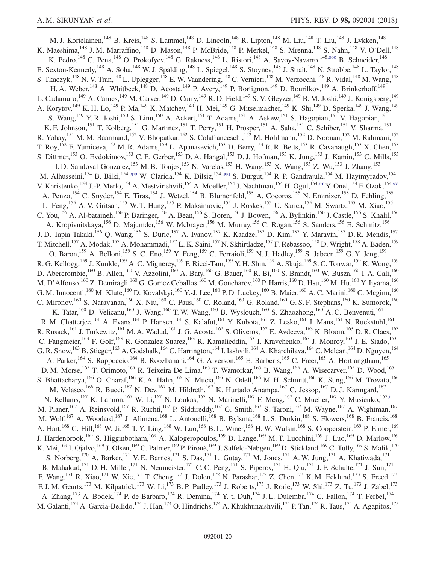<span id="page-19-2"></span><span id="page-19-1"></span><span id="page-19-0"></span>M. J. Kortelainen,<sup>148</sup> B. Kreis,<sup>148</sup> S. Lammel,<sup>148</sup> D. Lincoln,<sup>148</sup> R. Lipton,<sup>148</sup> M. Liu,<sup>148</sup> T. Liu,<sup>148</sup> J. Lykken,<sup>148</sup> K. Maeshima, <sup>148</sup> J. M. Marraffino, <sup>148</sup> D. Mason, <sup>148</sup> P. McBride, <sup>148</sup> P. Merkel, <sup>148</sup> S. Mrenna, <sup>148</sup> S. Nahn, <sup>148</sup> V. O'Dell, <sup>148</sup> K. Pedro,<sup>148</sup> C. Pena,<sup>148</sup> O. Prokofyev,<sup>148</sup> G. Rakness,<sup>148</sup> L. Ristori,<sup>148</sup> A. Savoy-Navarro,<sup>148,000</sup> B. Schneider,<sup>148</sup> E. Sexton-Kennedy,<sup>148</sup> A. Soha,<sup>148</sup> W. J. Spalding,<sup>148</sup> L. Spiegel,<sup>148</sup> S. Stoynev,<sup>148</sup> J. Strait,<sup>148</sup> N. Strobbe,<sup>148</sup> L. Taylor,<sup>148</sup> S. Tkaczyk,<sup>148</sup> N. V. Tran,<sup>148</sup> L. Uplegger,<sup>148</sup> E. W. Vaandering,<sup>148</sup> C. Vernieri,<sup>148</sup> M. Verzocchi,<sup>148</sup> R. Vidal,<sup>148</sup> M. Wang,<sup>148</sup> H. A. Weber,<sup>148</sup> A. Whitbeck,<sup>148</sup> D. Acosta,<sup>149</sup> P. Avery,<sup>149</sup> P. Bortignon,<sup>149</sup> D. Bourilkov,<sup>149</sup> A. Brinkerhoff,<sup>149</sup> L. Cadamuro,<sup>149</sup> A. Carnes,<sup>149</sup> M. Carver,<sup>149</sup> D. Curry,<sup>149</sup> R. D. Field,<sup>149</sup> S. V. Gleyzer,<sup>149</sup> B. M. Joshi,<sup>149</sup> J. Konigsberg,<sup>149</sup> A. Korytov,<sup>149</sup> K. H. Lo,<sup>149</sup> P. Ma,<sup>149</sup> K. Matchev,<sup>149</sup> H. Mei,<sup>149</sup> G. Mitselmakher,<sup>149</sup> K. Shi,<sup>149</sup> D. Sperka,<sup>149</sup> J. Wang,<sup>149</sup> S. Wang,<sup>149</sup> Y. R. Joshi,<sup>150</sup> S. Linn,<sup>150</sup> A. Ackert,<sup>151</sup> T. Adams,<sup>151</sup> A. Askew,<sup>151</sup> S. Hagopian,<sup>151</sup> V. Hagopian,<sup>151</sup> K. F. Johnson,<sup>151</sup> T. Kolberg,<sup>151</sup> G. Martinez,<sup>151</sup> T. Perry,<sup>151</sup> H. Prosper,<sup>151</sup> A. Saha,<sup>151</sup> C. Schiber,<sup>151</sup> V. Sharma,<sup>151</sup> R. Yohay,<sup>151</sup> M. M. Baarmand,<sup>152</sup> V. Bhopatkar,<sup>152</sup> S. Colafranceschi,<sup>152</sup> M. Hohlmann,<sup>152</sup> D. Noonan,<sup>152</sup> M. Rahmani,<sup>152</sup> T. Roy,<sup>152</sup> F. Yumiceva,<sup>152</sup> M. R. Adams,<sup>153</sup> L. Apanasevich,<sup>153</sup> D. Berry,<sup>153</sup> R. R. Betts,<sup>153</sup> R. Cavanaugh,<sup>153</sup> X. Chen,<sup>153</sup> S. Dittmer,<sup>153</sup> O. Evdokimov,<sup>153</sup> C. E. Gerber,<sup>153</sup> D. A. Hangal,<sup>153</sup> D. J. Hofman,<sup>153</sup> K. Jung,<sup>153</sup> J. Kamin,<sup>153</sup> C. Mills,<sup>153</sup> I. D. Sandoval Gonzalez,<sup>153</sup> M. B. Tonjes,<sup>153</sup> N. Varelas,<sup>153</sup> H. Wang,<sup>153</sup> X. Wang,<sup>153</sup> Z. Wu,<sup>153</sup> J. Zhang,<sup>153</sup> M. Alhusseini,<sup>154</sup> B. Bilki,<sup>154</sup>,ppp W. Clarida,<sup>154</sup> K. Dilsiz,<sup>154[,qqq](#page-25-0)</sup> S. Durgut,<sup>154</sup> R. P. Gandrajula,<sup>154</sup> M. Haytmyradov,<sup>154</sup> V. Khristenko,<sup>154</sup> J.-P. Merlo,<sup>154</sup> A. Mestvirishvili,<sup>154</sup> A. Moeller,<sup>154</sup> J. Nachtman,<sup>154</sup> H. Ogul,<sup>154</sup>,rrr Y. Onel,<sup>154</sup> F. Ozok,<sup>15[4,sss](#page-25-2)</sup> A. Penzo,<sup>154</sup> C. Snyder,<sup>154</sup> E. Tiras,<sup>154</sup> J. Wetzel,<sup>154</sup> B. Blumenfeld,<sup>155</sup> A. Cocoros,<sup>155</sup> N. Eminizer,<sup>155</sup> D. Fehling,<sup>155</sup> L. Feng,<sup>155</sup> A. V. Gritsan,<sup>155</sup> W. T. Hung,<sup>155</sup> P. Maksimovic,<sup>155</sup> J. Roskes,<sup>155</sup> U. Sarica,<sup>155</sup> M. Swartz,<sup>155</sup> M. Xiao,<sup>155</sup> C. You,<sup>155</sup> A. Al-bataineh,<sup>156</sup> P. Baringer,<sup>156</sup> A. Bean,<sup>156</sup> S. Boren,<sup>156</sup> J. Bowen,<sup>156</sup> A. Bylinkin,<sup>156</sup> J. Castle,<sup>156</sup> S. Khalil,<sup>156</sup> A. Kropivnitskaya,<sup>156</sup> D. Majumder,<sup>156</sup> W. Mcbrayer,<sup>156</sup> M. Murray,<sup>156</sup> C. Rogan,<sup>156</sup> S. Sanders,<sup>156</sup> E. Schmitz,<sup>156</sup> J. D. Tapia Takaki,<sup>156</sup> Q. Wang,<sup>156</sup> S. Duric,<sup>157</sup> A. Ivanov,<sup>157</sup> K. Kaadze,<sup>157</sup> D. Kim,<sup>157</sup> Y. Maravin,<sup>157</sup> D. R. Mendis,<sup>157</sup> T. Mitchell,<sup>157</sup> A. Modak,<sup>157</sup> A. Mohammadi,<sup>157</sup> L. K. Saini,<sup>157</sup> N. Skhirtladze,<sup>157</sup> F. Rebassoo,<sup>158</sup> D. Wright,<sup>158</sup> A. Baden,<sup>159</sup> O. Baron,<sup>159</sup> A. Belloni,<sup>159</sup> S. C. Eno,<sup>159</sup> Y. Feng,<sup>159</sup> C. Ferraioli,<sup>159</sup> N. J. Hadley,<sup>159</sup> S. Jabeen,<sup>159</sup> G. Y. Jeng,<sup>159</sup> R. G. Kellogg,<sup>159</sup> J. Kunkle,<sup>159</sup> A. C. Mignerey,<sup>159</sup> F. Ricci-Tam,<sup>159</sup> Y. H. Shin,<sup>159</sup> A. Skuja,<sup>159</sup> S. C. Tonwar,<sup>159</sup> K. Wong,<sup>159</sup> D. Abercrombie,<sup>160</sup> B. Allen,<sup>160</sup> V. Azzolini,<sup>160</sup> A. Baty,<sup>160</sup> G. Bauer,<sup>160</sup> R. Bi,<sup>160</sup> S. Brandt,<sup>160</sup> W. Busza,<sup>160</sup> I. A. Cali,<sup>160</sup> M. D'Alfonso,<sup>160</sup> Z. Demiragli,<sup>160</sup> G. Gomez Ceballos,<sup>160</sup> M. Goncharov,<sup>160</sup> P. Harris,<sup>160</sup> D. Hsu,<sup>160</sup> M. Hu,<sup>160</sup> Y. Iiyama,<sup>160</sup> G. M. Innocenti,<sup>160</sup> M. Klute,<sup>160</sup> D. Kovalskyi,<sup>160</sup> Y.-J. Lee,<sup>160</sup> P. D. Luckey,<sup>160</sup> B. Maier,<sup>160</sup> A. C. Marini,<sup>160</sup> C. Mcginn,<sup>160</sup> C. Mironov,<sup>160</sup> S. Narayanan,<sup>160</sup> X. Niu,<sup>160</sup> C. Paus,<sup>160</sup> C. Roland,<sup>160</sup> G. Roland,<sup>160</sup> G. S. F. Stephans,<sup>160</sup> K. Sumorok,<sup>160</sup> K. Tatar,  $160$  D. Velicanu,  $160$  J. Wang,  $160$  T. W. Wang,  $160$  B. Wyslouch,  $160$  S. Zhaozhong,  $160$  A. C. Benvenuti,  $161$ R. M. Chatterjee,<sup>161</sup> A. Evans,<sup>161</sup> P. Hansen,<sup>161</sup> S. Kalafut,<sup>161</sup> Y. Kubota,<sup>161</sup> Z. Lesko,<sup>161</sup> J. Mans,<sup>161</sup> N. Ruckstuhl,<sup>161</sup> R. Rusack,<sup>161</sup> J. Turkewitz,<sup>161</sup> M. A. Wadud,<sup>161</sup> J. G. Acosta,<sup>162</sup> S. Oliveros,<sup>162</sup> E. Avdeeva,<sup>163</sup> K. Bloom,<sup>163</sup> D. R. Claes,<sup>163</sup> C. Fangmeier,<sup>163</sup> F. Golf,<sup>163</sup> R. Gonzalez Suarez,<sup>163</sup> R. Kamalieddin,<sup>163</sup> I. Kravchenko,<sup>163</sup> J. Monroy,<sup>163</sup> J. E. Siado,<sup>163</sup> G. R. Snow,<sup>163</sup> B. Stieger,<sup>163</sup> A. Godshalk,<sup>164</sup> C. Harrington,<sup>164</sup> I. Iashvili,<sup>164</sup> A. Kharchilava,<sup>164</sup> C. Mclean,<sup>164</sup> D. Nguyen,<sup>164</sup> A. Parker,<sup>164</sup> S. Rappoccio,<sup>164</sup> B. Roozbahani,<sup>164</sup> G. Alverson,<sup>165</sup> E. Barberis,<sup>165</sup> C. Freer,<sup>165</sup> A. Hortiangtham,<sup>165</sup> D. M. Morse,<sup>165</sup> T. Orimoto,<sup>165</sup> R. Teixeira De Lima,<sup>165</sup> T. Wamorkar,<sup>165</sup> B. Wang,<sup>165</sup> A. Wisecarver,<sup>165</sup> D. Wood,<sup>165</sup> S. Bhattacharya,<sup>166</sup> O. Charaf,<sup>166</sup> K. A. Hahn,<sup>166</sup> N. Mucia,<sup>166</sup> N. Odell,<sup>166</sup> M. H. Schmitt,<sup>166</sup> K. Sung,<sup>166</sup> M. Trovato,<sup>166</sup> M. Velasco,<sup>166</sup> R. Bucci,<sup>167</sup> N. Dev,<sup>167</sup> M. Hildreth,<sup>167</sup> K. Hurtado Anampa,<sup>167</sup> C. Jessop,<sup>167</sup> D. J. Karmgard,<sup>167</sup> N. Kellams,<sup>167</sup> K. Lannon,<sup>167</sup> W. Li,<sup>167</sup> N. Loukas,<sup>167</sup> N. Marinelli,<sup>167</sup> F. Meng,<sup>167</sup> C. Mueller,<sup>167</sup> Y. Musienko,<sup>16[7,ii](#page-24-25)</sup> M. Planer,<sup>167</sup> A. Reinsvold,<sup>167</sup> R. Ruchti,<sup>167</sup> P. Siddireddy,<sup>167</sup> G. Smith,<sup>167</sup> S. Taroni,<sup>167</sup> M. Wayne,<sup>167</sup> A. Wightman,<sup>167</sup> M. Wolf,<sup>167</sup> A. Woodard,<sup>167</sup> J. Alimena,<sup>168</sup> L. Antonelli,<sup>168</sup> B. Bylsma,<sup>168</sup> L. S. Durkin,<sup>168</sup> S. Flowers,<sup>168</sup> B. Francis,<sup>168</sup> A. Hart,<sup>168</sup> C. Hill,<sup>168</sup> W. Ji,<sup>168</sup> T. Y. Ling,<sup>168</sup> W. Luo,<sup>168</sup> B. L. Winer,<sup>168</sup> H. W. Wulsin,<sup>168</sup> S. Cooperstein,<sup>169</sup> P. Elmer,<sup>169</sup> J. Hardenbrook,<sup>169</sup> S. Higginbotham,<sup>169</sup> A. Kalogeropoulos,<sup>169</sup> D. Lange,<sup>169</sup> M. T. Lucchini,<sup>169</sup> J. Luo,<sup>169</sup> D. Marlow,<sup>169</sup> K. Mei,<sup>169</sup> I. Ojalvo,<sup>169</sup> J. Olsen,<sup>169</sup> C. Palmer,<sup>169</sup> P. Piroué,<sup>169</sup> J. Salfeld-Nebgen,<sup>169</sup> D. Stickland,<sup>169</sup> C. Tully,<sup>169</sup> S. Malik,<sup>170</sup> S. Norberg,<sup>170</sup> A. Barker,<sup>171</sup> V. E. Barnes,<sup>171</sup> S. Das,<sup>171</sup> L. Gutay,<sup>171</sup> M. Jones,<sup>171</sup> A. W. Jung,<sup>171</sup> A. Khatiwada,<sup>171</sup> B. Mahakud,<sup>171</sup> D. H. Miller,<sup>171</sup> N. Neumeister,<sup>171</sup> C. C. Peng,<sup>171</sup> S. Piperov,<sup>171</sup> H. Qiu,<sup>171</sup> J. F. Schulte,<sup>171</sup> J. Sun,<sup>171</sup> F. Wang,<sup>171</sup> R. Xiao,<sup>171</sup> W. Xie,<sup>171</sup> T. Cheng,<sup>172</sup> J. Dolen,<sup>172</sup> N. Parashar,<sup>172</sup> Z. Chen,<sup>173</sup> K. M. Ecklund,<sup>173</sup> S. Freed,<sup>173</sup> F. J. M. Geurts,<sup>173</sup> M. Kilpatrick,<sup>173</sup> W. Li,<sup>173</sup> B. P. Padley,<sup>173</sup> J. Roberts,<sup>173</sup> J. Rorie,<sup>173</sup> W. Shi,<sup>173</sup> Z. Tu,<sup>173</sup> J. Zabel,<sup>173</sup> A. Zhang,<sup>173</sup> A. Bodek,<sup>174</sup> P. de Barbaro,<sup>174</sup> R. Demina,<sup>174</sup> Y. t. Duh,<sup>174</sup> J. L. Dulemba,<sup>174</sup> C. Fallon,<sup>174</sup> T. Ferbel,<sup>174</sup> M. Galanti,<sup>174</sup> A. Garcia-Bellido,<sup>174</sup> J. Han,<sup>174</sup> O. Hindrichs,<sup>174</sup> A. Khukhunaishvili,<sup>174</sup> P. Tan,<sup>174</sup> R. Taus,<sup>174</sup> A. Agapitos,<sup>175</sup>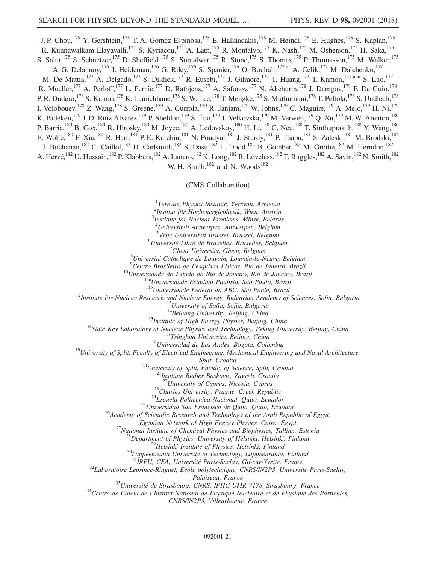<span id="page-20-1"></span><span id="page-20-0"></span>J. P. Chou,<sup>175</sup> Y. Gershtein,<sup>175</sup> T. A. Gómez Espinosa,<sup>175</sup> E. Halkiadakis,<sup>175</sup> M. Heindl,<sup>175</sup> E. Hughes,<sup>175</sup> S. Kaplan,<sup>175</sup> R. Kunnawalkam Elayavalli,<sup>175</sup> S. Kyriacou,<sup>175</sup> A. Lath,<sup>175</sup> R. Montalvo,<sup>175</sup> K. Nash,<sup>175</sup> M. Osherson,<sup>175</sup> H. Saka,<sup>175</sup> S. Salur,<sup>175</sup> S. Schnetzer,<sup>175</sup> D. Sheffield,<sup>175</sup> S. Somalwar,<sup>175</sup> R. Stone,<sup>175</sup> S. Thomas,<sup>175</sup> P. Thomassen,<sup>175</sup> M. Walker,<sup>175</sup> A. G. Delannoy, <sup>176</sup> J. Heideman, <sup>176</sup> G. Riley, <sup>176</sup> S. Spanier, <sup>176</sup> O. Bouhali, <sup>177[,ttt](#page-25-3)</sup> A. Celik, <sup>177</sup> M. Dalchenko, <sup>177</sup> M. De Mattia,<sup>177</sup> A. Delgado,<sup>177</sup> S. Dildick,<sup>177</sup> R. Eusebi,<sup>177</sup> J. Gilmore,<sup>177</sup> T. Huang,<sup>177</sup> T. Kamon,<sup>177[,uuu](#page-25-4)</sup> S. Luo,<sup>177</sup> R. Mueller, <sup>177</sup> A. Perloff, <sup>177</sup> L. Perniè, <sup>177</sup> D. Rathjens, <sup>177</sup> A. Safonov, <sup>177</sup> N. Akchurin, <sup>178</sup> J. Damgov, <sup>178</sup> F. De Guio, <sup>178</sup> P. R. Dudero,<sup>178</sup> S. Kunori,<sup>178</sup> K. Lamichhane,<sup>178</sup> S. W. Lee,<sup>178</sup> T. Mengke,<sup>178</sup> S. Muthumuni,<sup>178</sup> T. Peltola,<sup>178</sup> S. Undleeb,<sup>178</sup> I. Volobouev, <sup>178</sup> Z. Wang, <sup>178</sup> S. Greene, <sup>179</sup> A. Gurrola, <sup>179</sup> R. Janjam, <sup>179</sup> W. Johns, <sup>179</sup> C. Maguire, <sup>179</sup> A. Melo, <sup>179</sup> H. Ni, <sup>179</sup> K. Padeken,  $^{179}$  J. D. Ruiz Alvarez,  $^{179}$  P. Sheldon,  $^{179}$  S. Tuo,  $^{179}$  J. Velkovska,  $^{179}$  M. Verweij,  $^{179}$  Q. Xu,  $^{179}$  M. W. Arenton,  $^{180}$ P. Barria, <sup>180</sup> B. Cox, <sup>180</sup> R. Hirosky, <sup>180</sup> M. Joyce, <sup>180</sup> A. Ledovskoy, <sup>180</sup> H. Li, <sup>180</sup> C. Neu, <sup>180</sup> T. Sinthuprasith, <sup>180</sup> Y. Wang, <sup>180</sup> E. Wolfe,<sup>180</sup> F. Xia,<sup>180</sup> R. Harr,<sup>181</sup> P. E. Karchin,<sup>181</sup> N. Poudyal,<sup>181</sup> J. Sturdy,<sup>181</sup> P. Thapa,<sup>181</sup> S. Zaleski,<sup>181</sup> M. Brodski,<sup>182</sup> J. Buchanan,<sup>182</sup> C. Caillol,<sup>182</sup> D. Carlsmith,<sup>182</sup> S. Dasu,<sup>182</sup> L. Dodd,<sup>182</sup> B. Gomber,<sup>182</sup> M. Grothe,<sup>182</sup> M. Herndon,<sup>182</sup> A. Hervé, <sup>182</sup> U. Hussain, <sup>182</sup> P. Klabbers, <sup>182</sup> A. Lanaro, <sup>182</sup> K. Long, <sup>182</sup> R. Loveless, <sup>182</sup> T. Ruggles, <sup>182</sup> A. Savin, <sup>182</sup> N. Smith, <sup>182</sup> W. H. Smith, $^{182}$  and N. Woods $^{182}$ 

# (CMS Collaboration)

<sup>1</sup>Yerevan Physics Institute, Yerevan, Armenia 2 Institut für Hochenergiephysik, Wien, Austria 3 Institute for Nuclear Problems, Minsk, Belarus <sup>4</sup>Universiteit Antwerpen, Antwerpen, Belgium <sup>5</sup>Vrije Universiteit Brussel, Brussel, Belgium<br><sup>6</sup>Université Libre de Pruxelles, Pruxelles, Belgium <sup>6</sup>Université Libre de Bruxelles, Bruxelles, Belgium  $\frac{7}{7}$ Ghent University, Ghent, Belgium  $'$ Ghent University, Ghent, Belgium<br> ${}^{8}U$ piyersité Catholique de Louveir, Louveir la N  $^8$ Université Catholique de Louvain, Louvain-la-Neuve, Belgium<br> $^9$ Centre Prasileire de Pesquisas Fisicas, Pio de Janeire, Prasil <sup>9</sup>Centro Brasileiro de Pesquisas Fisicas, Rio de Janeiro, Brazil<br><sup>10</sup>Universidade do Estado do Rio de Janeiro, Rio de Janeiro, Brazil<br><sup>11a</sup>Universidade Estadual Paulista, São Paulo, Brazil<br><sup>11b</sup>Universidade Federal do AB <sup>15</sup>Institute of High Energy Physics, Beijing, China<br><sup>16</sup>State Key Laboratory of Nuclear Physics and Technology, Peking University, Beijing, China<br><sup>17</sup>Tsinghua University, Beijing, China<br><sup>18</sup>University of Split, Faculty o Split, Croatia<br><sup>20</sup>University of Split, Faculty of Science, Split, Croatia<br><sup>21</sup>Institute Rudjer Boskovic, Zagreb, Croatia<br><sup>22</sup>University of Cyprus, Nicosia, Cyprus <sup>23</sup>Charles University, Prague, Czech Republic<br><sup>24</sup>Escuela Politecnica Nacional, Quito, Ecuador<br><sup>25</sup>Universidad San Francisco de Quito, Quito, Ecuador<br><sup>26</sup>Academy of Scientific Research and Technology of the Arab Republic Egyptian Network of High Energy Physics, Cairo, Egypt<br><sup>27</sup> National Institute of Chemical Physics and Biophysics, Tallinn, Estonia<br><sup>28</sup> Department of Physics, University of Helsinki, Helsinki, Finland<br><sup>29</sup> Helsinki Instit  $32$ Laboratoire Leprince-Ringuet, Ecole polytechnique, CNRS/IN2P3, Université Paris-Saclay, Palaiseau, France<br><sup>33</sup>Université de Strasbourg, CNRS, IPHC UMR 7178, Strasbourg, France<br><sup>34</sup>Centre de Calcul de l'Institut National de Physique Nucleaire et de Physique des Particules, CNRS/IN2P3, Villeurbanne, France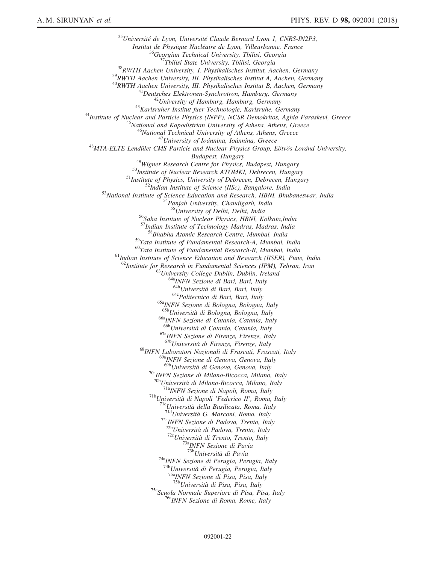$35$ Université de Lyon, Université Claude Bernard Lyon 1, CNRS-IN2P3, *Institut de Physique Nucléaire de Lyon, Villeurbanne, France*<br><sup>36</sup>Georgian Technical University, Tbilisi, Georgia<br><sup>37</sup>Tbilisi State University, Tbilisi, Georgia<br><sup>38</sup>RWTH Aachen University, II. Physikalisches Institut A, <sup>41</sup>Deutsches Elektronen-Synchrotron, Hamburg, Germany<br><sup>42</sup>University of Hamburg, Hamburg, Germany<br><sup>43</sup>Karlsruher Institut fuer Technologie, Karlsruhe, Germany<br><sup>44</sup>Institute of Nuclear and Particle Physics (INPP), NCSR De Budapest, Hungary<br><sup>49</sup>Wigner Research Centre for Physics, Budapest, Hungary<br><sup>50</sup>Institute of Nuclear Research ATOMKI, Debrecen, Hungary<br><sup>51</sup>Institute of Physics, University of Debrecen, Debrecen, Hungary<br><sup>52</sup>Indian Institu <sup>56</sup>Saha Institute of Nuclear Physics, HBNI, Kolkata,India  $J$ Indian Institute of Technology Madras, Madras, India <sup>58</sup>Bhabha Atomic Research Centre, Mumbai, India <sup>59</sup>Tata Institute of Fundamental Research-A, Mumbai, India<br><sup>60</sup>Tata Institute of Fundamental Research-B, Mumbai, India  $<sup>61</sup>$ Indian Institute of Science Education and Research (IISER), Pune, India</sup> <sup>62</sup>Institute for Research in Fundamental Sciences (IPM), Tehran, Iran <sup>63</sup>University College Dublin, Dublin, Ireland <sup>64a</sup>INFN Sezione di Bari, Bari, Italy <sup>64b</sup>Università di Bari, Bari, Italy  $64c$ Politecnico di Bari, Bari, Italy<br> $65a$ INFN Sezione di Bologna, Bologna, Italy<br> $65b$ Università di Bologna, Bologna, Italy <sup>66a</sup>INFN Sezione di Catania, Catania, Italy<br><sup>66b</sup>Università di Catania, Catania, Italy <sup>67a</sup>INFN Sezione di Firenze, Firenze, Italy 6<sup>7b</sup>Università di Firenze, Firenze, Italy <sup>68</sup>INFN Laboratori Nazionali di Frascati, Frascati, Italy <sup>69a</sup>INFN Sezione di Genova, Genova, Italy<br><sup>69b</sup>Università di Genova, Genova, Italy <sup>70a</sup>INFN Sezione di Milano-Bicocca, Milano, Italy<br><sup>70b</sup>Università di Milano-Bicocca, Milano, Italy <sup>71a</sup>INFN Sezione di Napoli, Roma, Italy<br>
<sup>71b</sup>Università di Napoli 'Federico II', Roma, Italy<br>
<sup>71c</sup>Università della Basilicata, Roma, Italy<br>
<sup>714</sup>Università G. Marconi, Roma, Italy<br>
<sup>72a</sup>INFN Sezione di Padova, Trento, <sup>72c</sup>Università di Trento, Trento, Italy <sup>73a</sup>INFN Sezione di Pavia<br><sup>73b</sup>Università di Pavia <sup>74a</sup>INFN Sezione di Perugia, Perugia, Italy <sup>74b</sup>Università di Perugia, Perugia, Italy <sup>75a</sup>INFN Sezione di Pisa, Pisa, Italy <sup>75b</sup>Università di Pisa, Pisa, Italy <sup>75c</sup>Scuola Normale Superiore di Pisa, Pisa, Italy <sup>75c</sup><sup>56a</sup>INFN Sezione di Roma, Rome, Italy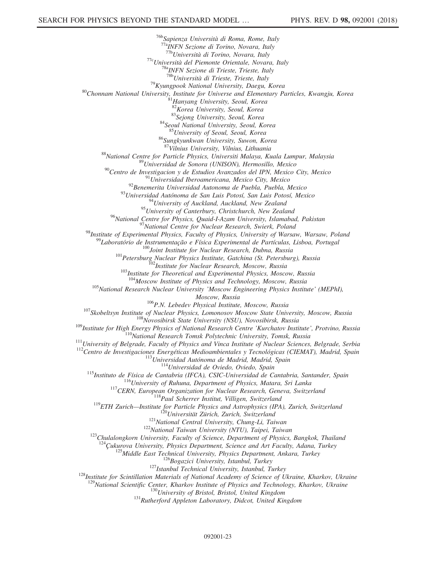<sup>76</sup>b Sapienza Università di Roma, Rome, Italy <sup>77a</sup>INFN Sezione di Torino, Novara, Italy <sup>77b</sup>Università di Torino, Novara, Italy <sup>77c</sup>Università del Piemonte Orientale, Novara, Italy <sup>78a</sup>INFN Sezione di Trieste, Trieste, Italy <sup>78b</sup>Università di Trieste, Trieste, Italy <sup>79</sup>Kyungpook National University, Daegu, Korea <sup>80</sup>Chonnam National University, Institute for Universe and Elementary Particles, Kwangju, Korea  ${}^{81}$ Hanyang University, Seoul, Korea 8<sup>2</sup>Korea University, Seoul, Korea <sup></sup>  $838$  Sejong University, Seoul, Korea  $84$ Seoul National University, Seoul, Korea  $85$ University of Seoul, Seoul, Korea <sup>86</sup>Sungkyunkwan University, Suwon, Korea <sup>87</sup>Vilnius University, Vilnius, Lithuania <sup>88</sup>National Centre for Particle Physics, Universiti Malaya, Kuala Lumpur, Malaysia<br><sup>89</sup>Universidad de Sonora (UNISON), Hermosillo, Mexico<br><sup>90</sup>Centro de Investigacion y de Estudios Avanzados del IPN, Mexico City, Mexico<br><sup></sup> <sup>95</sup>University of Canterbury, Christchurch, New Zealand<br><sup>96</sup>National Centre for Physics, Quaid-I-Azam University, Islamabad, Pakistan <sup>97</sup>National Centre for Nuclear Research, Swierk, Poland<br><sup>98</sup>Institute of Experimental Physics, Faculty of Physics, University of Warsaw, Warsaw, Poland<br><sup>99</sup>Laboratório de Instrumentação e Física Experimental de Partícula <sup>105</sup>National Research Nuclear University 'Moscow Engineering Physics Institute' (MEPhI), Moscow, Russia<br>
<sup>107</sup>Skobeltsyn Institute of Nuclear Physics, Lomonosov Moscow, Russia<br>
<sup>107</sup>Skobeltsyn Institute of Nuclear Physics, Lomonosov Moscow State University, Moscow, Russia<br>
<sup>109</sup>Novosibirsk State University (NS <sup>123</sup>Chulalongkorn University, Faculty of Science, Department of Physics, Bangkok, Thailand<br><sup>124</sup>Cukurova University, Physics Department, Science and Art Faculty, Adana, Turkey<br><sup>125</sup>Middle East Technical University, Physi <sup>129</sup>National Scientific Center, Kharkov Institute of Physics and Technology, Kharkov, Ukraine<br><sup>130</sup>University of Bristol, Bristol, United Kingdom<br><sup>131</sup>Rutherford Appleton Laboratory, Didcot, United Kingdom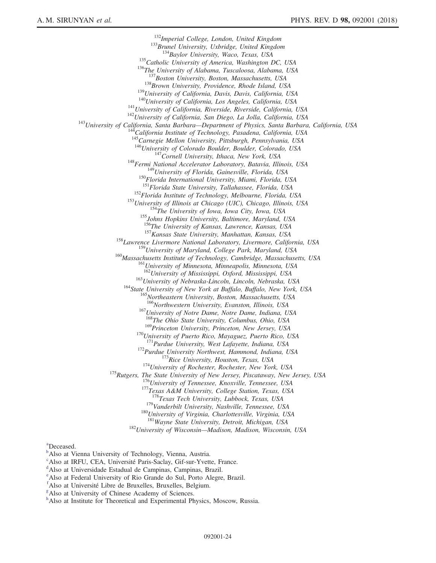<sup>132</sup>Imperial College, London, United Kingdom<br><sup>133</sup>Brunel University, Uxbridge, United Kingdom<br><sup>134</sup>Baylor University, Waco, Texas, USA<br><sup>135</sup>Catholic University of America, Washington DC, USA<br><sup>136</sup>The University of Alabam  $\begin{array}{r} \n ^{138} {\it Brown\ University}, {\it Providence,\ Rhode\ Island}, {\it USA} \\ \n ^{139} {\it University\ of\ California}, {\it Davis,\ Davis}, {\it California, \ USA} \\ \n ^{140} {\it University\ of\ California}, {\it Los\ Angeles}, {\it California, \ USA} \\ \n ^{141} {\it University\ of\ California}, {\it Riverside, \ Riverside}, {\it California, \ USA} \\ \n ^{142} {\it University\ of\ California}, {\it San\ Diego, \ La\ Jolla, \ California, \ USA} \\ \n ^{143} {\it University\ of\ California}, {\it Santa\ Barbara—Department\ of\ Physics, {\it Santa\ Barbara}, \ California, {\it USA} \\ \n ^{144$ <sup>145</sup>Carnegie Mellon University, Pittsburgh, Pennsylvania, USA<br><sup>146</sup>University of Colorado Boulder, Boulder, Colorado, USA <sup>147</sup> Cornell University, Ithaca, New York, USA<br><sup>148</sup> Fermi National Accelerator Laboratory, Batavia, Illinois, USA<br><sup>149</sup> University of Florida, Gainesville, Florida, USA<br><sup>150</sup> Florida International University, Miami, Flo <sup>152</sup>Florida Institute of Technology, Melbourne, Florida, USA<br><sup>153</sup>University of Illinois at Chicago (UIC), Chicago, Illinois, USA<br><sup>154</sup>The University of Iowa, Iowa City, Iowa, USA<br><sup>155</sup>Johns Hopkins University, Baltimore <sup>157</sup>Kansas State University, Manhattan, Kansas, USA<br><sup>158</sup>Lawrence Livermore National Laboratory, Livermore, California, USA<br><sup>159</sup>University of Maryland, College Park, Maryland, USA <sup>160</sup>Massachusetts Institute of Technology, Cambridge, Massachusetts, USA <sup>161</sup>University of Minnesota, Minneapolis, Minnesota, USA <sup>162</sup>University of Mississippi, Oxford, Mississippi, USA  $^{163}$ University of Nebraska-Lincoln, Lincoln, Nebraska, USA<br> $^{164}$ State University of New York at Buffalo, Buffalo, New York, USA<br> $^{165}$ Northeastern University, Boston, Massachusetts, USA 166<br>166Northwestern University, Evanston, Illinois, USA<br><sup>167</sup>University of Notre Dame, Notre Dame, Indiana, USA  $168$ The Ohio State University, Columbus, Ohio, USA  $169$ Princeton University, Princeton, New Jersey, USA <sup>170</sup>University of Puerto Rico, Mayaguez, Puerto Rico, USA <sup>171</sup>Purdue University, West Lafayette, Indiana, USA <sup>172</sup>Purdue University Northwest, Hammond, Indiana, USA<br><sup>173</sup>Rice University, Houston, Texas, USA<br><sup>174</sup>University of Rochester, Rochester, New York, USA<br><sup>175</sup>Rutgers, The State University of New Jersey, Piscataway, New Je <sup>179</sup>Vanderbilt University, Nashville, Tennessee, USA <sup>180</sup>University of Virginia, Charlottesville, Virginia, USA <sup>181</sup>Wayne State University, Detroit, Michigan, USA <sup>182</sup>University of Wisconsin-Madison, Madison, Wisconsin, USA

<span id="page-23-7"></span>[a](#page-15-0) Deceased.

<span id="page-23-1"></span><sup>[c](#page-14-3)</sup>Also at IRFU, CEA, Université Paris-Saclay, Gif-sur-Yvette, France.

<span id="page-23-6"></span>[h](#page-14-8) Also at Institute for Theoretical and Experimental Physics, Moscow, Russia.

<span id="page-23-0"></span><sup>&</sup>lt;sup>[b](#page-14-2)</sup>Also at Vienna University of Technology, Vienna, Austria.

<span id="page-23-2"></span>Also at Universidade Estadual de Campinas, Campinas, Brazil.

<span id="page-23-3"></span>[e](#page-14-5) Also at Federal University of Rio Grande do Sul, Porto Alegre, Brazil.

<span id="page-23-4"></span> $f$ Also at Université Libre de Bruxelles, Bruxelles, Bel[g](#page-14-7)ium.

<span id="page-23-5"></span>Also at University of Chinese Academy of Sciences.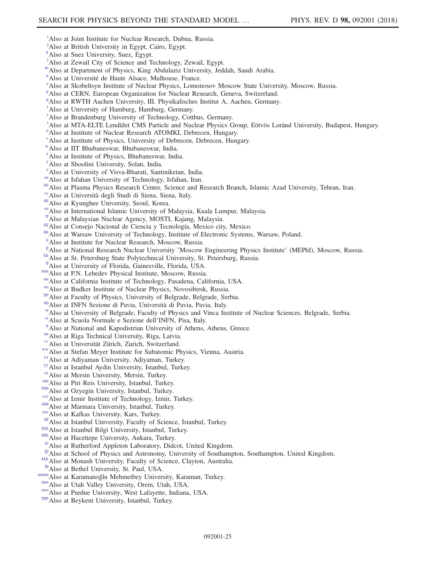- <span id="page-24-0"></span><sup>[i](#page-14-9)</sup> Also at Joint Institute for Nuclear Research, Dubna, Russia.
- <span id="page-24-1"></span><sup>[j](#page-14-9)</sup>Also at British University in Egypt, Cairo, Egypt.
- k Also at Suez University, Suez, Egypt.
- <span id="page-24-2"></span><sup>1</sup>A[l](#page-14-10)so at Zewail City of Science and Technology, Zewail, Egypt.
- <span id="page-24-3"></span>[m](#page-14-11)Also at Department of Physics, King Abdulaziz University, Jeddah, Saudi Arabia.
- <span id="page-24-4"></span>[n](#page-14-12)<br>Als[o](#page-15-1) at Université de Haute Alsace, Mulhouse, France.
- <span id="page-24-5"></span><sup>o</sup>Also at Skobeltsyn Institute of Nuclear Physics, Lomonosov Moscow State University, Moscow, Russia.
- <span id="page-24-6"></span><su[p](#page-15-1)>p</sup>Also at CERN, European Organization for Nuclear Research, Geneva, Switzerland.
- <span id="page-24-7"></span><sup>[q](#page-15-2)</sup>Also at RWTH Aachen University, III. Physikalisches Institut A, Aachen, Germany.
- <span id="page-24-8"></span><sup>[r](#page-15-3)</sup> Also at University of Hamburg, Hamburg, Germany.
- <span id="page-24-9"></span>[s](#page-15-4) Also at Brandenburg University of Technology, Cottbus, Germany.
- <span id="page-24-10"></span>[t](#page-15-5) Also at MTA-ELTE Lendület CMS Particle and Nuclear Physics Group, Eötvös Loránd University, Budapest, Hungary.
- <span id="page-24-11"></span><s[u](#page-15-0)p>u</sup> Also at Institute of Nuclear Research ATOMKI, Debrecen, Hungary.
- <span id="page-24-12"></span>[v](#page-15-6) Also at Institute of Physics, University of Debrecen, Debrecen, Hungary.
- <span id="page-24-13"></span>[w](#page-15-7)Also at IIT Bhubaneswar, Bhubaneswar, India.
- <span id="page-24-14"></span>[x](#page-15-8) Also at Institute of Physics, Bhubaneswar, India.
- <span id="page-24-15"></span>[y](#page-15-9) Also at Shoolini University, Solan, India.
- <span id="page-24-16"></span><sup>[z](#page-15-10)</sup>Also at University of Visva-Bharati, Santiniketan, India.
- 
- <span id="page-24-18"></span><span id="page-24-17"></span>[aa](#page-15-11) Also at Isfahan University of Technology, Isfahan, Iran.<br><sup>[bb](#page-15-12)</sup>Also at Plasma Physics Research Center, Science and Research Branch, Islamic Azad University, Tehran, Iran.
- <span id="page-24-19"></span><sup>[cc](#page-16-0)</sup>Also at Università degli Studi di Siena, Siena, Italy. <sup>[dd](#page-16-1)</sup>Also at Kyunghee University, Seoul, Korea.
- <span id="page-24-20"></span>
- <span id="page-24-21"></span>[ee](#page-16-2) Also at International Islamic University of Malaysia, Kuala Lumpur, Malaysia. fralso at Malaysian Nuclear Agency, MOSTI, Kajang, Malaysia.
- <span id="page-24-22"></span>
- <span id="page-24-24"></span>
- <span id="page-24-23"></span><sup>[gg](#page-16-3)</sup> Also at Consejo Nacional de Ciencia y Tecnología, Mexico city, Mexico.<br><sup>[hh](#page-16-4)</sup> Also at Warsaw University of Technology, Institute of Electronic Systems, Warsaw, Poland.
- <span id="page-24-25"></span>[ii](#page-17-0)Also at Institute for Nuclear Research, Moscow, Russia.
- <span id="page-24-29"></span><sup>[jj](#page-17-1)</sup>Also at National Research Nuclear University 'Moscow Engineering Physics Institute' (MEPhI), Moscow, Russia. <br><sup>[kk](#page-17-2)</sup>Also at St. Petersburg State Polytechnical University, St. Petersburg, Russia. <br><sup>II</sup>Also at University
- <span id="page-24-26"></span>
- <span id="page-24-27"></span>
- 
- 
- <span id="page-24-31"></span>
- <span id="page-24-32"></span>
- <span id="page-24-34"></span><span id="page-24-33"></span>
- <span id="page-24-30"></span><span id="page-24-28"></span><sup>nm</sup>Also at P.N. Lebedev Physical Institute, Moscow, Russia.<br><sup>nm</sup>Also at California Institute of Technology, Pasadena, California, USA.<br><sup>[oo](#page-17-5)</sup>Also at Budker Institute of Nuclear Physics, Novosibirsk, Russia.<br><sup>PP</sup>Also at Facu
- <span id="page-24-35"></span>
- <span id="page-24-36"></span><sup>[tt](#page-17-10)</sup> Also at National and Kapodistrian University of Athens, Athens, Greece.<br>
<sup>[uu](#page-17-10)</sup> Also at Riga Technical University, Riga, Latvia.<br>
<sup>[vv](#page-17-11)</sup> Also at Universität Zürich, Zurich, Switzerland.<br>
<sup>[ww](#page-17-12)</sup> Also at Stefan Meyer Institu
- <span id="page-24-37"></span>
- <span id="page-24-38"></span>
- <span id="page-24-39"></span>
- <span id="page-24-40"></span>
- <span id="page-24-41"></span>
- <span id="page-24-42"></span>
- 
- <span id="page-24-45"></span><span id="page-24-44"></span>
- <span id="page-24-43"></span><sup>[aaa](#page-18-2)</sup> Also at Piri Reis University, Istanbul, Turkey.<br><sup>[bbb](#page-18-0)</sup> Also at Ozyegin University, Istanbul, Turkey.<br><sup>[ccc](#page-18-3)</sup> Also at Izmir Institute of Technology, Izmir, Turkey.<br><sup>dd</sup> Also at Marmara University, Istanbul, Turkey.<br><sup>ece</sup>
- <span id="page-24-46"></span>
- <span id="page-24-47"></span>
- <span id="page-24-48"></span>[fff](#page-18-4)Also at Istanbul University, Faculty of Science, Istanbul, Turkey. [ggg](#page-18-4)Also at Istanbul Bilgi University, Istanbul, Turkey. [hhh](#page-18-5)Also at Hacettepe University, Ankara, Turkey.
- <span id="page-24-49"></span>
- <span id="page-24-50"></span>
- <span id="page-24-51"></span>[iii](#page-18-6) Also at Rutherford Appleton Laboratory, Didcot, United Kingdom.
- <span id="page-24-52"></span><sup>[jjj](#page-18-7)</sup>Also at School of Physics and Astronomy, University of Southampton, Southampton, United Kingdom.<br><sup>[kkk](#page-18-8)</sup>Also at Monash University, Faculty of Science, Clayton, Australia.<br><sup>III</sup>Also at Bethel University, St. Paul, USA.
- <span id="page-24-53"></span>
- <span id="page-24-54"></span>
- <span id="page-24-55"></span>[mmm](#page-18-10) Also at Karamanoğlu Mehmetbey University, Karaman, Turkey.<br>[nnn](#page-18-11) Also at Utah Valley University, Orem, Utah, USA.<br><sup>000</sup> Also at Purdue University, West Lafayette, Indiana, USA.<br><sup>[ppp](#page-19-1)</sup> Also at Beykent University, Istanbul,
- <span id="page-24-56"></span>
- <span id="page-24-57"></span>
- <span id="page-24-58"></span>